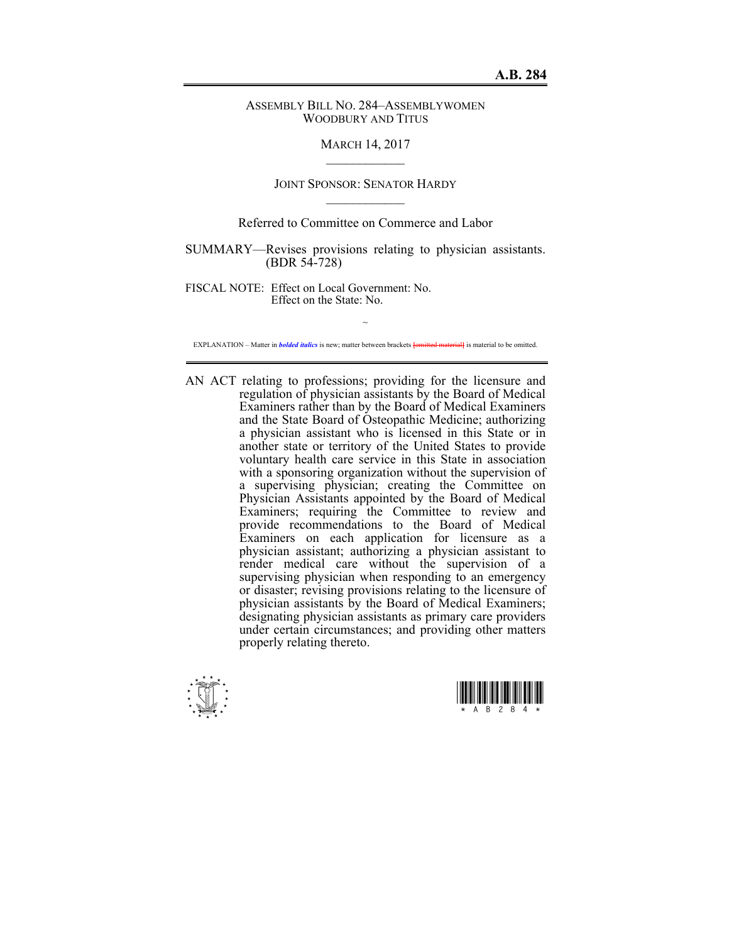## ASSEMBLY BILL NO. 284–ASSEMBLYWOMEN WOODBURY AND TITUS

## MARCH 14, 2017  $\mathcal{L}_\text{max}$

# JOINT SPONSOR: SENATOR HARDY  $\mathcal{L}_\text{max}$

# Referred to Committee on Commerce and Labor

SUMMARY—Revises provisions relating to physician assistants. (BDR 54-728)

FISCAL NOTE: Effect on Local Government: No. Effect on the State: No.

 $\sim$ EXPLANATION – Matter in *bolded italics* is new; matter between brackets **[**omitted material**]** is material to be omitted.

AN ACT relating to professions; providing for the licensure and regulation of physician assistants by the Board of Medical Examiners rather than by the Board of Medical Examiners and the State Board of Osteopathic Medicine; authorizing a physician assistant who is licensed in this State or in another state or territory of the United States to provide voluntary health care service in this State in association with a sponsoring organization without the supervision of a supervising physician; creating the Committee on Physician Assistants appointed by the Board of Medical Examiners; requiring the Committee to review and provide recommendations to the Board of Medical Examiners on each application for licensure as a physician assistant; authorizing a physician assistant to render medical care without the supervision of a supervising physician when responding to an emergency or disaster; revising provisions relating to the licensure of physician assistants by the Board of Medical Examiners; designating physician assistants as primary care providers under certain circumstances; and providing other matters properly relating thereto.



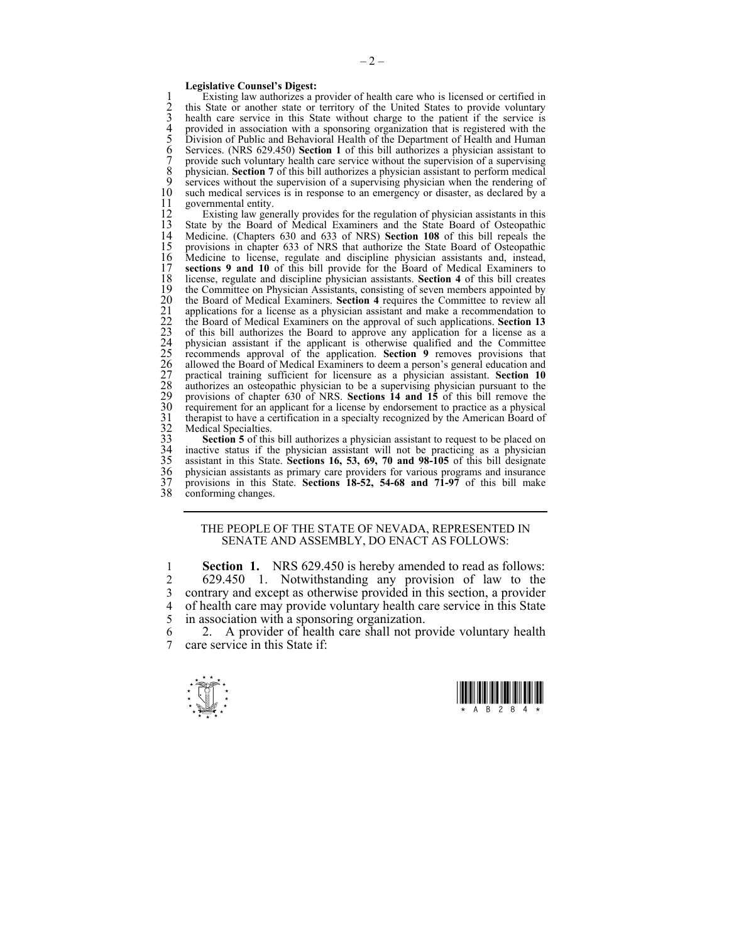#### **Legislative Counsel's Digest:**

1 Existing law authorizes a provider of health care who is licensed or certified in 2 this State or another state or territory of the United States to provide voluntary 2 this State or another state or territory of the United States to provide voluntary<br>3 health care service in this State without charge to the patient if the service is 3 health care service in this State without charge to the patient if the service is<br>4 provided in association with a sponsoring organization that is registered with the<br>5 Division of Public and Behavioral Health of the Dep 4 provided in association with a sponsoring organization that is registered with the 5 Division of Public and Behavioral Health of the Department of Health and Human 6 Services. (NRS 629.450) **Section 1** of this bill authorizes a physician assistant to 7 provide such voluntary health care service without the supervision of a supervising 8 physician. **Section 7** of this bill authorizes a physician assistant to perform medical services without the supervision of a supervision physician when the rendering of 9 services without the supervision of a supervising physician when the rendering of 10 such medical services is in response to an emergency or disaster as declared by a 10 such medical services is in response to an emergency or disaster, as declared by a governmental entity. 11 governmental entity.<br>12 Existing law gen

12 Existing law generally provides for the regulation of physician assistants in this 13 State by the Board of Medical Examiners and the State Board of Osteopathic 13 State by the Board of Medical Examiners and the State Board of Osteopathic 14 Medicine. (Chapters 630 and 633 of NRS) Section 108 of this bill repeals the 14 Medicine. (Chapters 630 and 633 of NRS) **Section 108** of this bill repeals the 15 provisions in chapter 633 of NRS that authorize the State Board of Osteopathic 16 Medicine to license, regulate and discipline physician assistants and, instead, 17 **sections 9 and 10** of this bill provide for the Board of Medical Examiners to 17 **sections 9 and 10** of this bill provide for the Board of Medical Examiners to 18 license, regulate and discipline physician assistants. Section 4 of this bill creates 18 license, regulate and discipline physician assistants. **Section 4** of this bill creates 19 the Committee on Physician Assistants, consisting of seven members appointed by the Board of Medical Examiners. **Section 4** requires the Committee to review all 20 the Board of Medical Examiners. **Section 4** requires the Committee to review all applications for a license as a physician assistant and make a recommendation to 22 the Board of Medical Examiners on the approval of such 21 applications for a license as a physician assistant and make a recommendation to 22 the Board of Medical Examiners on the approval of such applications. **Section 13** 23 of this bill authorizes the Board to approve any application for a license as a physician assistant if the applicant is otherwise qualified and the Committee 25 recommends approval of the application. **Section 9** removes provisions that 26 allowed the Board of Medical Examiners to deem a person's general education and 27 practical training sufficient for licensure as a physician assistant. **Section 10** authorizes an osteopathic physician to be a supervising physician pursuant to the 29 provisions of chapter 630 of NRS. **Sections 14 and 15** of this bill remove the 30 requirement for an applicant for a license by endorsement to practice as a physical 31 therapist to have a certification in a specialty recognized by the American Board of Medical Specialties.

**Section 5** of this bill authorizes a physician assistant to request to be placed on inactive status if the physician assistant will not be practicing as a physician 35 assistant in this State. **Sections 16, 53, 69, 70 and 98-105** of this bill designate 36 physician assistants as primary care providers for various programs and insurance<br>37 provisions in this State. Sections 18-52, 54-68 and 71-97 of this bill make 37 provisions in this State. **Sections 18-52, 54-68 and 71-97** of this bill make conforming changes.

#### THE PEOPLE OF THE STATE OF NEVADA, REPRESENTED IN SENATE AND ASSEMBLY, DO ENACT AS FOLLOWS:

1 **Section 1.** NRS 629.450 is hereby amended to read as follows: 2 629.450 1. Notwithstanding any provision of law to the 3 contrary and except as otherwise provided in this section, a provider of health care may provide voluntary health care service in this State 5 in association with a sponsoring organization.

6 2. A provider of health care shall not provide voluntary health  $\frac{7}{7}$  care service in this State if care service in this State if:



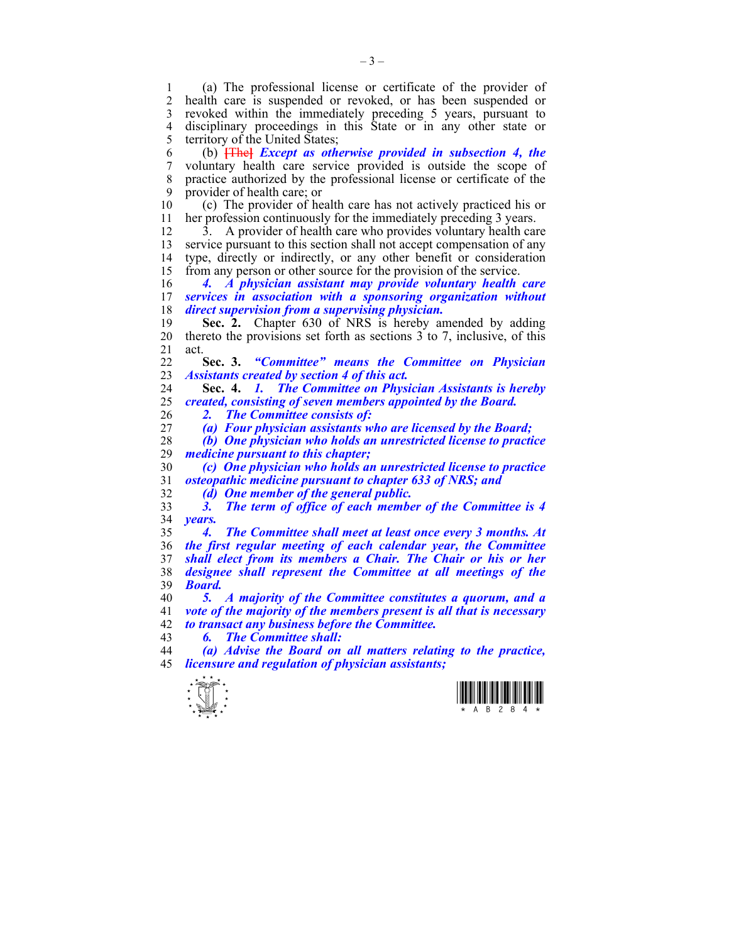1 (a) The professional license or certificate of the provider of health care is suspended or revoked, or has been suspended or 3 revoked within the immediately preceding 5 years, pursuant to 4 disciplinary proceedings in this State or in any other state or 5 territory of the United States;

6 (b) **[**The**]** *Except as otherwise provided in subsection 4, the*  7 voluntary health care service provided is outside the scope of 8 practice authorized by the professional license or certificate of the 9 provider of health care; or

10 (c) The provider of health care has not actively practiced his or 11 her profession continuously for the immediately preceding 3 years.

12 3. A provider of health care who provides voluntary health care 13 service pursuant to this section shall not accept compensation of any 14 type, directly or indirectly, or any other benefit or consideration 15 from any person or other source for the provision of the service.

16 *4. A physician assistant may provide voluntary health care*  17 *services in association with a sponsoring organization without*  18 *direct supervision from a supervising physician.* 

19 **Sec. 2.** Chapter 630 of NRS is hereby amended by adding 20 thereto the provisions set forth as sections 3 to 7, inclusive, of this 21 act.

22 **Sec. 3.** *"Committee" means the Committee on Physician*  23 *Assistants created by section 4 of this act.* 

24 **Sec. 4.** *1. The Committee on Physician Assistants is hereby*  25 *created, consisting of seven members appointed by the Board.*  26 *2. The Committee consists of:* 

27 *(a) Four physician assistants who are licensed by the Board;* 

28 *(b) One physician who holds an unrestricted license to practice medicine pursuant to this chapter;* 

30 *(c) One physician who holds an unrestricted license to practice*  31 *osteopathic medicine pursuant to chapter 633 of NRS; and* 

32 *(d) One member of the general public.* 

33 *3. The term of office of each member of the Committee is 4*  34 *years.* 

*4. The Committee shall meet at least once every 3 months. At the first regular meeting of each calendar year, the Committee shall elect from its members a Chair. The Chair or his or her designee shall represent the Committee at all meetings of the*  39 *Board.* 

40 *5. A majority of the Committee constitutes a quorum, and a*  41 *vote of the majority of the members present is all that is necessary*  42 *to transact any business before the Committee.* 

43 *6. The Committee shall:* 

44 *(a) Advise the Board on all matters relating to the practice,*  45 *licensure and regulation of physician assistants;* 



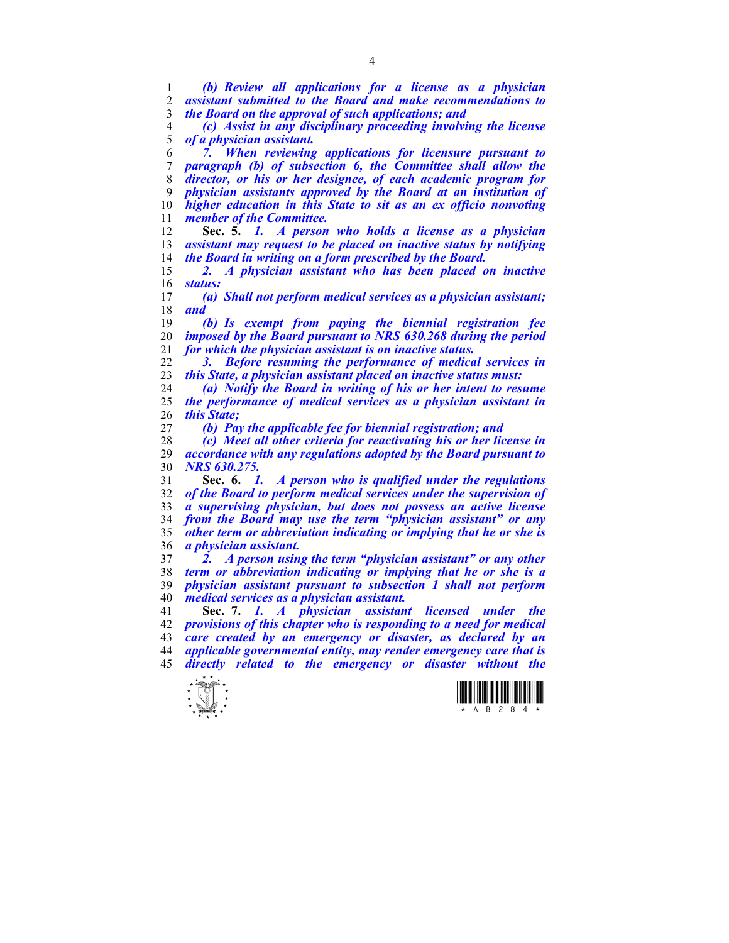*(b) Review all applications for a license as a physician assistant submitted to the Board and make recommendations to* 

*the Board on the approval of such applications; and* 

*(c) Assist in any disciplinary proceeding involving the license of a physician assistant.* 

*7. When reviewing applications for licensure pursuant to paragraph (b) of subsection 6, the Committee shall allow the director, or his or her designee, of each academic program for physician assistants approved by the Board at an institution of higher education in this State to sit as an ex officio nonvoting member of the Committee.* 

**Sec. 5.** *1. A person who holds a license as a physician assistant may request to be placed on inactive status by notifying the Board in writing on a form prescribed by the Board.* 

*2. A physician assistant who has been placed on inactive status:* 

*(a) Shall not perform medical services as a physician assistant; and* 

*(b) Is exempt from paying the biennial registration fee imposed by the Board pursuant to NRS 630.268 during the period for which the physician assistant is on inactive status.* 

*3. Before resuming the performance of medical services in this State, a physician assistant placed on inactive status must:* 

*(a) Notify the Board in writing of his or her intent to resume the performance of medical services as a physician assistant in this State;* 

*(b) Pay the applicable fee for biennial registration; and* 

*(c) Meet all other criteria for reactivating his or her license in accordance with any regulations adopted by the Board pursuant to NRS 630.275.* 

**Sec. 6.** *1. A person who is qualified under the regulations of the Board to perform medical services under the supervision of a supervising physician, but does not possess an active license from the Board may use the term "physician assistant" or any other term or abbreviation indicating or implying that he or she is a physician assistant.* 

*2. A person using the term "physician assistant" or any other term or abbreviation indicating or implying that he or she is a physician assistant pursuant to subsection 1 shall not perform medical services as a physician assistant.* 

**Sec. 7.** *1. A physician assistant licensed under the provisions of this chapter who is responding to a need for medical care created by an emergency or disaster, as declared by an applicable governmental entity, may render emergency care that is directly related to the emergency or disaster without the* 



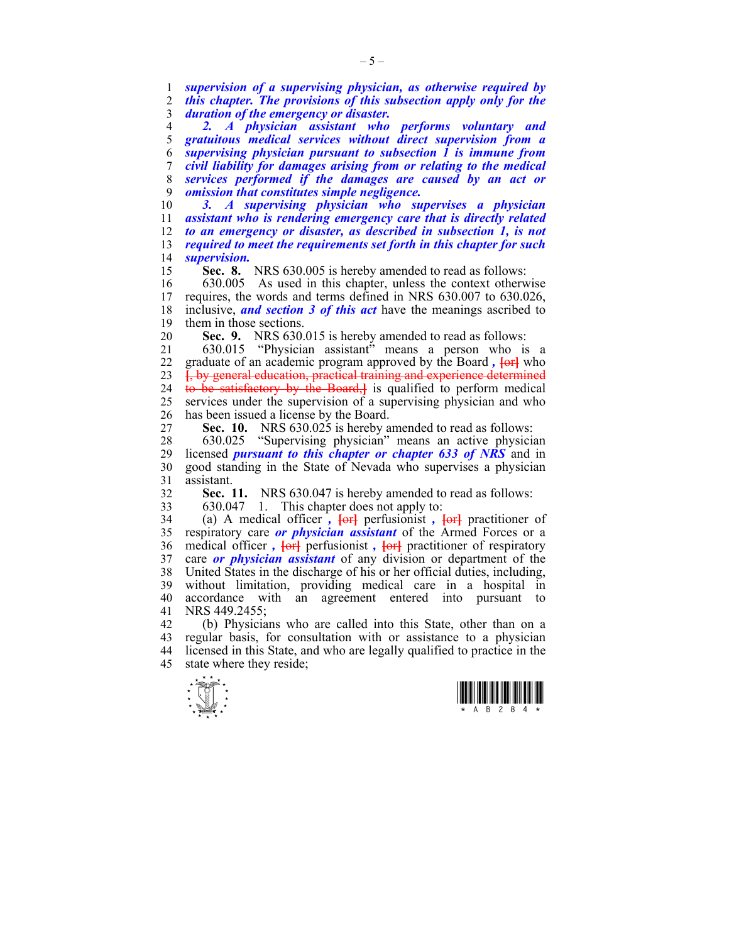1 *supervision of a supervising physician, as otherwise required by*  2 *this chapter. The provisions of this subsection apply only for the*  3 *duration of the emergency or disaster.* 

*2. A physician assistant who performs voluntary and gratuitous medical services without direct supervision from a supervising physician pursuant to subsection 1 is immune from civil liability for damages arising from or relating to the medical services performed if the damages are caused by an act or omission that constitutes simple negligence.* 

*3. A supervising physician who supervises a physician assistant who is rendering emergency care that is directly related to an emergency or disaster, as described in subsection 1, is not required to meet the requirements set forth in this chapter for such supervision.* 

15 **Sec. 8.** NRS 630.005 is hereby amended to read as follows:

16 630.005 As used in this chapter, unless the context otherwise<br>17 requires, the words and terms defined in NRS 630.007 to 630.026. 17 requires, the words and terms defined in NRS 630.007 to 630.026, 18 inclusive, *and section 3 of this act* have the meanings ascribed to 19 them in those sections.

20 **Sec. 9.** NRS 630.015 is hereby amended to read as follows:

21 630.015 "Physician assistant" means a person who is a 22 graduate of an academic program approved by the Board *,* **[**or**]** who 23 **[**, by general education, practical training and experience determined 24 to be satisfactory by the Board,**]** is qualified to perform medical 25 services under the supervision of a supervising physician and who 26 has been issued a license by the Board.

27 **Sec. 10.** NRS 630.025 is hereby amended to read as follows:

28 630.025 "Supervising physician" means an active physician 29 licensed *pursuant to this chapter or chapter 633 of NRS* and in 30 good standing in the State of Nevada who supervises a physician 31 assistant.

32 **Sec. 11.** NRS 630.047 is hereby amended to read as follows:

33 630.047 1. This chapter does not apply to:

34 (a) A medical officer *,* **[**or**]** perfusionist *,* **[**or**]** practitioner of 35 respiratory care *or physician assistant* of the Armed Forces or a 36 medical officer *,* **[**or**]** perfusionist *,* **[**or**]** practitioner of respiratory 37 care *or physician assistant* of any division or department of the 38 United States in the discharge of his or her official duties, including, 39 without limitation, providing medical care in a hospital in 40 accordance with an agreement entered into pursuant to 41 NRS 449.2455;

42 (b) Physicians who are called into this State, other than on a 43 regular basis, for consultation with or assistance to a physician 44 licensed in this State, and who are legally qualified to practice in the 45 state where they reside;



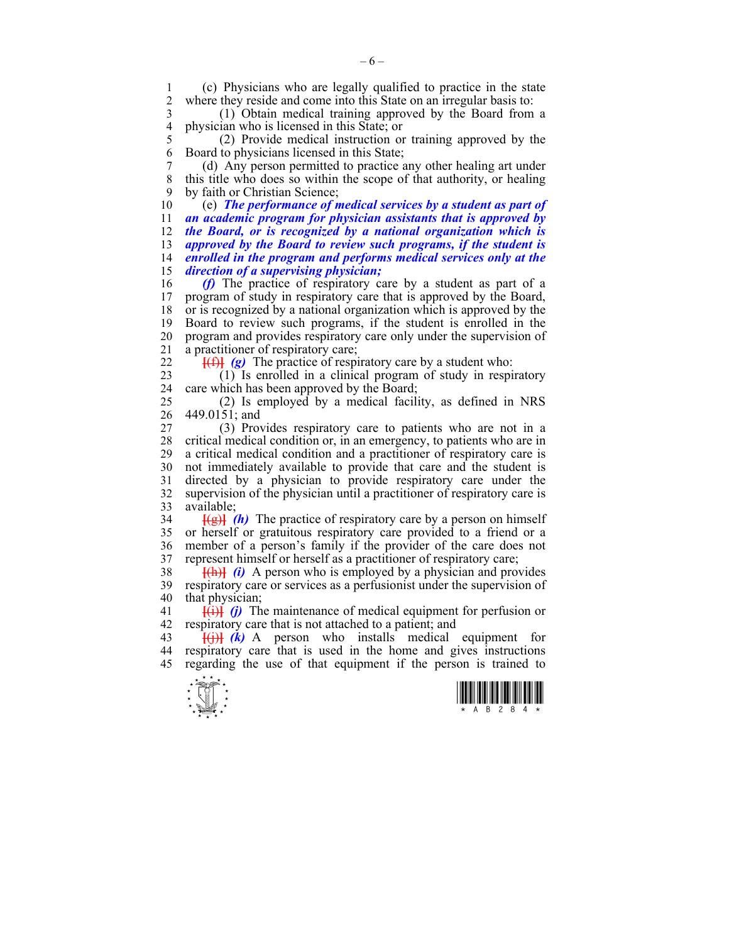1 (c) Physicians who are legally qualified to practice in the state where they reside and come into this State on an irregular basis to:

3 (1) Obtain medical training approved by the Board from a 4 physician who is licensed in this State; or<br>5 (2) Provide medical instruction of

5 (2) Provide medical instruction or training approved by the 6 Board to physicians licensed in this State;

7 (d) Any person permitted to practice any other healing art under 8 this title who does so within the scope of that authority, or healing 9 by faith or Christian Science;

10 (e) *The performance of medical services by a student as part of an academic program for physician assistants that is approved by the Board, or is recognized by a national organization which is approved by the Board to review such programs, if the student is enrolled in the program and performs medical services only at the direction of a supervising physician;* 

16 *(f)* The practice of respiratory care by a student as part of a 17 program of study in respiratory care that is approved by the Board, 18 or is recognized by a national organization which is approved by the 19 Board to review such programs, if the student is enrolled in the 20 program and provides respiratory care only under the supervision of 21 a practitioner of respiratory care;

 $22 \quad$  **[(f)]** (g) The practice of respiratory care by a student who:

23 (1) Is enrolled in a clinical program of study in respiratory 24 care which has been approved by the Board;

25 (2) Is employed by a medical facility, as defined in NRS 26 449.0151; and

27 (3) Provides respiratory care to patients who are not in a 28 critical medical condition or, in an emergency, to patients who are in 29 a critical medical condition and a practitioner of respiratory care is 30 not immediately available to provide that care and the student is 31 directed by a physician to provide respiratory care under the 32 supervision of the physician until a practitioner of respiratory care is 33 available;

 $\frac{1}{2}$  **[(g)**  $\frac{1}{2}$  (h) The practice of respiratory care by a person on himself 35 or herself or gratuitous respiratory care provided to a friend or a 36 member of a person's family if the provider of the care does not 37 represent himself or herself as a practitioner of respiratory care;

38 **[**(h)**]** *(i)* A person who is employed by a physician and provides 39 respiratory care or services as a perfusionist under the supervision of 40 that physician;

41 **[**(i)**]** *(j)* The maintenance of medical equipment for perfusion or 42 respiratory care that is not attached to a patient; and

43 **[**(j)**]** *(k)* A person who installs medical equipment for 44 respiratory care that is used in the home and gives instructions 45 regarding the use of that equipment if the person is trained to

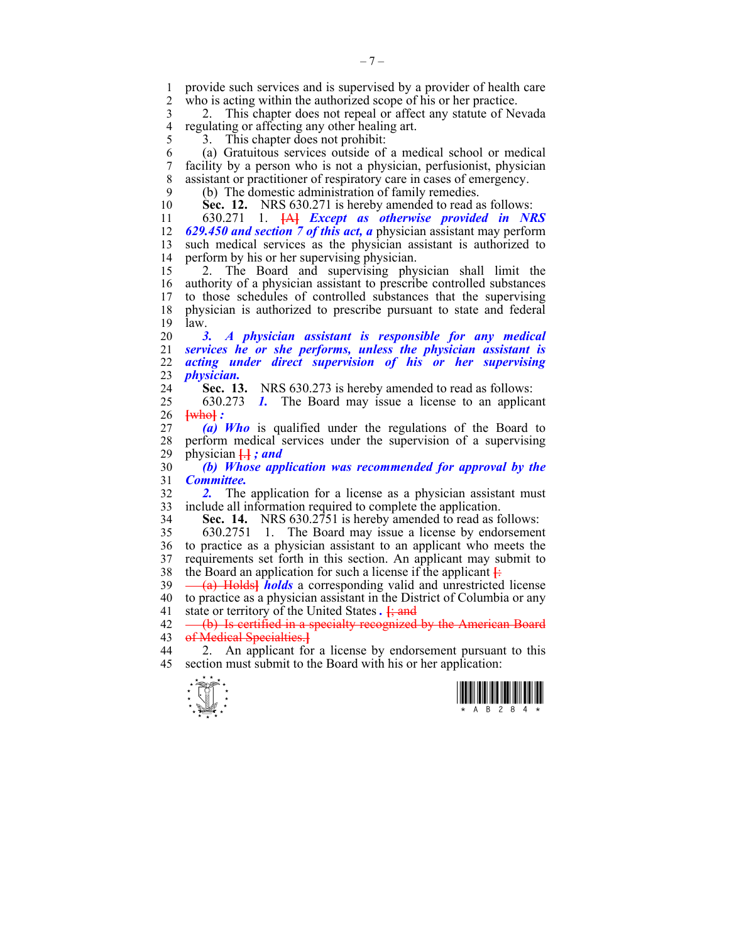1 provide such services and is supervised by a provider of health care<br>2 who is acting within the authorized scope of his or her practice who is acting within the authorized scope of his or her practice.

3 2. This chapter does not repeal or affect any statute of Nevada 4 regulating or affecting any other healing art.<br>5 3. This chapter does not prohibit: 5 3. This chapter does not prohibit:

6 (a) Gratuitous services outside of a medical school or medical 7 facility by a person who is not a physician, perfusionist, physician 8 assistant or practitioner of respiratory care in cases of emergency.

9 (b) The domestic administration of family remedies.

10 **Sec. 12.** NRS 630.271 is hereby amended to read as follows:

11 630.271 1. **[**A**]** *Except as otherwise provided in NRS*  12 *629.450 and section 7 of this act, a* physician assistant may perform 13 such medical services as the physician assistant is authorized to 14 perform by his or her supervising physician.

15 2. The Board and supervising physician shall limit the 16 authority of a physician assistant to prescribe controlled substances 17 to those schedules of controlled substances that the supervising 18 physician is authorized to prescribe pursuant to state and federal  $19$   $\overline{a}$  law.

*3. A physician assistant is responsible for any medical services he or she performs, unless the physician assistant is acting under direct supervision of his or her supervising physician.* 

24 **Sec. 13.** NRS 630.273 is hereby amended to read as follows:

25 630.273 *1.* The Board may issue a license to an applicant 26 **[**who**]** *:* 

27 *(a) Who* is qualified under the regulations of the Board to 28 perform medical services under the supervision of a supervising physician  $\Box$ : and 29 physician **[**.**]** *; and* 

30 *(b) Whose application was recommended for approval by the*  31 *Committee.* 

32 *2.* The application for a license as a physician assistant must 33 include all information required to complete the application.

34 **Sec. 14.** NRS 630.2751 is hereby amended to read as follows:

35 630.2751 1. The Board may issue a license by endorsement 36 to practice as a physician assistant to an applicant who meets the 37 requirements set forth in this section. An applicant may submit to 38 the Board an application for such a license if the applicant  $\frac{1}{2}$ 

39 (a) Holds**]** *holds* a corresponding valid and unrestricted license 40 to practice as a physician assistant in the District of Columbia or any 41 state or territory of the United States *.* **[**; and

 $42 \left(-\frac{b}{b}\right)$  Is certified in a specialty recognized by the American Board 43 of Medical Specialties.**]**

44 2. An applicant for a license by endorsement pursuant to this 45 section must submit to the Board with his or her application:



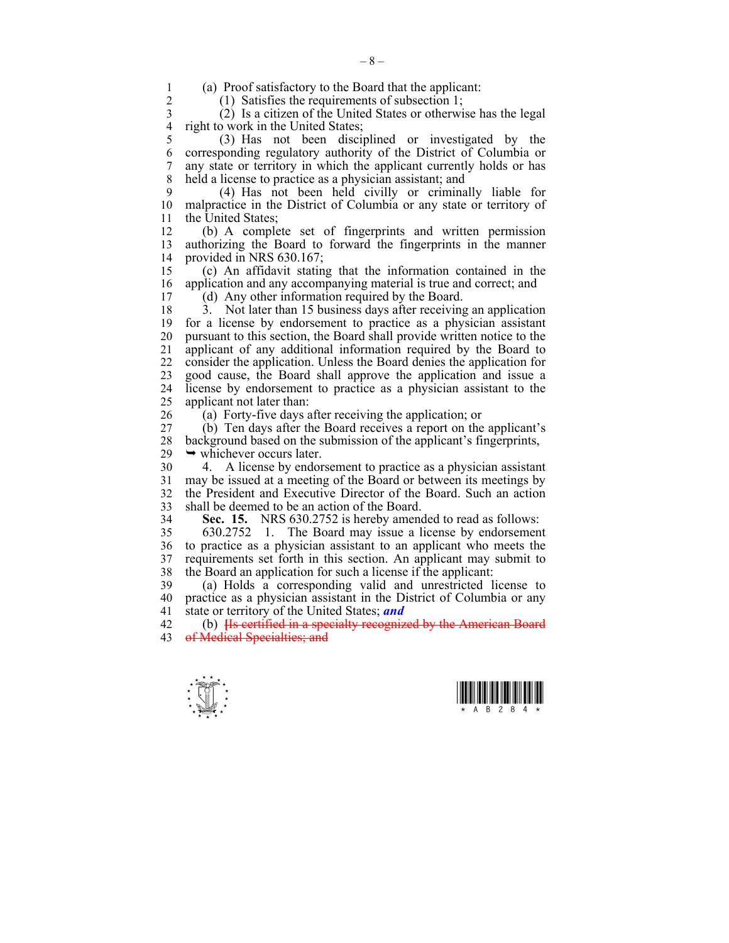1 (a) Proof satisfactory to the Board that the applicant:

(1) Satisfies the requirements of subsection 1;

3 (2) Is a citizen of the United States or otherwise has the legal 4 right to work in the United States;<br>5 (3) Has not been disci-

5 (3) Has not been disciplined or investigated by the 6 corresponding regulatory authority of the District of Columbia or 7 any state or territory in which the applicant currently holds or has 8 held a license to practice as a physician assistant; and

9 (4) Has not been held civilly or criminally liable for 10 malpractice in the District of Columbia or any state or territory of 11 the United States;

12 (b) A complete set of fingerprints and written permission 13 authorizing the Board to forward the fingerprints in the manner 14 provided in NRS 630.167;

15 (c) An affidavit stating that the information contained in the 16 application and any accompanying material is true and correct; and

17 (d) Any other information required by the Board.

18 3. Not later than 15 business days after receiving an application 19 for a license by endorsement to practice as a physician assistant 20 pursuant to this section, the Board shall provide written notice to the 21 applicant of any additional information required by the Board to 22 consider the application. Unless the Board denies the application for 23 good cause, the Board shall approve the application and issue a 24 license by endorsement to practice as a physician assistant to the 25 applicant not later than:

26 (a) Forty-five days after receiving the application; or

27 (b) Ten days after the Board receives a report on the applicant's 28 background based on the submission of the applicant's fingerprints,  $29 \rightarrow$  whichever occurs later.

30 4. A license by endorsement to practice as a physician assistant 31 may be issued at a meeting of the Board or between its meetings by 32 the President and Executive Director of the Board. Such an action 33 shall be deemed to be an action of the Board.

34 **Sec. 15.** NRS 630.2752 is hereby amended to read as follows:

35 630.2752 1. The Board may issue a license by endorsement 36 to practice as a physician assistant to an applicant who meets the 37 requirements set forth in this section. An applicant may submit to 38 the Board an application for such a license if the applicant:

39 (a) Holds a corresponding valid and unrestricted license to 40 practice as a physician assistant in the District of Columbia or any 41 state or territory of the United States; *and*

42 (b) **[**Is certified in a specialty recognized by the American Board 43 of Medical Specialties; and



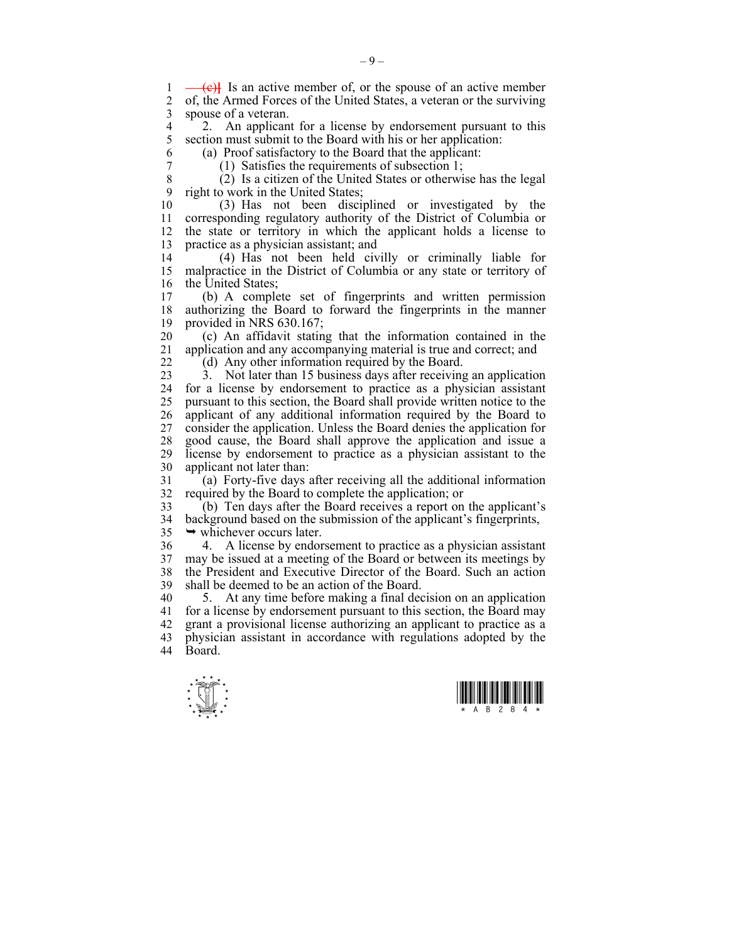1 (c)<sup>1</sup> Is an active member of, or the spouse of an active member 2 of the Armed Forces of the United States a veteran or the surviving 2 of, the Armed Forces of the United States, a veteran or the surviving 3 spouse of a veteran.

4 2. An applicant for a license by endorsement pursuant to this<br>5 section must submit to the Board with his or her application: section must submit to the Board with his or her application:

6 (a) Proof satisfactory to the Board that the applicant:

7 (1) Satisfies the requirements of subsection 1;

8 (2) Is a citizen of the United States or otherwise has the legal 9 right to work in the United States;

10 (3) Has not been disciplined or investigated by the 11 corresponding regulatory authority of the District of Columbia or 12 the state or territory in which the applicant holds a license to 13 practice as a physician assistant; and

14 (4) Has not been held civilly or criminally liable for 15 malpractice in the District of Columbia or any state or territory of 16 the United States:

17 (b) A complete set of fingerprints and written permission 18 authorizing the Board to forward the fingerprints in the manner 19 provided in NRS 630.167;

20 (c) An affidavit stating that the information contained in the 21 application and any accompanying material is true and correct; and

22 (d) Any other information required by the Board.

23 3. Not later than 15 business days after receiving an application 24 for a license by endorsement to practice as a physician assistant 25 pursuant to this section, the Board shall provide written notice to the 26 applicant of any additional information required by the Board to 27 consider the application. Unless the Board denies the application for 28 good cause, the Board shall approve the application and issue a license by endorsement to practice as a physician assistant to the 30 applicant not later than:

31 (a) Forty-five days after receiving all the additional information 32 required by the Board to complete the application; or

33 (b) Ten days after the Board receives a report on the applicant's 34 background based on the submission of the applicant's fingerprints,  $35 \rightarrow$  whichever occurs later.

36 4. A license by endorsement to practice as a physician assistant 37 may be issued at a meeting of the Board or between its meetings by 38 the President and Executive Director of the Board. Such an action 39 shall be deemed to be an action of the Board.

40 5. At any time before making a final decision on an application 41 for a license by endorsement pursuant to this section, the Board may 42 grant a provisional license authorizing an applicant to practice as a 43 physician assistant in accordance with regulations adopted by the 44 Board.



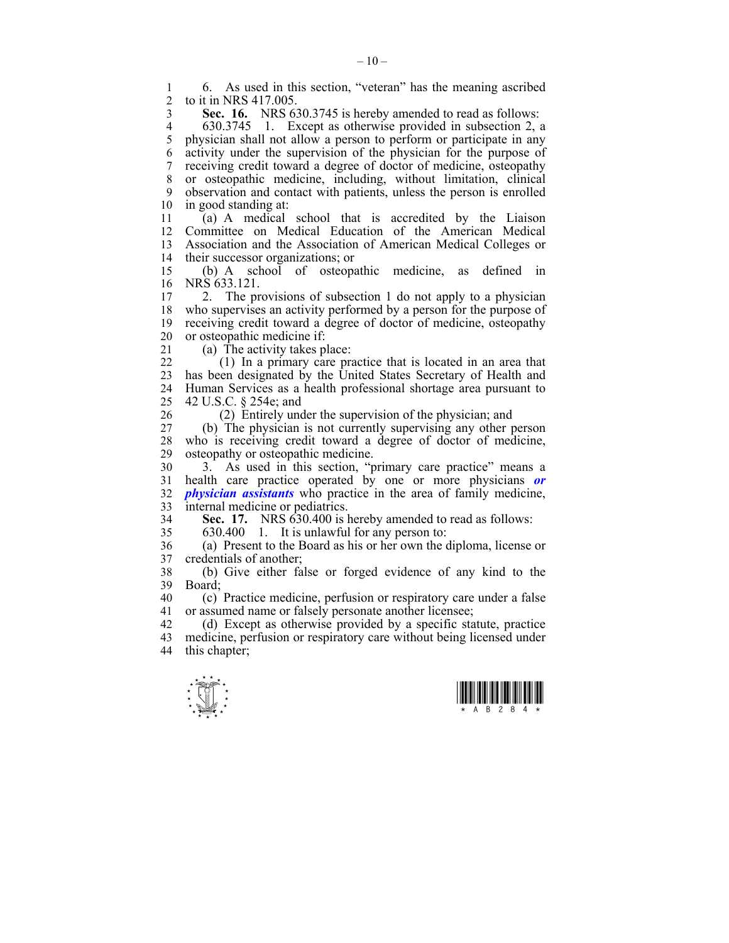1 6. As used in this section, "veteran" has the meaning ascribed 2 to it in NRS 417 005 2 to it in NRS 417.005.

3 **Sec. 16.** NRS 630.3745 is hereby amended to read as follows:

4 630.3745 1. Except as otherwise provided in subsection 2, a<br>5 physician shall not allow a person to perform or participate in any physician shall not allow a person to perform or participate in any 6 activity under the supervision of the physician for the purpose of 7 receiving credit toward a degree of doctor of medicine, osteopathy 8 or osteopathic medicine, including, without limitation, clinical 9 observation and contact with patients, unless the person is enrolled 10 in good standing at:

11 (a) A medical school that is accredited by the Liaison 12 Committee on Medical Education of the American Medical 13 Association and the Association of American Medical Colleges or 14 their successor organizations; or

15 (b) A school of osteopathic medicine, as defined in 16 NRS 633.121.

17 2. The provisions of subsection 1 do not apply to a physician 18 who supervises an activity performed by a person for the purpose of 19 receiving credit toward a degree of doctor of medicine, osteopathy 20 or osteopathic medicine if:

21 (a) The activity takes place:

22 (1) In a primary care practice that is located in an area that 23 has been designated by the United States Secretary of Health and 24 Human Services as a health professional shortage area pursuant to 25 42 U.S.C. § 254e; and

26 (2) Entirely under the supervision of the physician; and

27 (b) The physician is not currently supervising any other person 28 who is receiving credit toward a degree of doctor of medicine, 29 osteopathy or osteopathic medicine.

30 3. As used in this section, "primary care practice" means a 31 health care practice operated by one or more physicians *or*  32 *physician assistants* who practice in the area of family medicine, 33 internal medicine or pediatrics.

34 **Sec. 17.** NRS 630.400 is hereby amended to read as follows:

35 630.400 1. It is unlawful for any person to:

36 (a) Present to the Board as his or her own the diploma, license or 37 credentials of another;

38 (b) Give either false or forged evidence of any kind to the 39 Board;

40 (c) Practice medicine, perfusion or respiratory care under a false 41 or assumed name or falsely personate another licensee;

42 (d) Except as otherwise provided by a specific statute, practice 43 medicine, perfusion or respiratory care without being licensed under 44 this chapter;



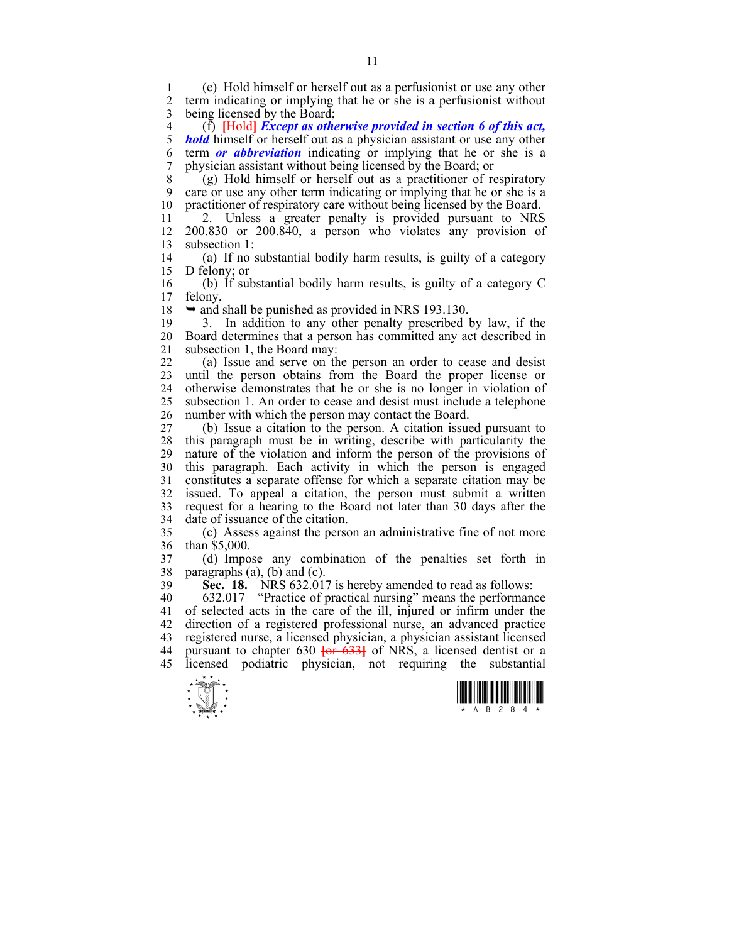1 (e) Hold himself or herself out as a perfusionist or use any other 2 term indicating or implying that he or she is a perfusionist without 3 being licensed by the Board;

4 (f) **[**Hold**]** *Except as otherwise provided in section 6 of this act, hold* himself or herself out as a physician assistant or use any other 6 term *or abbreviation* indicating or implying that he or she is a 7 physician assistant without being licensed by the Board; or

8 (g) Hold himself or herself out as a practitioner of respiratory 9 care or use any other term indicating or implying that he or she is a 10 practitioner of respiratory care without being licensed by the Board.

11 <sup>2</sup> 2. Unless a greater penalty is provided pursuant to NRS 12 200.830 or 200.840, a person who violates any provision of 13 subsection 1:

14 (a) If no substantial bodily harm results, is guilty of a category 15 D felony; or

16 (b) If substantial bodily harm results, is guilty of a category C 17 felony,

18  $\rightarrow$  and shall be punished as provided in NRS 193.130.

19 3. In addition to any other penalty prescribed by law, if the 20 Board determines that a person has committed any act described in 21 subsection 1, the Board may:

22 (a) Issue and serve on the person an order to cease and desist 23 until the person obtains from the Board the proper license or 24 otherwise demonstrates that he or she is no longer in violation of 25 subsection 1. An order to cease and desist must include a telephone 26 number with which the person may contact the Board.

27 (b) Issue a citation to the person. A citation issued pursuant to 28 this paragraph must be in writing, describe with particularity the 29 nature of the violation and inform the person of the provisions of 30 this paragraph. Each activity in which the person is engaged 31 constitutes a separate offense for which a separate citation may be 32 issued. To appeal a citation, the person must submit a written 33 request for a hearing to the Board not later than 30 days after the 34 date of issuance of the citation.

35 (c) Assess against the person an administrative fine of not more 36 than \$5,000.

37 (d) Impose any combination of the penalties set forth in 38 paragraphs  $(a)$ ,  $(b)$  and  $(c)$ .

39 **Sec. 18.** NRS 632.017 is hereby amended to read as follows:

40 632.017 "Practice of practical nursing" means the performance 41 of selected acts in the care of the ill, injured or infirm under the 42 direction of a registered professional nurse, an advanced practice 43 registered nurse, a licensed physician, a physician assistant licensed 44 pursuant to chapter 630 **[**or 633**]** of NRS, a licensed dentist or a 45 licensed podiatric physician, not requiring the substantial



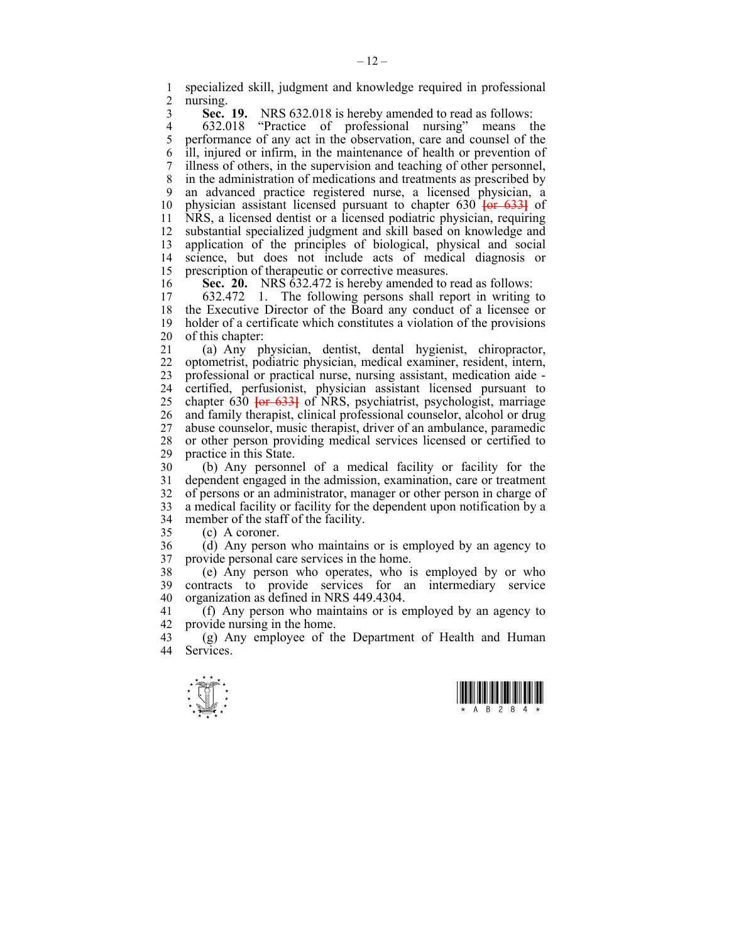1 specialized skill, judgment and knowledge required in professional nursing.

**Sec. 19.** NRS 632.018 is hereby amended to read as follows:<br>4 632.018 "Practice of professional nursing" means the 4 632.018 "Practice of professional nursing" means the<br>5 performance of any act in the observation, care and counsel of the 5 performance of any act in the observation, care and counsel of the 6 ill, injured or infirm, in the maintenance of health or prevention of 7 illness of others, in the supervision and teaching of other personnel, 8 in the administration of medications and treatments as prescribed by 9 an advanced practice registered nurse, a licensed physician, a 10 physician assistant licensed pursuant to chapter 630 **[**or 633**]** of 11 NRS, a licensed dentist or a licensed podiatric physician, requiring 12 substantial specialized judgment and skill based on knowledge and 13 application of the principles of biological, physical and social 14 science, but does not include acts of medical diagnosis or 15 prescription of therapeutic or corrective measures.

16 **Sec. 20.** NRS 632.472 is hereby amended to read as follows:<br>17 632.472 1 The following persons shall report in writing

17 632.472 1. The following persons shall report in writing to 18 the Executive Director of the Board any conduct of a licensee or 19 holder of a certificate which constitutes a violation of the provisions 20 of this chapter:

21 (a) Any physician, dentist, dental hygienist, chiropractor, 22 optometrist, podiatric physician, medical examiner, resident, intern, 23 professional or practical nurse, nursing assistant, medication aide - 24 certified, perfusionist, physician assistant licensed pursuant to 25 chapter 630 **[**or 633**]** of NRS, psychiatrist, psychologist, marriage 26 and family therapist, clinical professional counselor, alcohol or drug 27 abuse counselor, music therapist, driver of an ambulance, paramedic 28 or other person providing medical services licensed or certified to practice in this State.

30 (b) Any personnel of a medical facility or facility for the 31 dependent engaged in the admission, examination, care or treatment 32 of persons or an administrator, manager or other person in charge of 33 a medical facility or facility for the dependent upon notification by a 34 member of the staff of the facility.

35 (c) A coroner.

36 (d) Any person who maintains or is employed by an agency to 37 provide personal care services in the home.

38 (e) Any person who operates, who is employed by or who 39 contracts to provide services for an intermediary service 40 organization as defined in NRS 449.4304.

41 (f) Any person who maintains or is employed by an agency to 42 provide nursing in the home.

43 (g) Any employee of the Department of Health and Human 44 Services Services.



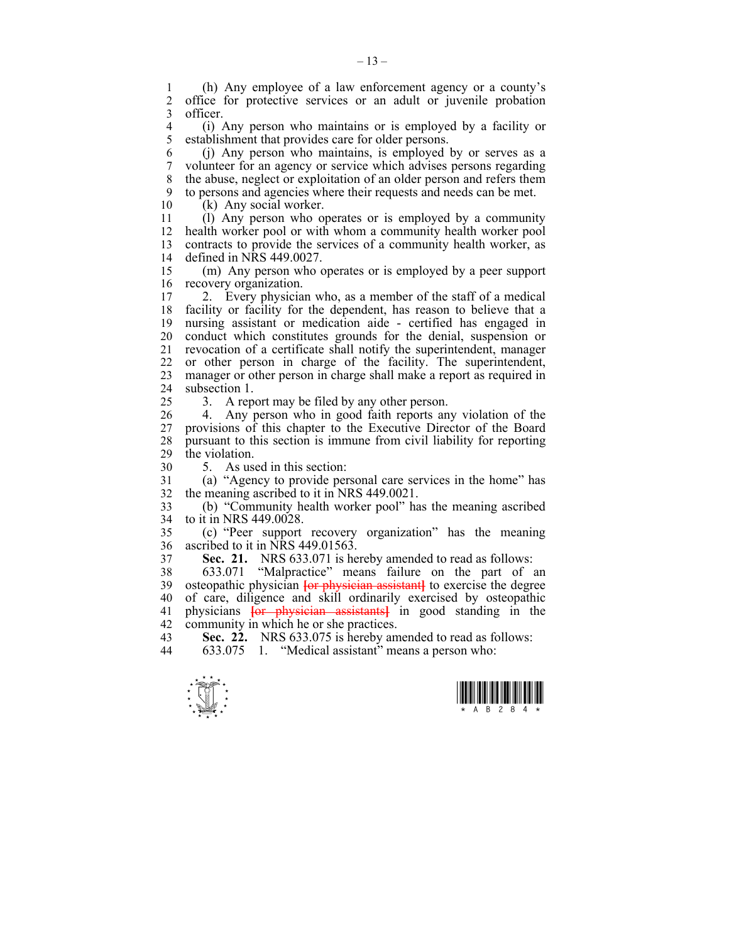1 (h) Any employee of a law enforcement agency or a county's 2 office for protective services or an adult or juvenile probation 3 officer.

4 (i) Any person who maintains or is employed by a facility or establishment that provides care for older persons. establishment that provides care for older persons.

6 (j) Any person who maintains, is employed by or serves as a 7 volunteer for an agency or service which advises persons regarding 8 the abuse, neglect or exploitation of an older person and refers them 9 to persons and agencies where their requests and needs can be met.

10 (k) Any social worker.

11 (l) Any person who operates or is employed by a community 12 health worker pool or with whom a community health worker pool 13 contracts to provide the services of a community health worker, as 14 defined in NRS 449.0027.

15 (m) Any person who operates or is employed by a peer support 16 recovery organization.

17 2. Every physician who, as a member of the staff of a medical 18 facility or facility for the dependent, has reason to believe that a 19 nursing assistant or medication aide - certified has engaged in 20 conduct which constitutes grounds for the denial, suspension or 21 revocation of a certificate shall notify the superintendent, manager 22 or other person in charge of the facility. The superintendent, 23 manager or other person in charge shall make a report as required in 24 subsection 1.

25 3. A report may be filed by any other person.

26 4. Any person who in good faith reports any violation of the 27 provisions of this chapter to the Executive Director of the Board 28 pursuant to this section is immune from civil liability for reporting 29 the violation.

30 5. As used in this section:

31 (a) "Agency to provide personal care services in the home" has 32 the meaning ascribed to it in NRS 449.0021.

33 (b) "Community health worker pool" has the meaning ascribed 34 to it in NRS 449.0028.

35 (c) "Peer support recovery organization" has the meaning 36 ascribed to it in NRS 449.01563.

37 **Sec. 21.** NRS 633.071 is hereby amended to read as follows:

38 633.071 "Malpractice" means failure on the part of an 39 osteopathic physician **[**or physician assistant**]** to exercise the degree 40 of care, diligence and skill ordinarily exercised by osteopathic 41 physicians **[**or physician assistants**]** in good standing in the 42 community in which he or she practices.

43 **Sec. 22.** NRS 633.075 is hereby amended to read as follows:<br>44 633.075 1 "Medical assistant" means a person who:

633.075 1. "Medical assistant" means a person who:



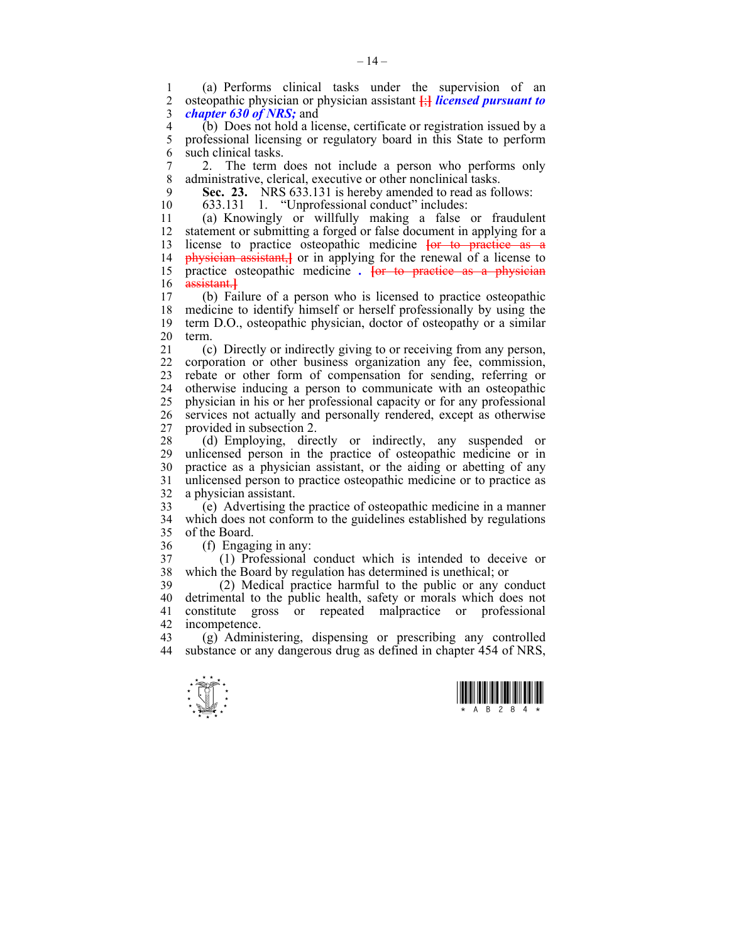1 (a) Performs clinical tasks under the supervision of an  $\alpha$  osteopathic physician or physician assistant  $\ddot{\theta}$  is interestingular to 2 osteopathic physician or physician assistant **[**;**]** *licensed pursuant to*  3 *chapter 630 of NRS;* and

4 (b) Does not hold a license, certificate or registration issued by a<br>5 professional licensing or regulatory board in this State to perform 5 professional licensing or regulatory board in this State to perform 6 such clinical tasks.

7 2. The term does not include a person who performs only 8 administrative, clerical, executive or other nonclinical tasks.

9 **Sec. 23.** NRS 633.131 is hereby amended to read as follows:

10 633.131 1. "Unprofessional conduct" includes:

11 (a) Knowingly or willfully making a false or fraudulent 12 statement or submitting a forged or false document in applying for a 13 license to practice osteopathic medicine **[**or to practice as a 14 physician assistant,**]** or in applying for the renewal of a license to 15 practice osteopathic medicine *.* **[**or to practice as a physician 16 assistant.**]**

17 (b) Failure of a person who is licensed to practice osteopathic 18 medicine to identify himself or herself professionally by using the 19 term D.O., osteopathic physician, doctor of osteopathy or a similar 20 term.

21 (c) Directly or indirectly giving to or receiving from any person, 22 corporation or other business organization any fee, commission, 23 rebate or other form of compensation for sending, referring or 24 otherwise inducing a person to communicate with an osteopathic 25 physician in his or her professional capacity or for any professional 26 services not actually and personally rendered, except as otherwise 27 provided in subsection 2.

28 (d) Employing, directly or indirectly, any suspended or unlicensed person in the practice of osteopathic medicine or in 30 practice as a physician assistant, or the aiding or abetting of any 31 unlicensed person to practice osteopathic medicine or to practice as 32 a physician assistant.

33 (e) Advertising the practice of osteopathic medicine in a manner 34 which does not conform to the guidelines established by regulations 35 of the Board.

36 (f) Engaging in any:

37 (1) Professional conduct which is intended to deceive or 38 which the Board by regulation has determined is unethical; or

39 (2) Medical practice harmful to the public or any conduct 40 detrimental to the public health, safety or morals which does not 41 constitute gross or repeated malpractice or professional 42 incompetence.<br>43 (g) Admini

 $(g)$  Administering, dispensing or prescribing any controlled 44 substance or any dangerous drug as defined in chapter 454 of NRS,



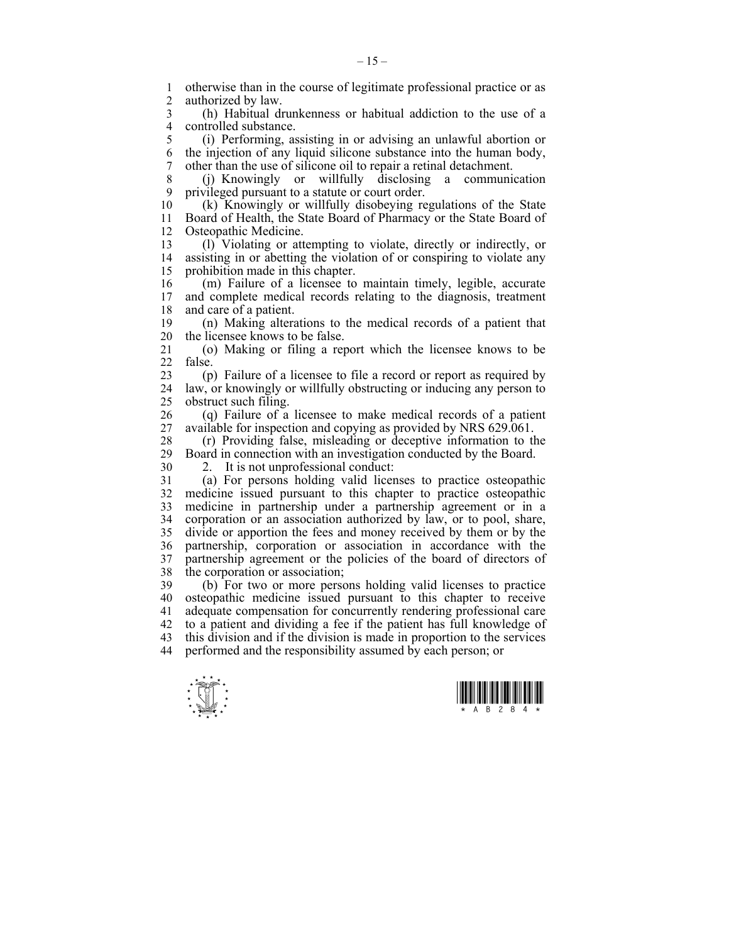1 otherwise than in the course of legitimate professional practice or as 2 authorized by law authorized by law.

3 (h) Habitual drunkenness or habitual addiction to the use of a 4 controlled substance.<br>5 (i) Performing, as

5 (i) Performing, assisting in or advising an unlawful abortion or 6 the injection of any liquid silicone substance into the human body, 7 other than the use of silicone oil to repair a retinal detachment.

8 (j) Knowingly or willfully disclosing a communication 9 privileged pursuant to a statute or court order.<br>10 (k) Knowingly or willfully disobeving re

(k) Knowingly or willfully disobeying regulations of the State 11 Board of Health, the State Board of Pharmacy or the State Board of 12 Osteopathic Medicine.

13 (l) Violating or attempting to violate, directly or indirectly, or 14 assisting in or abetting the violation of or conspiring to violate any 15 prohibition made in this chapter.

16 (m) Failure of a licensee to maintain timely, legible, accurate and complete medical records relating to the diagnosis, treatment 18 and care of a patient.

19 (n) Making alterations to the medical records of a patient that 20 the licensee knows to be false.

21 (o) Making or filing a report which the licensee knows to be 22 false.

23 (p) Failure of a licensee to file a record or report as required by 24 law, or knowingly or willfully obstructing or inducing any person to 25 obstruct such filing.

26 (q) Failure of a licensee to make medical records of a patient 27 available for inspection and copying as provided by NRS 629.061.

28 (r) Providing false, misleading or deceptive information to the  $29$  Board in connection with an investigation conducted by the Board. Board in connection with an investigation conducted by the Board.

30 2. It is not unprofessional conduct:

31 (a) For persons holding valid licenses to practice osteopathic 32 medicine issued pursuant to this chapter to practice osteopathic 33 medicine in partnership under a partnership agreement or in a 34 corporation or an association authorized by law, or to pool, share, 35 divide or apportion the fees and money received by them or by the 36 partnership, corporation or association in accordance with the 37 partnership agreement or the policies of the board of directors of 38 the corporation or association;

39 (b) For two or more persons holding valid licenses to practice 40 osteopathic medicine issued pursuant to this chapter to receive 41 adequate compensation for concurrently rendering professional care 42 to a patient and dividing a fee if the patient has full knowledge of 43 this division and if the division is made in proportion to the services 44 performed and the responsibility assumed by each person; or



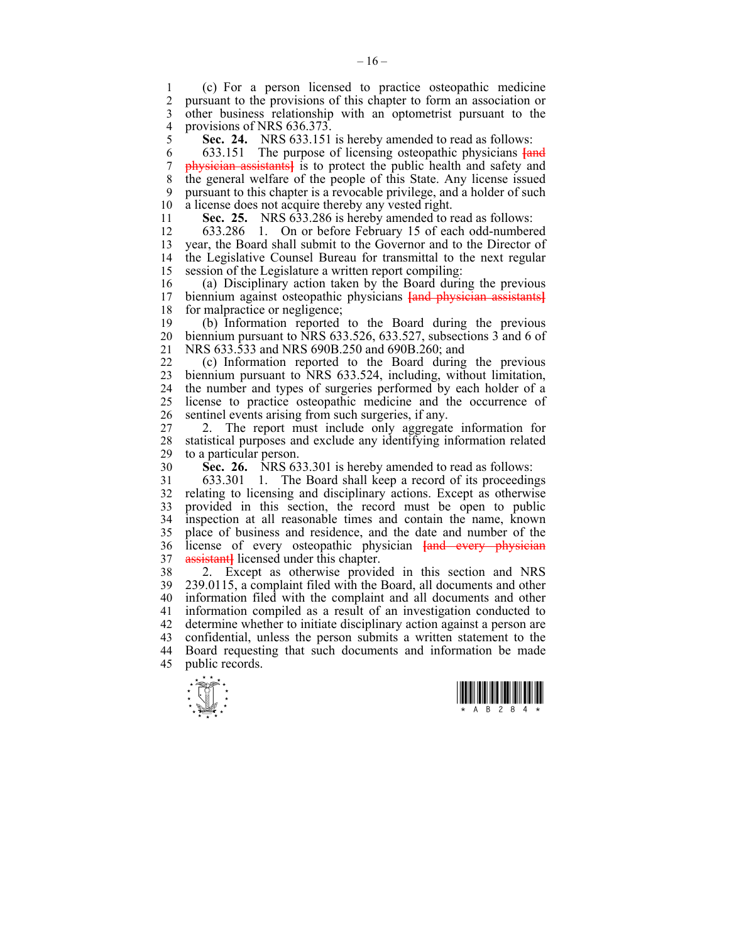1 (c) For a person licensed to practice osteopathic medicine pursuant to the provisions of this chapter to form an association or 3 other business relationship with an optometrist pursuant to the 4 provisions of NRS 636.373.<br>5 **Sec. 24.** NRS 633.151

5 **Sec. 24.** NRS 633.151 is hereby amended to read as follows:

6 633.151 The purpose of licensing osteopathic physicians **[**and 7 physician assistants**]** is to protect the public health and safety and 8 the general welfare of the people of this State. Any license issued 9 pursuant to this chapter is a revocable privilege, and a holder of such 10 a license does not acquire thereby any vested right.

11 **Sec. 25.** NRS 633.286 is hereby amended to read as follows:

12 633.286 1. On or before February 15 of each odd-numbered 13 year, the Board shall submit to the Governor and to the Director of 14 the Legislative Counsel Bureau for transmittal to the next regular 15 session of the Legislature a written report compiling:

16 (a) Disciplinary action taken by the Board during the previous 17 biennium against osteopathic physicians Land physician assistants biennium against osteopathic physicians **[and physician assistants]** 18 for malpractice or negligence;

19 (b) Information reported to the Board during the previous 20 biennium pursuant to NRS 633.526, 633.527, subsections 3 and 6 of 21 NRS 633.533 and NRS 690B.250 and 690B.260; and

22 (c) Information reported to the Board during the previous 23 biennium pursuant to NRS 633.524, including, without limitation, 24 the number and types of surgeries performed by each holder of a 25 license to practice osteopathic medicine and the occurrence of 26 sentinel events arising from such surgeries, if any.

27 2. The report must include only aggregate information for 28 statistical purposes and exclude any identifying information related to a particular person.

30 **Sec. 26.** NRS 633.301 is hereby amended to read as follows:

31 633.301 1. The Board shall keep a record of its proceedings 32 relating to licensing and disciplinary actions. Except as otherwise 33 provided in this section, the record must be open to public 34 inspection at all reasonable times and contain the name, known 35 place of business and residence, and the date and number of the 36 license of every osteopathic physician **[**and every physician 37 assistant**]** licensed under this chapter.

38 2. Except as otherwise provided in this section and NRS 39 239.0115, a complaint filed with the Board, all documents and other 40 information filed with the complaint and all documents and other 41 information compiled as a result of an investigation conducted to 42 determine whether to initiate disciplinary action against a person are 43 confidential, unless the person submits a written statement to the 44 Board requesting that such documents and information be made 45 public records.



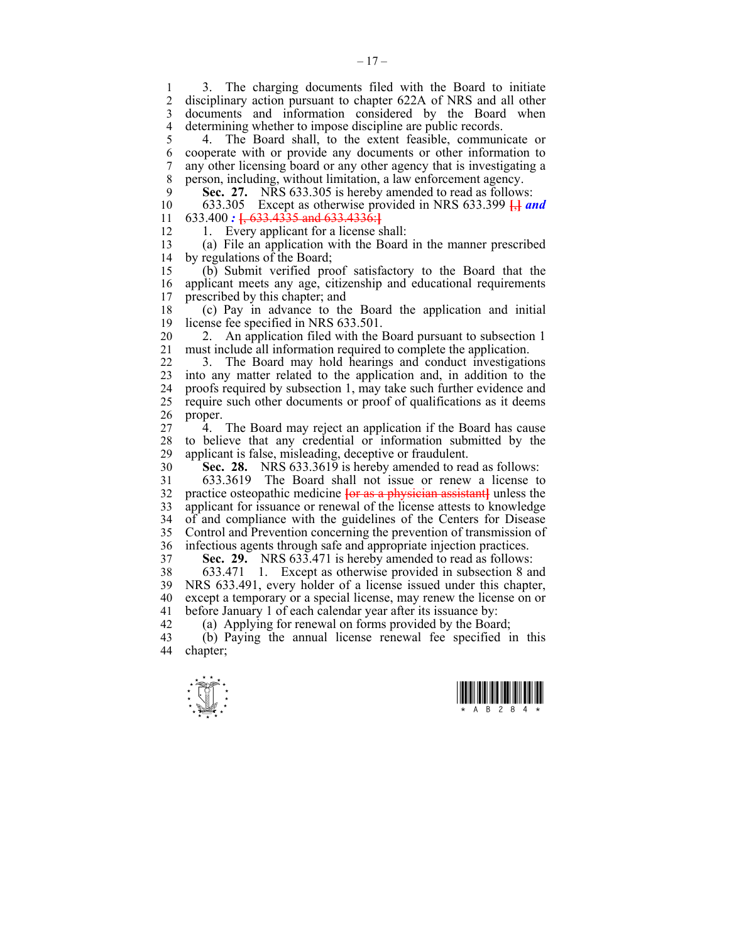1 3. The charging documents filed with the Board to initiate<br>2. disciplinary action pursuant to chapter 622A of NRS and all other 2 disciplinary action pursuant to chapter 622A of NRS and all other 3 documents and information considered by the Board when 4 determining whether to impose discipline are public records.

5 4. The Board shall, to the extent feasible, communicate or 6 cooperate with or provide any documents or other information to 7 any other licensing board or any other agency that is investigating a 8 person, including, without limitation, a law enforcement agency.

9 **Sec. 27.** NRS 633.305 is hereby amended to read as follows:<br>10 633.305 Except as otherwise provided in NRS 633.399  $\overline{H}$  m

10 633.305 Except as otherwise provided in NRS 633.399 **[**,**]** *and*  11 633.400 *:* **[**, 633.4335 and 633.4336:**]**

12 1. Every applicant for a license shall:

13 (a) File an application with the Board in the manner prescribed 14 by regulations of the Board;

15 (b) Submit verified proof satisfactory to the Board that the 16 applicant meets any age, citizenship and educational requirements 17 prescribed by this chapter; and

18 (c) Pay in advance to the Board the application and initial 19 license fee specified in NRS 633.501.

20 2. An application filed with the Board pursuant to subsection 1 21 must include all information required to complete the application.

22 3. The Board may hold hearings and conduct investigations 23 into any matter related to the application and, in addition to the 24 proofs required by subsection 1, may take such further evidence and 25 require such other documents or proof of qualifications as it deems 26 proper.

27 4. The Board may reject an application if the Board has cause 28 to believe that any credential or information submitted by the applicant is false, misleading, deceptive or fraudulent.

30 **Sec. 28.** NRS 633.3619 is hereby amended to read as follows:

31 633.3619 The Board shall not issue or renew a license to 32 practice osteopathic medicine **[**or as a physician assistant**]** unless the 33 applicant for issuance or renewal of the license attests to knowledge 34 of and compliance with the guidelines of the Centers for Disease 35 Control and Prevention concerning the prevention of transmission of 36 infectious agents through safe and appropriate injection practices.

37 **Sec. 29.** NRS 633.471 is hereby amended to read as follows:

38 633.471 1. Except as otherwise provided in subsection 8 and 39 NRS 633.491, every holder of a license issued under this chapter, 40 except a temporary or a special license, may renew the license on or 41 before January 1 of each calendar year after its issuance by:

42 (a) Applying for renewal on forms provided by the Board;

43 (b) Paying the annual license renewal fee specified in this 44 chapter;



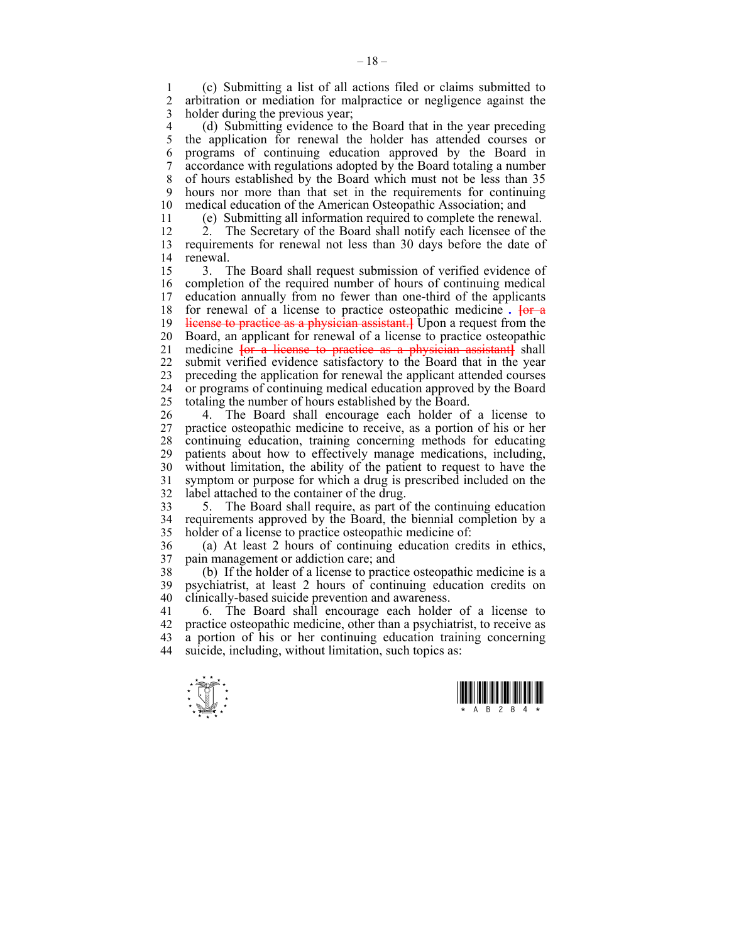1 (c) Submitting a list of all actions filed or claims submitted to 2 arbitration or mediation for malpractice or negligence against the 3 holder during the previous year;

4 (d) Submitting evidence to the Board that in the year preceding<br>5 the application for renewal the holder has attended courses or 5 the application for renewal the holder has attended courses or 6 programs of continuing education approved by the Board in 7 accordance with regulations adopted by the Board totaling a number 8 of hours established by the Board which must not be less than 35 9 hours nor more than that set in the requirements for continuing 10 medical education of the American Osteonathic Association and medical education of the American Osteopathic Association; and

11 (e) Submitting all information required to complete the renewal.

12 2. The Secretary of the Board shall notify each licensee of the 13 requirements for renewal not less than 30 days before the date of 14 renewal.

15 3. The Board shall request submission of verified evidence of 16 completion of the required number of hours of continuing medical 17 education annually from no fewer than one-third of the applicants 18 for renewal of a license to practice osteopathic medicine *.* **[**or a 19 license to practice as a physician assistant.**]** Upon a request from the 20 Board, an applicant for renewal of a license to practice osteopathic 21 medicine **[**or a license to practice as a physician assistant**]** shall 22 submit verified evidence satisfactory to the Board that in the year 23 preceding the application for renewal the applicant attended courses 24 or programs of continuing medical education approved by the Board 25 totaling the number of hours established by the Board.

26 4. The Board shall encourage each holder of a license to 27 practice osteopathic medicine to receive, as a portion of his or her 28 continuing education, training concerning methods for educating 29 patients about how to effectively manage medications, including, 30 without limitation, the ability of the patient to request to have the 31 symptom or purpose for which a drug is prescribed included on the 32 label attached to the container of the drug.

33 5. The Board shall require, as part of the continuing education 34 requirements approved by the Board, the biennial completion by a 35 holder of a license to practice osteopathic medicine of:

36 (a) At least 2 hours of continuing education credits in ethics, 37 pain management or addiction care; and

38 (b) If the holder of a license to practice osteopathic medicine is a 39 psychiatrist, at least 2 hours of continuing education credits on 40 clinically-based suicide prevention and awareness.

41 6. The Board shall encourage each holder of a license to 42 practice osteopathic medicine, other than a psychiatrist, to receive as 43 a portion of his or her continuing education training concerning 44 suicide, including, without limitation, such topics as:



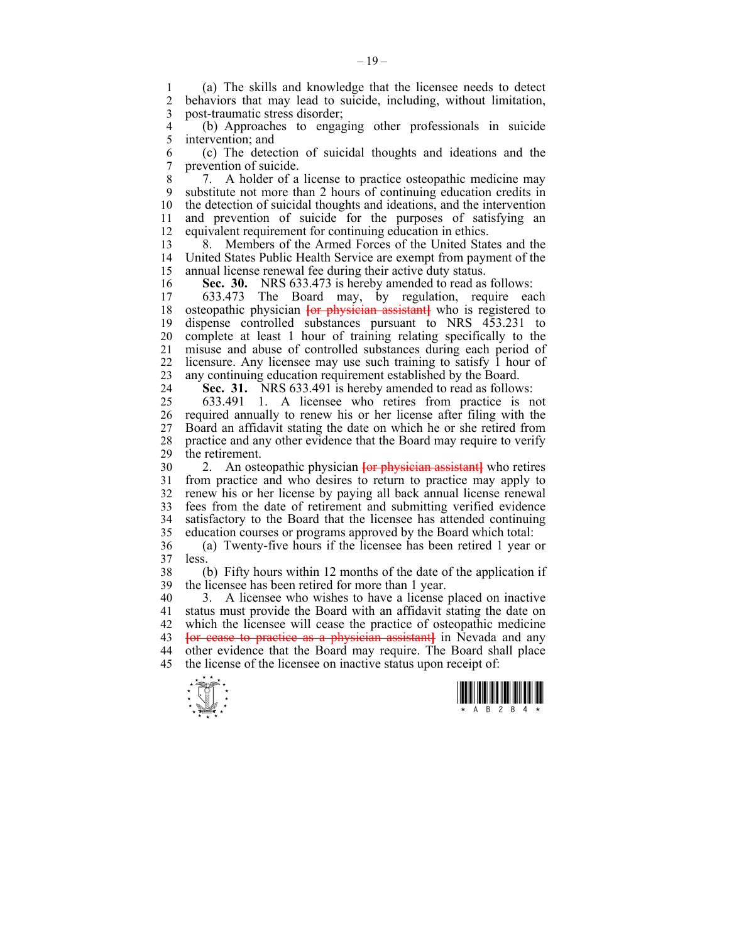1 (a) The skills and knowledge that the licensee needs to detect behaviors that may lead to suicide, including, without limitation, 3 post-traumatic stress disorder;

4 (b) Approaches to engaging other professionals in suicide intervention; and

6 (c) The detection of suicidal thoughts and ideations and the 7 prevention of suicide.

8 7. A holder of a license to practice osteopathic medicine may 9 substitute not more than 2 hours of continuing education credits in 10 the detection of suicidal thoughts and ideations, and the intervention 11 and prevention of suicide for the purposes of satisfying an 12 equivalent requirement for continuing education in ethics.

13 8. Members of the Armed Forces of the United States and the 14 United States Public Health Service are exempt from payment of the 15 annual license renewal fee during their active duty status.

16 **Sec. 30.** NRS 633.473 is hereby amended to read as follows:

17 633.473 The Board may, by regulation, require each 18 osteopathic physician **[**or physician assistant**]** who is registered to 19 dispense controlled substances pursuant to NRS 453.231 to 20 complete at least 1 hour of training relating specifically to the 21 misuse and abuse of controlled substances during each period of 22 licensure. Any licensee may use such training to satisfy 1 hour of 23 any continuing education requirement established by the Board.

24 **Sec. 31.** NRS 633.491 is hereby amended to read as follows:

25 633.491 1. A licensee who retires from practice is not 26 required annually to renew his or her license after filing with the 27 Board an affidavit stating the date on which he or she retired from 28 practice and any other evidence that the Board may require to verify 29 the retirement.

30 2. An osteopathic physician **[**or physician assistant**]** who retires from practice and who desires to return to practice may apply to 32 renew his or her license by paying all back annual license renewal 33 fees from the date of retirement and submitting verified evidence 34 satisfactory to the Board that the licensee has attended continuing 35 education courses or programs approved by the Board which total:

36 (a) Twenty-five hours if the licensee has been retired 1 year or 37 less.

38 (b) Fifty hours within 12 months of the date of the application if 39 the licensee has been retired for more than 1 year.

40 3. A licensee who wishes to have a license placed on inactive 41 status must provide the Board with an affidavit stating the date on 42 which the licensee will cease the practice of osteopathic medicine 43 **[**or cease to practice as a physician assistant**]** in Nevada and any 44 other evidence that the Board may require. The Board shall place 45 the license of the licensee on inactive status upon receipt of:



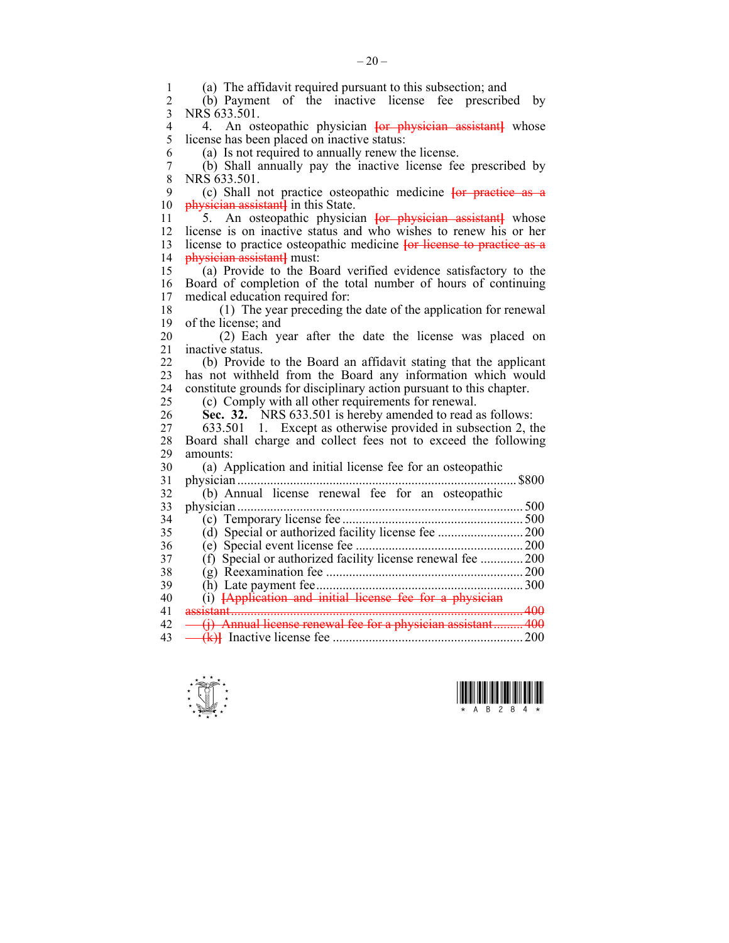1 (a) The affidavit required pursuant to this subsection; and<br>2 (b) Payment of the inactive license fee prescribe 2 (b) Payment of the inactive license fee prescribed by 3 NRS 633.501. 4 4. An osteopathic physician **[or physician assistant**] whose 1 icense has been placed on inactive status: license has been placed on inactive status: 6 (a) Is not required to annually renew the license. 7 (b) Shall annually pay the inactive license fee prescribed by  $\frac{8}{100}$  NRS 633 501 NRS 633.501. 9 (c) Shall not practice osteopathic medicine **[**or practice as a 10 physician assistant**]** in this State. 11 5. An osteopathic physician **[**or physician assistant**]** whose 12 license is on inactive status and who wishes to renew his or her 13 license to practice osteopathic medicine **[**or license to practice as a 14 physician assistant**]** must: 15 (a) Provide to the Board verified evidence satisfactory to the 16 Board of completion of the total number of hours of continuing 17 medical education required for: 18 (1) The year preceding the date of the application for renewal 19 of the license; and 20 (2) Each year after the date the license was placed on 21 inactive status. 22 (b) Provide to the Board an affidavit stating that the applicant 23 has not withheld from the Board any information which would 24 constitute grounds for disciplinary action pursuant to this chapter. 25 (c) Comply with all other requirements for renewal. 26 **Sec. 32.** NRS 633.501 is hereby amended to read as follows: 27 633.501 1. Except as otherwise provided in subsection 2, the 28 Board shall charge and collect fees not to exceed the following 29 amounts: 30 (a) Application and initial license fee for an osteopathic 31 physician ..................................................................................... \$800 32 (b) Annual license renewal fee for an osteopathic 33 physician ....................................................................................... 500 34 (c) Temporary license fee ....................................................... 500 35 (d) Special or authorized facility license fee .......................... 200 36 (e) Special event license fee ................................................... 200 37 (f) Special or authorized facility license renewal fee ............... 200 38 (g) Reexamination fee ............................................................ 200 39 (h) Late payment fee ............................................................... 300 40 (i) **[**Application and initial license fee for a physician 41 assistant ......................................................................................... 400 42 <del>(j)</del> Annual license renewal fee for a physician assistant ......... 400 43 (k)**]** Inactive license fee .......................................................... 200



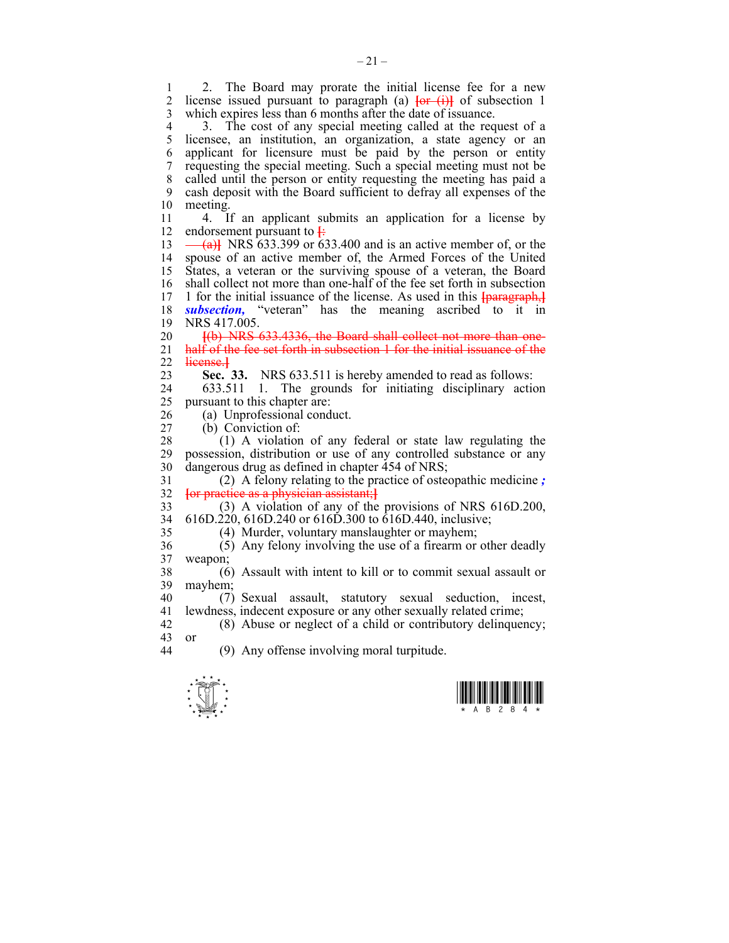1 2. The Board may prorate the initial license fee for a new 2 license issued pursuant to paragraph (a)  $\overrightarrow{for}$  (i) of subsection 1 license issued pursuant to paragraph (a)  $\overline{\text{for (i)}}$  of subsection 1 3 which expires less than 6 months after the date of issuance.

4 3. The cost of any special meeting called at the request of a<br>5 licensee, an institution, an organization, a state agency or an licensee, an institution, an organization, a state agency or an 6 applicant for licensure must be paid by the person or entity 7 requesting the special meeting. Such a special meeting must not be 8 called until the person or entity requesting the meeting has paid a 9 cash deposit with the Board sufficient to defray all expenses of the 10 meeting.

11 4. If an applicant submits an application for a license by 12 endorsement pursuant to  $\frac{1}{2}$ 

 $13 \leftarrow$  (a)<sup> $\leftarrow$ </sup> NRS 633.399 or 633.400 and is an active member of, or the 14 spouse of an active member of, the Armed Forces of the United 15 States, a veteran or the surviving spouse of a veteran, the Board 16 shall collect not more than one-half of the fee set forth in subsection 17 1 for the initial issuance of the license. As used in this  $\frac{1}{12}$ 17 1 for the initial issuance of the license. As used in this **[**paragraph,**]** 18 *subsection,* "veteran" has the meaning ascribed to it in 19 NRS 417.005.

20 **[**(b) NRS 633.4336, the Board shall collect not more than one-21 half of the fee set forth in subsection 1 for the initial issuance of the 22 license.**]**

23 **Sec. 33.** NRS 633.511 is hereby amended to read as follows:

24 633.511 1. The grounds for initiating disciplinary action 25 pursuant to this chapter are:

26 (a) Unprofessional conduct.

27 (b) Conviction of:

 $28$  (1) A violation of any federal or state law regulating the 29 possession, distribution or use of any controlled substance or any 30 dangerous drug as defined in chapter 454 of NRS;

31 (2) A felony relating to the practice of osteopathic medicine *;* 32 **[**or practice as a physician assistant;**]**

33 (3) A violation of any of the provisions of NRS 616D.200, 34 616D.220, 616D.240 or 616D.300 to 616D.440, inclusive;

35 (4) Murder, voluntary manslaughter or mayhem;

36 (5) Any felony involving the use of a firearm or other deadly 37 weapon;

38 (6) Assault with intent to kill or to commit sexual assault or 39 mayhem;

40 (7) Sexual assault, statutory sexual seduction, incest, 41 lewdness, indecent exposure or any other sexually related crime;

42 (8) Abuse or neglect of a child or contributory delinquency; 43 or 44 (9) Any offense involving moral turpitude.

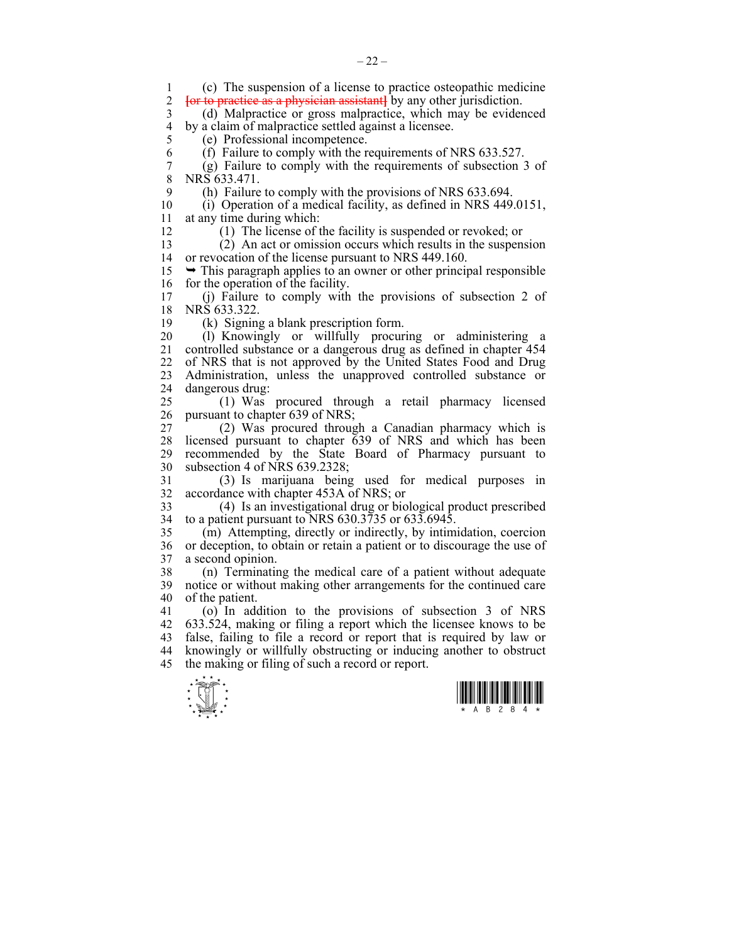$\frac{1}{\sqrt{2}}$ 1 (c) The suspension of a license to practice osteopathic medicine<br>2 **for to practice as a physician assistant** by any other jurisdiction 2 **[**or to practice as a physician assistant**]** by any other jurisdiction. 3 (d) Malpractice or gross malpractice, which may be evidenced 4 by a claim of malpractice settled against a licensee.<br>5 (e) Professional incompetence. 5 (e) Professional incompetence. 6 (f) Failure to comply with the requirements of NRS 633.527. 7 (g) Failure to comply with the requirements of subsection 3 of  $\overline{8}$  NRS 633 471 NRS 633.471. 9 (h) Failure to comply with the provisions of NRS 633.694. 10 (i) Operation of a medical facility, as defined in NRS 449.0151, 11 at any time during which: 12 (1) The license of the facility is suspended or revoked; or 13 (2) An act or omission occurs which results in the suspension 14 or revocation of the license pursuant to NRS 449.160.  $15 \rightarrow$  This paragraph applies to an owner or other principal responsible 16 for the operation of the facility. 17 (j) Failure to comply with the provisions of subsection 2 of 18 NRS 633.322. 19 (k) Signing a blank prescription form. 20 (l) Knowingly or willfully procuring or administering a 21 controlled substance or a dangerous drug as defined in chapter 454 22 of NRS that is not approved by the United States Food and Drug 23 Administration, unless the unapproved controlled substance or 24 dangerous drug: 25 (1) Was procured through a retail pharmacy licensed 26 pursuant to chapter 639 of NRS; 27 (2) Was procured through a Canadian pharmacy which is 28 licensed pursuant to chapter 639 of NRS and which has been 29 recommended by the State Board of Pharmacy pursuant to 30 subsection 4 of NRS 639.2328; 31 (3) Is marijuana being used for medical purposes in 32 accordance with chapter 453A of NRS; or 33 (4) Is an investigational drug or biological product prescribed 34 to a patient pursuant to NRS 630.3735 or 633.6945. 35 (m) Attempting, directly or indirectly, by intimidation, coercion 36 or deception, to obtain or retain a patient or to discourage the use of 37 a second opinion. 38 (n) Terminating the medical care of a patient without adequate 39 notice or without making other arrangements for the continued care 40 of the patient. 41 (o) In addition to the provisions of subsection 3 of NRS 42 633.524, making or filing a report which the licensee knows to be 43 false, failing to file a record or report that is required by law or 44 knowingly or willfully obstructing or inducing another to obstruct 45 the making or filing of such a record or report.

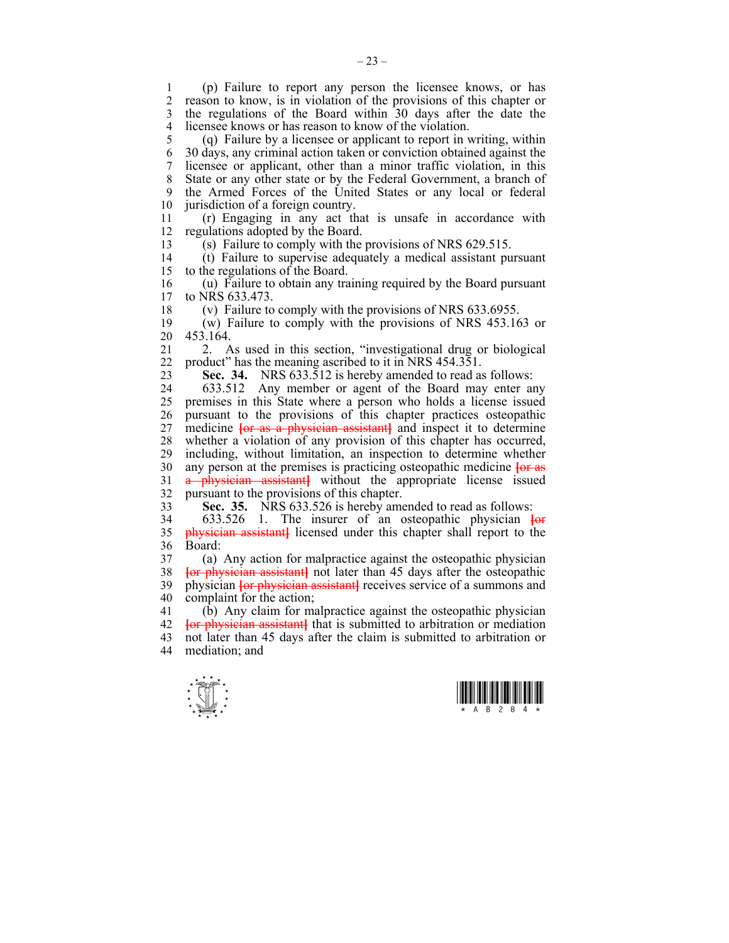1 (p) Failure to report any person the licensee knows, or has reason to know, is in violation of the provisions of this chapter or 3 the regulations of the Board within 30 days after the date the 4 licensee knows or has reason to know of the violation.

5 (q) Failure by a licensee or applicant to report in writing, within 6 30 days, any criminal action taken or conviction obtained against the 7 licensee or applicant, other than a minor traffic violation, in this 8 State or any other state or by the Federal Government, a branch of 9 the Armed Forces of the United States or any local or federal 10 jurisdiction of a foreign country.

11 (r) Engaging in any act that is unsafe in accordance with 12 regulations adopted by the Board.

13 (s) Failure to comply with the provisions of NRS 629.515.

14 (t) Failure to supervise adequately a medical assistant pursuant 15 to the regulations of the Board.

16 (u) Failure to obtain any training required by the Board pursuant to NRS 633.473.

18 (v) Failure to comply with the provisions of NRS 633.6955.

19 (w) Failure to comply with the provisions of NRS 453.163 or 20 453.164.

21 2. As used in this section, "investigational drug or biological 22 product" has the meaning ascribed to it in NRS 454.351.

23 **Sec. 34.** NRS 633.512 is hereby amended to read as follows:

24 633.512 Any member or agent of the Board may enter any 25 premises in this State where a person who holds a license issued 26 pursuant to the provisions of this chapter practices osteopathic 27 medicine **[**or as a physician assistant**]** and inspect it to determine 28 whether a violation of any provision of this chapter has occurred, 29 including, without limitation, an inspection to determine whether 30 any person at the premises is practicing osteopathic medicine **[**or as 31 a physician assistant**]** without the appropriate license issued 32 pursuant to the provisions of this chapter.

33 **Sec. 35.** NRS 633.526 is hereby amended to read as follows:

34 633.526 1. The insurer of an osteopathic physician **[**or 35 physician assistant**]** licensed under this chapter shall report to the 36 Board:

37 (a) Any action for malpractice against the osteopathic physician 38 **For physician assistantl** not later than 45 davs after the osteonathic **For physician assistant** not later than 45 days after the osteopathic 39 physician **[**or physician assistant**]** receives service of a summons and 40 complaint for the action;

41 (b) Any claim for malpractice against the osteopathic physician 42 **[**or physician assistant**]** that is submitted to arbitration or mediation 43 not later than 45 days after the claim is submitted to arbitration or 44 mediation; and



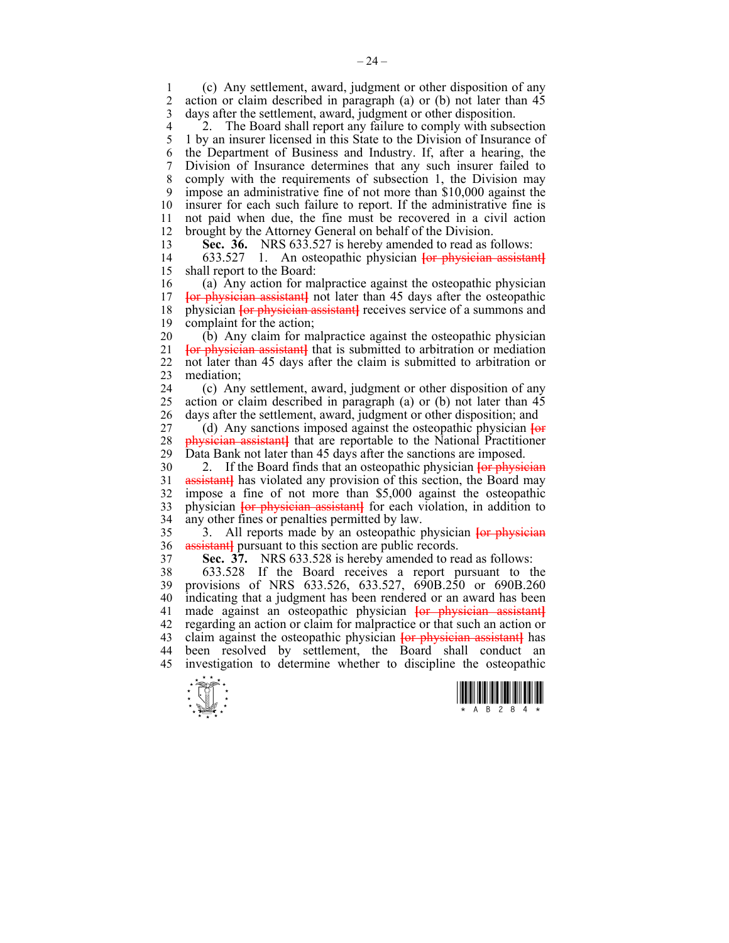1 (c) Any settlement, award, judgment or other disposition of any 2 action or claim described in paragraph (a) or (b) not later than 45 3 days after the settlement, award, judgment or other disposition.

4 2. The Board shall report any failure to comply with subsection<br>5 1 by an insurer licensed in this State to the Division of Insurance of 5 1 by an insurer licensed in this State to the Division of Insurance of 6 the Department of Business and Industry. If, after a hearing, the 7 Division of Insurance determines that any such insurer failed to 8 comply with the requirements of subsection 1, the Division may 9 impose an administrative fine of not more than \$10,000 against the 10 insurer for each such failure to report. If the administrative fine is 11 not paid when due, the fine must be recovered in a civil action 12 brought by the Attorney General on behalf of the Division.

13 **Sec. 36.** NRS 633.527 is hereby amended to read as follows:

14 633.527 1. An osteopathic physician **[**or physician assistant**]** 15 shall report to the Board:

16 (a) Any action for malpractice against the osteopathic physician 17 **[**or physician assistant**]** not later than 45 days after the osteopathic 18 physician **[or physician assistant]** receives service of a summons and 19 complaint for the action;

20 (b) Any claim for malpractice against the osteopathic physician 21 **[**or physician assistant**]** that is submitted to arbitration or mediation 22 not later than 45 days after the claim is submitted to arbitration or 23 mediation;

24 (c) Any settlement, award, judgment or other disposition of any 25 action or claim described in paragraph (a) or (b) not later than 45 26 days after the settlement, award, judgment or other disposition; and

27 (d) Any sanctions imposed against the osteopathic physician **[**or 28 **physician assistant** that are reportable to the National Practitioner 29 Data Bank not later than 45 days after the sanctions are imposed. Data Bank not later than 45 days after the sanctions are imposed.

30 2. If the Board finds that an osteopathic physician **[**or physician 31 **assistant** has violated any provision of this section, the Board may 32 impose a fine of not more than \$5,000 against the osteopathic 33 physician **[**or physician assistant**]** for each violation, in addition to 34 any other fines or penalties permitted by law.

35 3. All reports made by an osteopathic physician **[**or physician 36 assistant**]** pursuant to this section are public records.

37 **Sec. 37.** NRS 633.528 is hereby amended to read as follows:

38 633.528 If the Board receives a report pursuant to the 39 provisions of NRS 633.526, 633.527, 690B.250 or 690B.260 40 indicating that a judgment has been rendered or an award has been 41 made against an osteopathic physician **[**or physician assistant**]** 42 regarding an action or claim for malpractice or that such an action or 43 claim against the osteopathic physician **[**or physician assistant**]** has 44 been resolved by settlement, the Board shall conduct an 45 investigation to determine whether to discipline the osteopathic



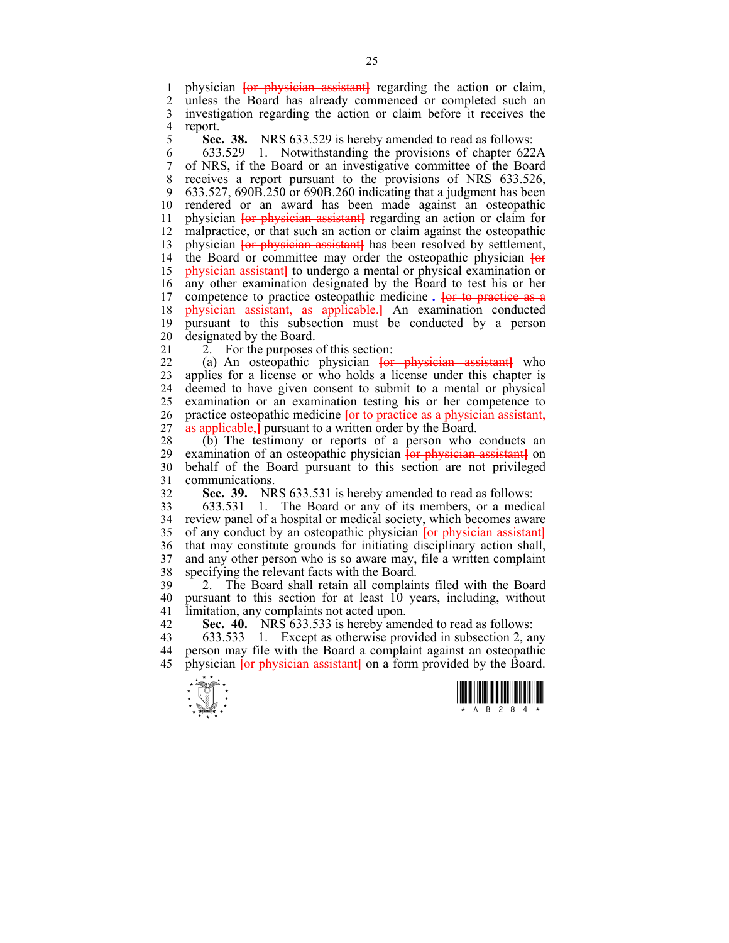1 physician **[or physician assistant]** regarding the action or claim,<br>2 unless the Board has already commenced or completed such an unless the Board has already commenced or completed such an 3 investigation regarding the action or claim before it receives the 4 report.<br>5 **Sec** 

5 **Sec. 38.** NRS 633.529 is hereby amended to read as follows:

6 633.529 1. Notwithstanding the provisions of chapter 622A 7 of NRS, if the Board or an investigative committee of the Board 8 receives a report pursuant to the provisions of NRS 633.526, 9 633.527, 690B.250 or 690B.260 indicating that a judgment has been 10 rendered or an award has been made against an osteopathic 11 physician **[**or physician assistant**]** regarding an action or claim for 12 malpractice, or that such an action or claim against the osteopathic 13 physician **{or physician assistant}** has been resolved by settlement, 14 the Board or committee may order the osteopathic physician **[**or 15 physician assistant**]** to undergo a mental or physical examination or 16 any other examination designated by the Board to test his or her 17 competence to practice osteopathic medicine *.* **[**or to practice as a 18 physician assistant, as applicable.**]** An examination conducted 19 pursuant to this subsection must be conducted by a person 20 designated by the Board.

21 2. For the purposes of this section:

22 (a) An osteopathic physician **[**or physician assistant**]** who 23 applies for a license or who holds a license under this chapter is 24 deemed to have given consent to submit to a mental or physical 25 examination or an examination testing his or her competence to 26 practice osteopathic medicine **[**or to practice as a physician assistant, 27 as applicable,<sup>*i*</sup> pursuant to a written order by the Board.

28 (b) The testimony or reports of a person who conducts an examination of an osteopathic physician  $\frac{1}{10}$  by  $\frac{1}{10}$  by examination of an osteopathic physician  $\frac{1}{10}$  by  $\frac{1}{10}$  by  $\frac{1}{10}$  by  $\frac{1}{10}$  examination of an osteopathic physician **[or physician assistant**] on 30 behalf of the Board pursuant to this section are not privileged 31 communications.

32 **Sec. 39.** NRS 633.531 is hereby amended to read as follows:

33 633.531 1. The Board or any of its members, or a medical 34 review panel of a hospital or medical society, which becomes aware 35 of any conduct by an osteopathic physician **[**or physician assistant**]** 36 that may constitute grounds for initiating disciplinary action shall, 37 and any other person who is so aware may, file a written complaint 38 specifying the relevant facts with the Board.

39 2. The Board shall retain all complaints filed with the Board 40 pursuant to this section for at least 10 years, including, without 41 limitation, any complaints not acted upon.

42 **Sec. 40.** NRS 633.533 is hereby amended to read as follows:

43 633.533 1. Except as otherwise provided in subsection 2, any 44 person may file with the Board a complaint against an osteopathic 45 physician **[**or physician assistant**]** on a form provided by the Board.



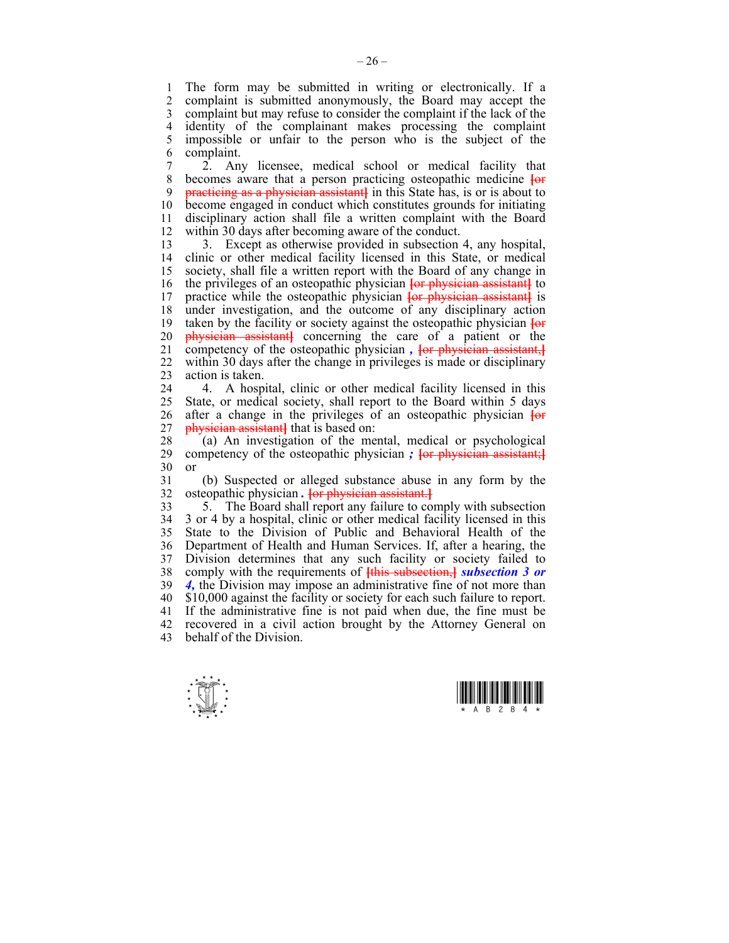1 The form may be submitted in writing or electronically. If a<br>2 complaint is submitted anonymously the Board may accept the complaint is submitted anonymously, the Board may accept the 3 complaint but may refuse to consider the complaint if the lack of the 4 identity of the complainant makes processing the complaint 5 impossible or unfair to the person who is the subject of the 6 complaint.

7 2. Any licensee, medical school or medical facility that 8 becomes aware that a person practicing osteopathic medicine **[**or 9 practicing as a physician assistant**]** in this State has, is or is about to 10 become engaged in conduct which constitutes grounds for initiating 11 disciplinary action shall file a written complaint with the Board 12 within 30 days after becoming aware of the conduct.

13 3. Except as otherwise provided in subsection 4, any hospital, 14 clinic or other medical facility licensed in this State, or medical 15 society, shall file a written report with the Board of any change in 16 the privileges of an osteopathic physician **[**or physician assistant**]** to 17 practice while the osteopathic physician **[**or physician assistant**]** is 18 under investigation, and the outcome of any disciplinary action 19 taken by the facility or society against the osteopathic physician **[**or 20 physician assistant**]** concerning the care of a patient or the 21 competency of the osteopathic physician, **For physician assistant**, 22 within 30 days after the change in privileges is made or disciplinary 23 action is taken.

24 4. A hospital, clinic or other medical facility licensed in this 25 State, or medical society, shall report to the Board within 5 days 26 after a change in the privileges of an osteopathic physician **[**or 27 physician assistant**]** that is based on:

28 (a) An investigation of the mental, medical or psychological competency of the osteopathic physician  $\frac{1}{2}$  For physician assistant: competency of the osteopathic physician *;* <del>[or physician assistant;]</del> 30 or

31 (b) Suspected or alleged substance abuse in any form by the 32 osteopathic physician *.* **[**or physician assistant.**]**

33 5. The Board shall report any failure to comply with subsection 34 3 or 4 by a hospital, clinic or other medical facility licensed in this 35 State to the Division of Public and Behavioral Health of the 36 Department of Health and Human Services. If, after a hearing, the 37 Division determines that any such facility or society failed to 38 comply with the requirements of **[**this subsection,**]** *subsection 3 or*  39 *4,* the Division may impose an administrative fine of not more than 40 \$10,000 against the facility or society for each such failure to report. 41 If the administrative fine is not paid when due, the fine must be 42 recovered in a civil action brought by the Attorney General on 43 behalf of the Division.



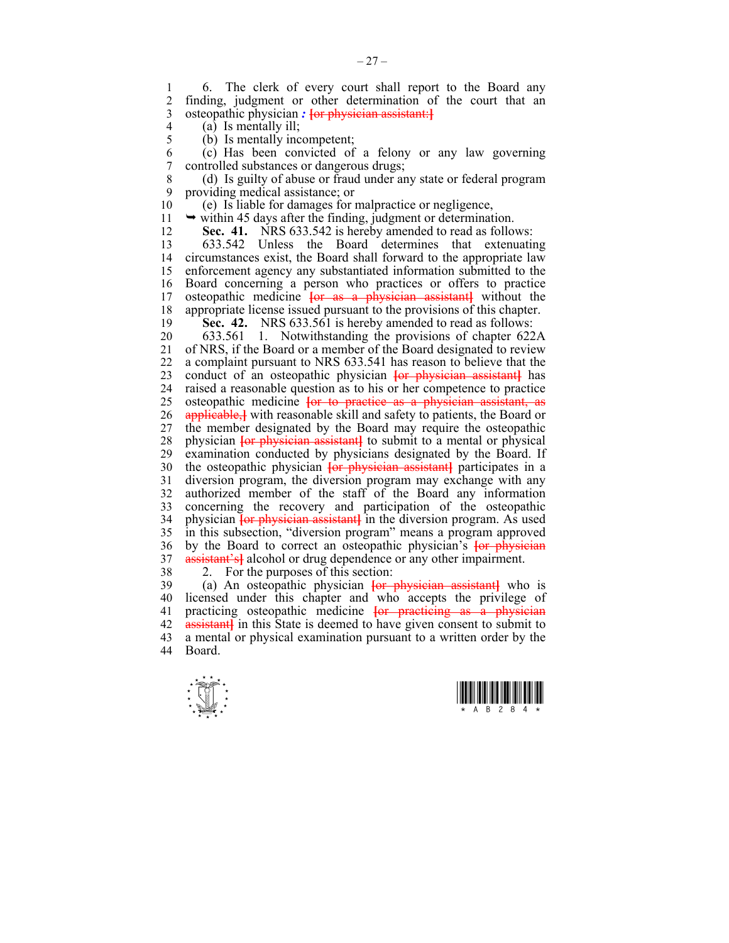1 6. The clerk of every court shall report to the Board any<br>2. finding judgment or other determination of the court that an finding, judgment or other determination of the court that an 3 osteopathic physician *:* **[**or physician assistant:**]**

- $\begin{array}{cc} 4 & \text{(a)} & \text{Is mentally ill;} \\ 5 & \text{(b)} & \text{Is mentally inc.} \end{array}$
- (b) Is mentally incompetent;

6 (c) Has been convicted of a felony or any law governing controlled substances or dangerous drugs;

8 (d) Is guilty of abuse or fraud under any state or federal program 9 providing medical assistance; or

10 (e) Is liable for damages for malpractice or negligence,

11  $\rightarrow$  within 45 days after the finding, judgment or determination.

12 **Sec. 41.** NRS 633.542 is hereby amended to read as follows:

13 633.542 Unless the Board determines that extenuating 14 circumstances exist, the Board shall forward to the appropriate law 15 enforcement agency any substantiated information submitted to the 16 Board concerning a person who practices or offers to practice 17 osteopathic medicine **[**or as a physician assistant**]** without the 18 appropriate license issued pursuant to the provisions of this chapter. 19 **Sec. 42.** NRS 633.561 is hereby amended to read as follows:

20 633.561 1. Notwithstanding the provisions of chapter 622A 21 of NRS, if the Board or a member of the Board designated to review 22 a complaint pursuant to NRS 633.541 has reason to believe that the 23 conduct of an osteopathic physician **[**or physician assistant**]** has 24 raised a reasonable question as to his or her competence to practice 25 osteopathic medicine **[**or to practice as a physician assistant, as 26 applicable,**]** with reasonable skill and safety to patients, the Board or 27 the member designated by the Board may require the osteopathic 28 physician **[**or physician assistant**]** to submit to a mental or physical 29 examination conducted by physicians designated by the Board. If 30 the osteopathic physician **[**or physician assistant**]** participates in a 31 diversion program, the diversion program may exchange with any 32 authorized member of the staff of the Board any information 33 concerning the recovery and participation of the osteopathic 34 physician **[**or physician assistant**]** in the diversion program. As used 35 in this subsection, "diversion program" means a program approved 36 by the Board to correct an osteopathic physician's **[**or physician 37 assistant's**]** alcohol or drug dependence or any other impairment.

38 2. For the purposes of this section:

39 (a) An osteopathic physician **[**or physician assistant**]** who is 40 licensed under this chapter and who accepts the privilege of 41 practicing osteopathic medicine **[**or practicing as a physician 42 **assistant** in this State is deemed to have given consent to submit to 43 a mental or physical examination pursuant to a written order by the 44 Board.



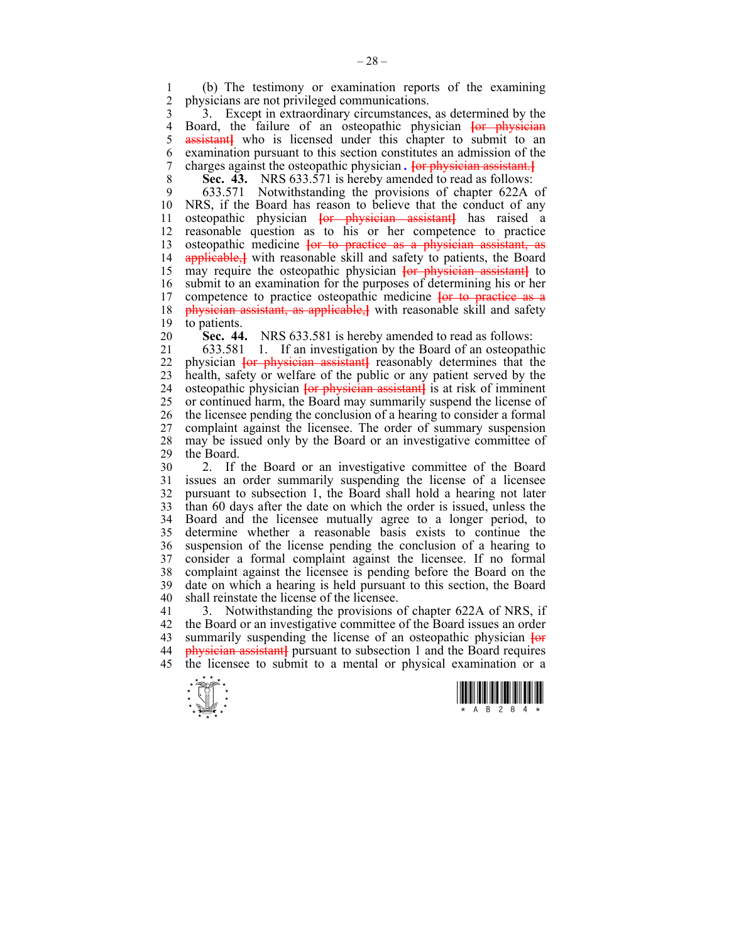1 (b) The testimony or examination reports of the examining physicians are not privileged communications.

3 3. Except in extraordinary circumstances, as determined by the 4 Board, the failure of an osteopathic physician <del>[or physician 5 assistant]</del> who is licensed under this chapter to submit to an assistant who is licensed under this chapter to submit to an 6 examination pursuant to this section constitutes an admission of the 7 charges against the osteopathic physician *.* **[**or physician assistant.**]**

8 **Sec. 43.** NRS 633.571 is hereby amended to read as follows:

9 633.571 Notwithstanding the provisions of chapter 622A of 10 NRS, if the Board has reason to believe that the conduct of any 11 osteopathic physician **[**or physician assistant**]** has raised a 12 reasonable question as to his or her competence to practice 13 osteopathic medicine **[**or to practice as a physician assistant, as 14 applicable,**]** with reasonable skill and safety to patients, the Board 15 may require the osteopathic physician **[**or physician assistant**]** to 16 submit to an examination for the purposes of determining his or her 17 competence to practice osteopathic medicine **[**or to practice as a 18 physician assistant, as applicable,**]** with reasonable skill and safety 19 to patients.

20 **Sec. 44.** NRS 633.581 is hereby amended to read as follows:

21 633.581 1. If an investigation by the Board of an osteopathic 22 physician **[**or physician assistant**]** reasonably determines that the 23 health, safety or welfare of the public or any patient served by the 24 osteopathic physician **[**or physician assistant**]** is at risk of imminent 25 or continued harm, the Board may summarily suspend the license of 26 the licensee pending the conclusion of a hearing to consider a formal 27 complaint against the licensee. The order of summary suspension 28 may be issued only by the Board or an investigative committee of the Board the Board.

30 2. If the Board or an investigative committee of the Board 31 issues an order summarily suspending the license of a licensee 32 pursuant to subsection 1, the Board shall hold a hearing not later 33 than 60 days after the date on which the order is issued, unless the 34 Board and the licensee mutually agree to a longer period, to 35 determine whether a reasonable basis exists to continue the 36 suspension of the license pending the conclusion of a hearing to 37 consider a formal complaint against the licensee. If no formal complaint against the licensee is pending before the Board on the 39 date on which a hearing is held pursuant to this section, the Board 40 shall reinstate the license of the licensee.

41 3. Notwithstanding the provisions of chapter 622A of NRS, if 42 the Board or an investigative committee of the Board issues an order 43 summarily suspending the license of an osteopathic physician **[**or 44 physician assistant**]** pursuant to subsection 1 and the Board requires 45 the licensee to submit to a mental or physical examination or a



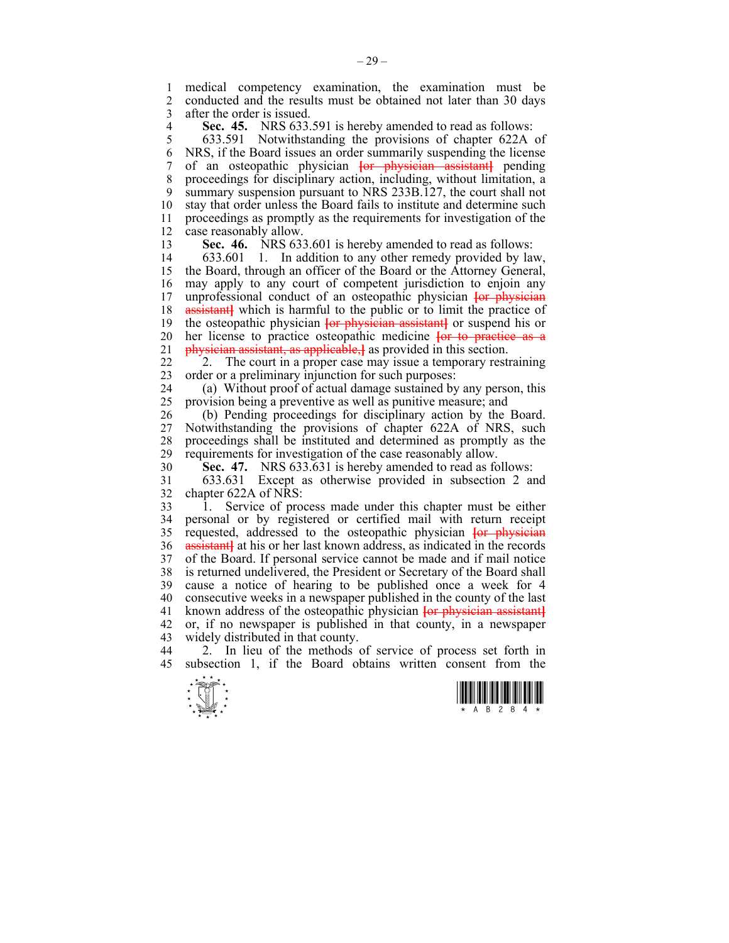1 medical competency examination, the examination must be 2 conducted and the results must be obtained not later than 30 days 2 conducted and the results must be obtained not later than 30 days 3 after the order is issued.

**Sec. 45.** NRS 633.591 is hereby amended to read as follows:<br>5 633.591 Notwithstanding the provisions of chapter 622A

5 633.591 Notwithstanding the provisions of chapter 622A of 6 NRS, if the Board issues an order summarily suspending the license 7 of an osteopathic physician **[**or physician assistant**]** pending 8 proceedings for disciplinary action, including, without limitation, a 9 summary suspension pursuant to NRS 233B.127, the court shall not 10 stay that order unless the Board fails to institute and determine such 11 proceedings as promptly as the requirements for investigation of the 12 case reasonably allow.

13 **Sec. 46.** NRS 633.601 is hereby amended to read as follows:

14 633.601 1. In addition to any other remedy provided by law, 15 the Board, through an officer of the Board or the Attorney General, 16 may apply to any court of competent jurisdiction to enjoin any 17 unprofessional conduct of an osteopathic physician **[**or physician 18 **assistant** which is harmful to the public or to limit the practice of 19 the osteopathic physician **[**or physician assistant**]** or suspend his or 20 her license to practice osteopathic medicine **[**or to practice as a 21 physician assistant, as applicable,**]** as provided in this section.

22 2. The court in a proper case may issue a temporary restraining 23 order or a preliminary injunction for such purposes:

24 (a) Without proof of actual damage sustained by any person, this 25 provision being a preventive as well as punitive measure; and

26 (b) Pending proceedings for disciplinary action by the Board. 27 Notwithstanding the provisions of chapter 622A of NRS, such 28 proceedings shall be instituted and determined as promptly as the requirements for investigation of the case reasonably allow. requirements for investigation of the case reasonably allow.

30 **Sec. 47.** NRS 633.631 is hereby amended to read as follows:

31 633.631 Except as otherwise provided in subsection 2 and 32 chapter 622A of NRS:

33 1. Service of process made under this chapter must be either 34 personal or by registered or certified mail with return receipt 35 requested, addressed to the osteopathic physician **[**or physician 36 assistant**]** at his or her last known address, as indicated in the records 37 of the Board. If personal service cannot be made and if mail notice 38 is returned undelivered, the President or Secretary of the Board shall 39 cause a notice of hearing to be published once a week for 4 40 consecutive weeks in a newspaper published in the county of the last 41 known address of the osteopathic physician **[**or physician assistant**]** 42 or, if no newspaper is published in that county, in a newspaper 43 widely distributed in that county.

44 2. In lieu of the methods of service of process set forth in 45 subsection 1, if the Board obtains written consent from the



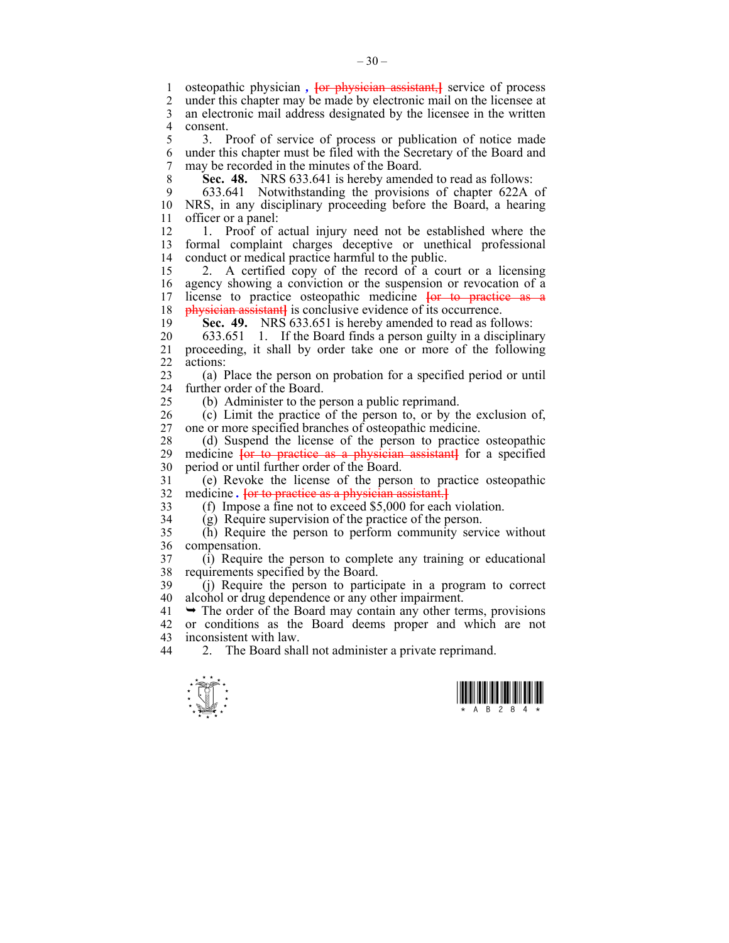1 osteopathic physician, **{or physician assistant,}** service of process 2 under this chapter may be made by electronic mail on the licensee at 3 an electronic mail address designated by the licensee in the written 4 consent.

5 3. Proof of service of process or publication of notice made 6 under this chapter must be filed with the Secretary of the Board and 7 may be recorded in the minutes of the Board.

8 **Sec. 48.** NRS 633.641 is hereby amended to read as follows:

9 633.641 Notwithstanding the provisions of chapter 622A of 10 NRS, in any disciplinary proceeding before the Board, a hearing 11 officer or a panel:

12 1. Proof of actual injury need not be established where the 13 formal complaint charges deceptive or unethical professional 14 conduct or medical practice harmful to the public.

15 2. A certified copy of the record of a court or a licensing 16 agency showing a conviction or the suspension or revocation of a 17 license to practice osteopathic medicine **[**or to practice as a 18 **physician assistant** is conclusive evidence of its occurrence.

19 **Sec. 49.** NRS 633.651 is hereby amended to read as follows:

20 633.651 1. If the Board finds a person guilty in a disciplinary 21 proceeding, it shall by order take one or more of the following 22 actions:

23 (a) Place the person on probation for a specified period or until 24 further order of the Board.

25 (b) Administer to the person a public reprimand.

26 (c) Limit the practice of the person to, or by the exclusion of, 27 one or more specified branches of osteopathic medicine.

28 (d) Suspend the license of the person to practice osteopathic 29 medicine **[**or to practice as a physician assistant**]** for a specified 30 period or until further order of the Board.

31 (e) Revoke the license of the person to practice osteopathic 32 medicine *.* **[**or to practice as a physician assistant.**]**

33 (f) Impose a fine not to exceed \$5,000 for each violation.

34 (g) Require supervision of the practice of the person.

35 (h) Require the person to perform community service without 36 compensation.

37 (i) Require the person to complete any training or educational 38 requirements specified by the Board.

39 (j) Require the person to participate in a program to correct 40 alcohol or drug dependence or any other impairment.

 $41 \rightarrow$  The order of the Board may contain any other terms, provisions 42 or conditions as the Board deems proper and which are not 43 inconsistent with law.

44 2. The Board shall not administer a private reprimand.



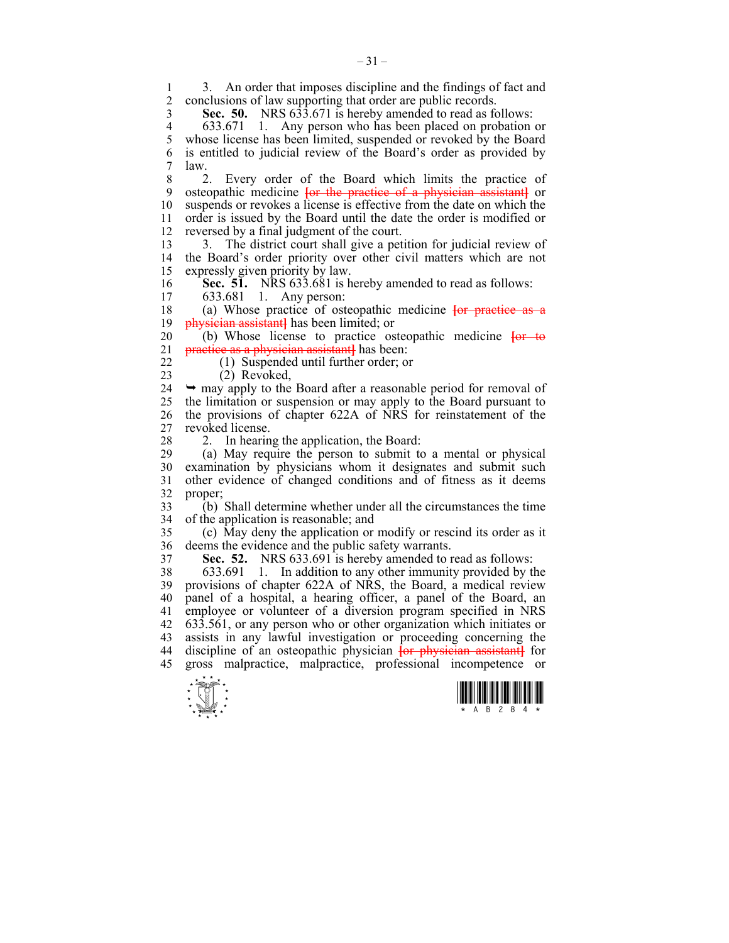1 3. An order that imposes discipline and the findings of fact and<br>2 conclusions of law supporting that order are public records conclusions of law supporting that order are public records.

**Sec. 50.** NRS 633.671 is hereby amended to read as follows:<br>4 633.671 1. Any person who has been placed on probation 4 633.671 1. Any person who has been placed on probation or<br>5 whose license has been limited, suspended or revoked by the Board whose license has been limited, suspended or revoked by the Board 6 is entitled to judicial review of the Board's order as provided by 7 law.

8 2. Every order of the Board which limits the practice of 9 osteopathic medicine **[**or the practice of a physician assistant**]** or 10 suspends or revokes a license is effective from the date on which the 11 order is issued by the Board until the date the order is modified or 12 reversed by a final judgment of the court.

13 3. The district court shall give a petition for judicial review of 14 the Board's order priority over other civil matters which are not 15 expressly given priority by law.

**Sec. 51.** NRS 633.681 is hereby amended to read as follows:<br>17 633.681 1 Any person:

633.681 1. Any person:

18 (a) Whose practice of osteopathic medicine **[**or practice as a 19 physician assistant**]** has been limited; or

20 (b) Whose license to practice osteopathic medicine **[**or to 21 practice as a physician assistant**]** has been:

22 (1) Suspended until further order; or

23 (2) Revoked,

 $24 \rightarrow$  may apply to the Board after a reasonable period for removal of 25 the limitation or suspension or may apply to the Board pursuant to 26 the provisions of chapter 622A of NRS for reinstatement of the 27 revoked license.

28 2. In hearing the application, the Board:

29 (a) May require the person to submit to a mental or physical 30 examination by physicians whom it designates and submit such 31 other evidence of changed conditions and of fitness as it deems 32 proper;

33 (b) Shall determine whether under all the circumstances the time 34 of the application is reasonable; and

35 (c) May deny the application or modify or rescind its order as it 36 deems the evidence and the public safety warrants.

37 **Sec. 52.** NRS 633.691 is hereby amended to read as follows:

38 633.691 1. In addition to any other immunity provided by the 39 provisions of chapter 622A of NRS, the Board, a medical review 40 panel of a hospital, a hearing officer, a panel of the Board, an 41 employee or volunteer of a diversion program specified in NRS 42 633.561, or any person who or other organization which initiates or 43 assists in any lawful investigation or proceeding concerning the 44 discipline of an osteopathic physician **[**or physician assistant**]** for 45 gross malpractice, malpractice, professional incompetence or



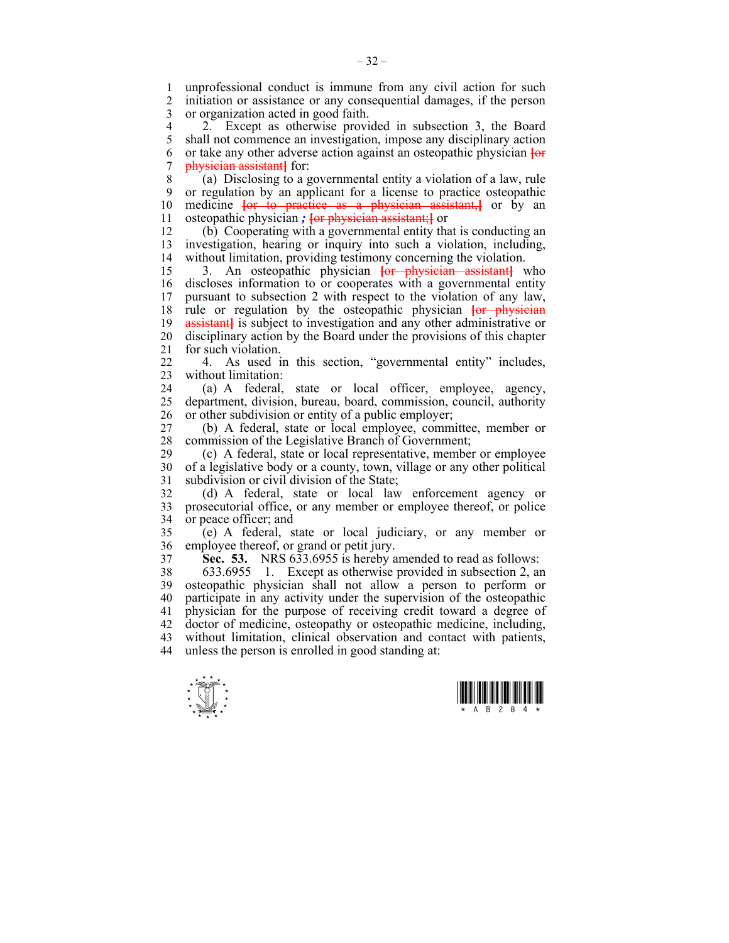1 unprofessional conduct is immune from any civil action for such<br>2 initiation or assistance or any consequential damages if the person 2 initiation or assistance or any consequential damages, if the person 3 or organization acted in good faith.

4 2. Except as otherwise provided in subsection 3, the Board<br>5 shall not commence an investigation, impose any disciplinary action 5 shall not commence an investigation, impose any disciplinary action 6 or take any other adverse action against an osteopathic physician **[**or 7 physician assistant**]** for:

8 (a) Disclosing to a governmental entity a violation of a law, rule 9 or regulation by an applicant for a license to practice osteopathic medicine  $\overline{\text{6}}$  to practice as a physician assistant. The order of property or  $\overline{\text{6}}$  and  $\overline{\text{6}}$ medicine **[or to practice as a physician assistant**, **or** by an 11 osteopathic physician *;* **[**or physician assistant;**]** or

12 (b) Cooperating with a governmental entity that is conducting an 13 investigation, hearing or inquiry into such a violation, including, 14 without limitation, providing testimony concerning the violation.

15 3. An osteopathic physician **[**or physician assistant**]** who 16 discloses information to or cooperates with a governmental entity 17 pursuant to subsection 2 with respect to the violation of any law, 18 rule or regulation by the osteopathic physician **[**or physician 19 assistant**]** is subject to investigation and any other administrative or 20 disciplinary action by the Board under the provisions of this chapter 21 for such violation.

22 4. As used in this section, "governmental entity" includes, 23 without limitation:

24 (a) A federal, state or local officer, employee, agency, 25 department, division, bureau, board, commission, council, authority 26 or other subdivision or entity of a public employer;

27 (b) A federal, state or local employee, committee, member or 28 commission of the Legislative Branch of Government;<br>29 (c) A federal state or local representative membe

29 (c) A federal, state or local representative, member or employee 30 of a legislative body or a county, town, village or any other political 31 subdivision or civil division of the State;

32 (d) A federal, state or local law enforcement agency or 33 prosecutorial office, or any member or employee thereof, or police 34 or peace officer; and

35 (e) A federal, state or local judiciary, or any member or 36 employee thereof, or grand or petit jury.

37 **Sec. 53.** NRS 633.6955 is hereby amended to read as follows:

38 633.6955 1. Except as otherwise provided in subsection 2, an 39 osteopathic physician shall not allow a person to perform or 40 participate in any activity under the supervision of the osteopathic 41 physician for the purpose of receiving credit toward a degree of 42 doctor of medicine, osteopathy or osteopathic medicine, including, 43 without limitation, clinical observation and contact with patients, 44 unless the person is enrolled in good standing at:



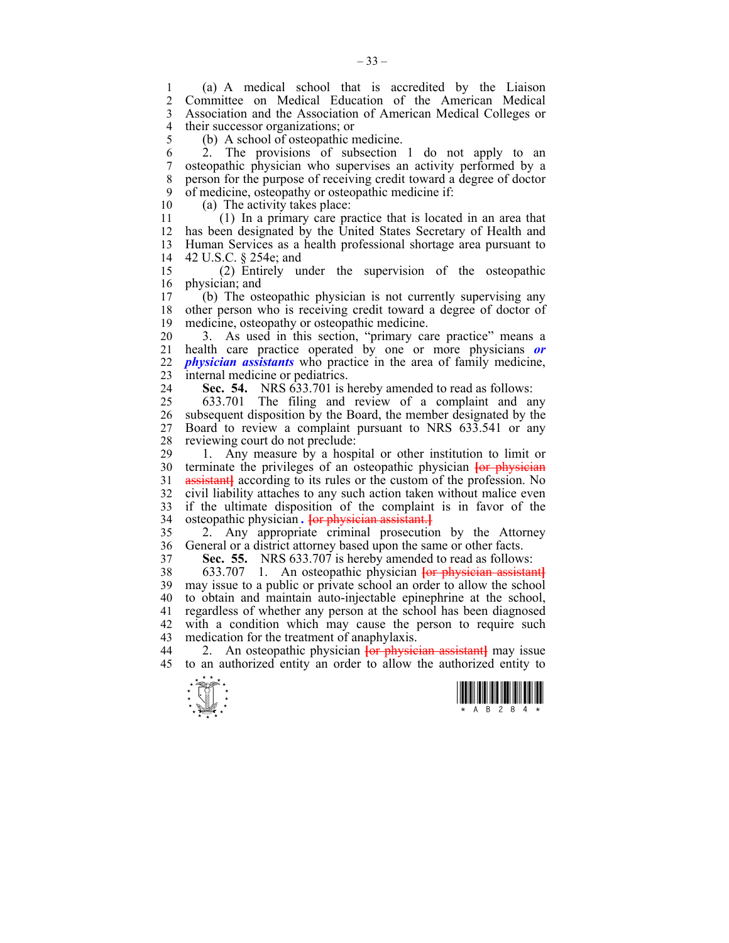1 (a) A medical school that is accredited by the Liaison 2 Committee on Medical Education of the American Medical 3 Association and the Association of American Medical Colleges or 4 their successor organizations; or

5 (b) A school of osteopathic medicine.

6 2. The provisions of subsection 1 do not apply to an 7 osteopathic physician who supervises an activity performed by a 8 person for the purpose of receiving credit toward a degree of doctor 9 of medicine, osteopathy or osteopathic medicine if:<br>10 (a) The activity takes place:

(a) The activity takes place:

11 (1) In a primary care practice that is located in an area that 12 has been designated by the United States Secretary of Health and 13 Human Services as a health professional shortage area pursuant to 14 42 U.S.C. § 254e; and

15 (2) Entirely under the supervision of the osteopathic 16 physician; and<br>17 (b) The ost

17 (b) The osteopathic physician is not currently supervising any 18 other person who is receiving credit toward a degree of doctor of 19 medicine, osteopathy or osteopathic medicine.

20 3. As used in this section, "primary care practice" means a 21 health care practice operated by one or more physicians *or*  22 *physician assistants* who practice in the area of family medicine, 23 internal medicine or pediatrics.

24 **Sec. 54.** NRS 633.701 is hereby amended to read as follows:

25 633.701 The filing and review of a complaint and any 26 subsequent disposition by the Board, the member designated by the 27 Board to review a complaint pursuant to NRS 633.541 or any 28 reviewing court do not preclude:

29 1. Any measure by a hospital or other institution to limit or 30 terminate the privileges of an osteopathic physician **[**or physician 31 **assistant** according to its rules or the custom of the profession. No 32 civil liability attaches to any such action taken without malice even 33 if the ultimate disposition of the complaint is in favor of the 34 osteopathic physician *.* **[**or physician assistant.**]**

35 2. Any appropriate criminal prosecution by the Attorney 36 General or a district attorney based upon the same or other facts.

37 **Sec. 55.** NRS 633.707 is hereby amended to read as follows:

38 633.707 1. An osteopathic physician **[**or physician assistant**]** 39 may issue to a public or private school an order to allow the school 40 to obtain and maintain auto-injectable epinephrine at the school, 41 regardless of whether any person at the school has been diagnosed 42 with a condition which may cause the person to require such 43 medication for the treatment of anaphylaxis.

44 2. An osteopathic physician **[**or physician assistant**]** may issue 45 to an authorized entity an order to allow the authorized entity to



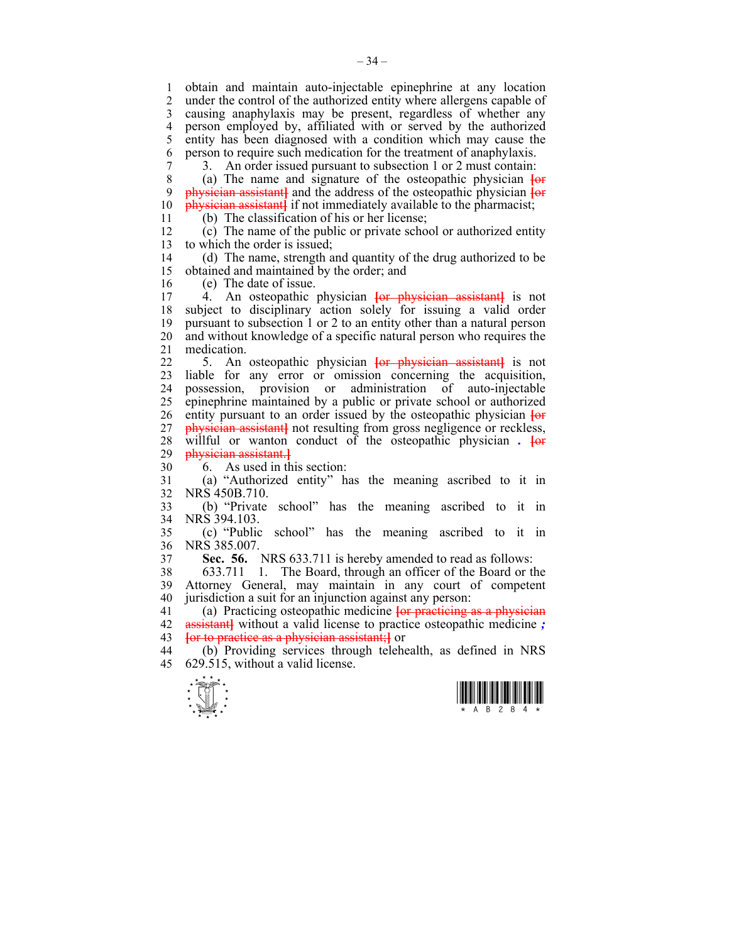1 obtain and maintain auto-injectable epinephrine at any location under the control of the authorized entity where allergens capable of 3 causing anaphylaxis may be present, regardless of whether any 4 person employed by, affiliated with or served by the authorized<br>5 entity has been diagnosed with a condition which may cause the 5 entity has been diagnosed with a condition which may cause the 6 person to require such medication for the treatment of anaphylaxis.

7 3. An order issued pursuant to subsection 1 or 2 must contain:<br>8 (a) The name and signature of the osteopathic physician  $\frac{1}{2}$ 8 (a) The name and signature of the osteopathic physician **[**or 9 physician assistant**]** and the address of the osteopathic physician **[**or 10 physician assistant**]** if not immediately available to the pharmacist;

11 (b) The classification of his or her license;

12 (c) The name of the public or private school or authorized entity 13 to which the order is issued;

14 (d) The name, strength and quantity of the drug authorized to be 15 obtained and maintained by the order; and

16 (e) The date of issue.<br>17 4 An osteonathic

17 4. An osteopathic physician **[**or physician assistant**]** is not 18 subject to disciplinary action solely for issuing a valid order 19 pursuant to subsection 1 or 2 to an entity other than a natural person 20 and without knowledge of a specific natural person who requires the 21 medication.

22 5. An osteopathic physician **[**or physician assistant**]** is not 23 liable for any error or omission concerning the acquisition, 24 possession, provision or administration of auto-injectable 25 epinephrine maintained by a public or private school or authorized 26 entity pursuant to an order issued by the osteopathic physician **[**or 27 **physician assistant** not resulting from gross negligence or reckless, 28 willful or wanton conduct of the osteopathic physician *.* **[**or 29 physician assistant.**]**

30 6. As used in this section:

31 (a) "Authorized entity" has the meaning ascribed to it in 32 NRS 450B.710.

33 (b) "Private school" has the meaning ascribed to it in 34 NRS 394.103.

35 (c) "Public school" has the meaning ascribed to it in 36 NRS 385.007.

37 **Sec. 56.** NRS 633.711 is hereby amended to read as follows:

38 633.711 1. The Board, through an officer of the Board or the 39 Attorney General, may maintain in any court of competent 40 jurisdiction a suit for an injunction against any person:

41 (a) Practicing osteopathic medicine **[**or practicing as a physician 42 assistant**]** without a valid license to practice osteopathic medicine *;* 43 **[**or to practice as a physician assistant;**]** or

44 (b) Providing services through telehealth, as defined in NRS 45 629.515, without a valid license.



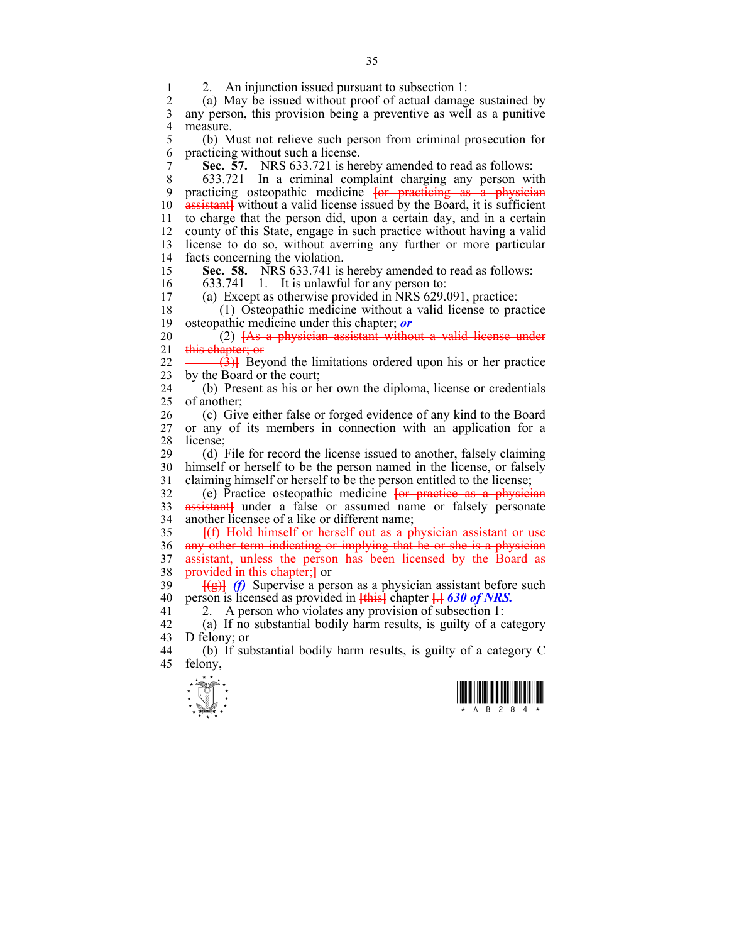1 2. An injunction issued pursuant to subsection 1:<br>2 (a) May be issued without proof of actual damage

(a) May be issued without proof of actual damage sustained by 3 any person, this provision being a preventive as well as a punitive 4 measure.

5 (b) Must not relieve such person from criminal prosecution for 6 practicing without such a license.

7 **Sec. 57.** NRS 633.721 is hereby amended to read as follows:

8 633.721 In a criminal complaint charging any person with 9 practicing osteopathic medicine **[**or practicing as a physician 10 assistant**]** without a valid license issued by the Board, it is sufficient 11 to charge that the person did, upon a certain day, and in a certain 12 county of this State, engage in such practice without having a valid 13 license to do so, without averring any further or more particular 14 facts concerning the violation.

15 **Sec. 58.** NRS 633.741 is hereby amended to read as follows:

16 633.741 1. It is unlawful for any person to: 17 (a) Except as otherwise provided in NRS 629.091, practice:

18 (1) Osteopathic medicine without a valid license to practice 19 osteopathic medicine under this chapter; *or*

20 (2) **[**As a physician assistant without a valid license under 21 this chapter; or

22 <del>(3)</del>**]** Beyond the limitations ordered upon his or her practice 23 by the Board or the court;

24 (b) Present as his or her own the diploma, license or credentials 25 of another;

26 (c) Give either false or forged evidence of any kind to the Board 27 or any of its members in connection with an application for a 28 license;

29 (d) File for record the license issued to another, falsely claiming 30 himself or herself to be the person named in the license, or falsely 31 claiming himself or herself to be the person entitled to the license;

32 (e) Practice osteopathic medicine **[**or practice as a physician 33 assistant**]** under a false or assumed name or falsely personate 34 another licensee of a like or different name;

35 **[**(f) Hold himself or herself out as a physician assistant or use 36 any other term indicating or implying that he or she is a physician 37 assistant, unless the person has been licensed by the Board as provided in this chapter: I or **provided in this chapter;** or

39 **[**(g)**]** *(f)* Supervise a person as a physician assistant before such 40 person is licensed as provided in **[**this**]** chapter **[**.**]** *630 of NRS.*

41 2. A person who violates any provision of subsection 1:

42 (a) If no substantial bodily harm results, is guilty of a category 43 D felony; or

44 (b) If substantial bodily harm results, is guilty of a category C 45 felony,



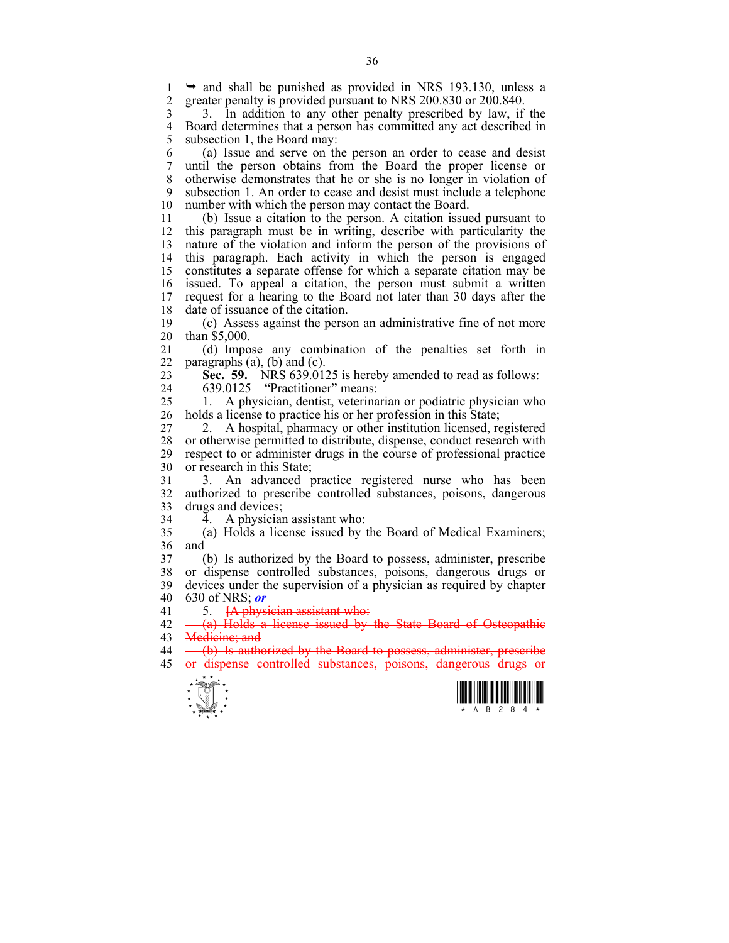1  $\rightarrow$  and shall be punished as provided in NRS 193.130, unless a<br>2 greater penalty is provided pursuant to NRS 200.830 or 200.840 2 greater penalty is provided pursuant to NRS 200.830 or 200.840.

3 3. In addition to any other penalty prescribed by law, if the 4 Board determines that a person has committed any act described in<br>5 subsection 1 the Board may: subsection 1, the Board may:

6 (a) Issue and serve on the person an order to cease and desist 7 until the person obtains from the Board the proper license or 8 otherwise demonstrates that he or she is no longer in violation of 9 subsection 1. An order to cease and desist must include a telephone 10 number with which the person may contact the Board.

11 (b) Issue a citation to the person. A citation issued pursuant to 12 this paragraph must be in writing, describe with particularity the 13 nature of the violation and inform the person of the provisions of 14 this paragraph. Each activity in which the person is engaged 15 constitutes a separate offense for which a separate citation may be 16 issued. To appeal a citation, the person must submit a written 17 request for a hearing to the Board not later than 30 days after the 18 date of issuance of the citation.

19 (c) Assess against the person an administrative fine of not more 20 than \$5,000.

21 (d) Impose any combination of the penalties set forth in 22 paragraphs  $(a)$ ,  $(b)$  and  $(c)$ .

23 **Sec. 59.** NRS 639.0125 is hereby amended to read as follows:

24 639.0125 "Practitioner" means:

25 1. A physician, dentist, veterinarian or podiatric physician who 26 holds a license to practice his or her profession in this State;

27 2. A hospital, pharmacy or other institution licensed, registered 28 or otherwise permitted to distribute, dispense, conduct research with respect to or administer drugs in the course of professional practice respect to or administer drugs in the course of professional practice 30 or research in this State;

31 3. An advanced practice registered nurse who has been 32 authorized to prescribe controlled substances, poisons, dangerous 33 drugs and devices;

 $34 \overline{4}$ . A physician assistant who:

35 (a) Holds a license issued by the Board of Medical Examiners; 36 and

37 (b) Is authorized by the Board to possess, administer, prescribe 38 or dispense controlled substances, poisons, dangerous drugs or 39 devices under the supervision of a physician as required by chapter 40 630 of NRS; *or*

41 5. **[**A physician assistant who:

42 (a) Holds a license issued by the State Board of Osteopathic 43 Medicine: and

44 (b) Is authorized by the Board to possess, administer, prescribe 45 or dispense controlled substances, poisons, dangerous drugs or



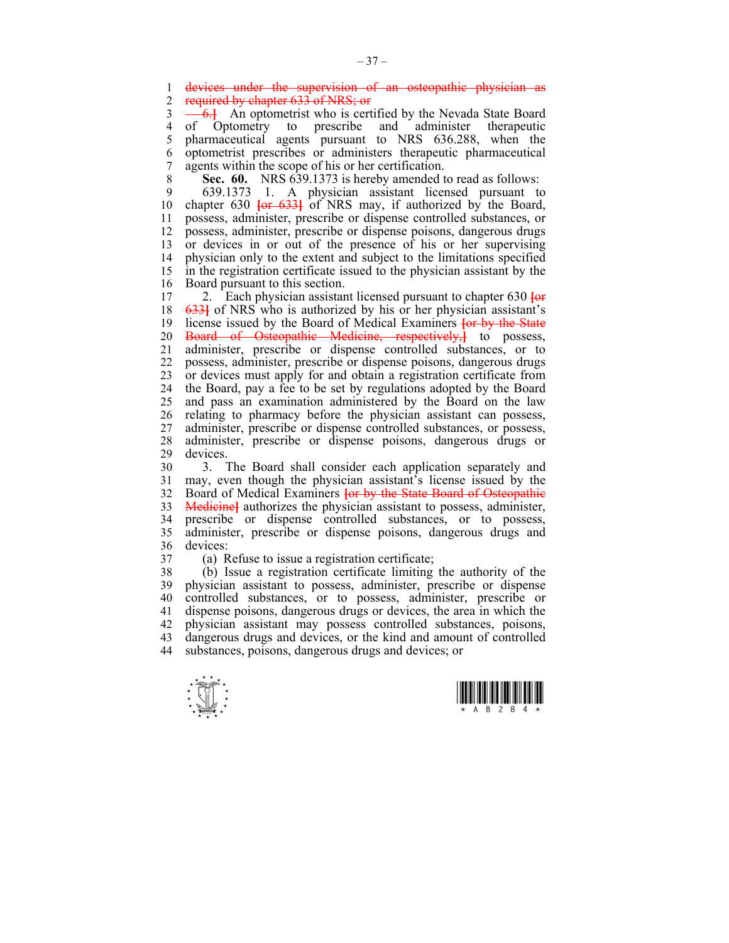1 devices under the supervision of an osteopathic physician as 2 required by chapter 633 of NRS; or

3 6.<sup>1</sup> An optometrist who is certified by the Nevada State Board 4 of Optometry to prescribe and administer therapeutic 5 pharmaceutical agents pursuant to NRS 636.288, when the 6 optometrist prescribes or administers therapeutic pharmaceutical 7 agents within the scope of his or her certification.

8 **Sec. 60.** NRS 639.1373 is hereby amended to read as follows:

9 639.1373 1. A physician assistant licensed pursuant to 10 chapter 630 **[**or 633**]** of NRS may, if authorized by the Board, 11 possess, administer, prescribe or dispense controlled substances, or 12 possess, administer, prescribe or dispense poisons, dangerous drugs 13 or devices in or out of the presence of his or her supervising 14 physician only to the extent and subject to the limitations specified 15 in the registration certificate issued to the physician assistant by the 16 Board pursuant to this section.

17 2. Each physician assistant licensed pursuant to chapter 630 **[**or 18 633**]** of NRS who is authorized by his or her physician assistant's 19 license issued by the Board of Medical Examiners **[**or by the State 20 Board of Osteopathic Medicine, respectively,**]** to possess, 21 administer, prescribe or dispense controlled substances, or to 22 possess, administer, prescribe or dispense poisons, dangerous drugs 23 or devices must apply for and obtain a registration certificate from 24 the Board, pay a fee to be set by regulations adopted by the Board 25 and pass an examination administered by the Board on the law 26 relating to pharmacy before the physician assistant can possess, 27 administer, prescribe or dispense controlled substances, or possess, 28 administer, prescribe or dispense poisons, dangerous drugs or 29 devices.

30 3. The Board shall consider each application separately and 31 may, even though the physician assistant's license issued by the 32 Board of Medical Examiners **[**or by the State Board of Osteopathic 33 Medicine**]** authorizes the physician assistant to possess, administer, 34 prescribe or dispense controlled substances, or to possess, 35 administer, prescribe or dispense poisons, dangerous drugs and 36 devices:

- 
- 

37 (a) Refuse to issue a registration certificate;

38 (b) Issue a registration certificate limiting the authority of the 39 physician assistant to possess, administer, prescribe or dispense 40 controlled substances, or to possess, administer, prescribe or 41 dispense poisons, dangerous drugs or devices, the area in which the 42 physician assistant may possess controlled substances, poisons, 43 dangerous drugs and devices, or the kind and amount of controlled 44 substances, poisons, dangerous drugs and devices; or



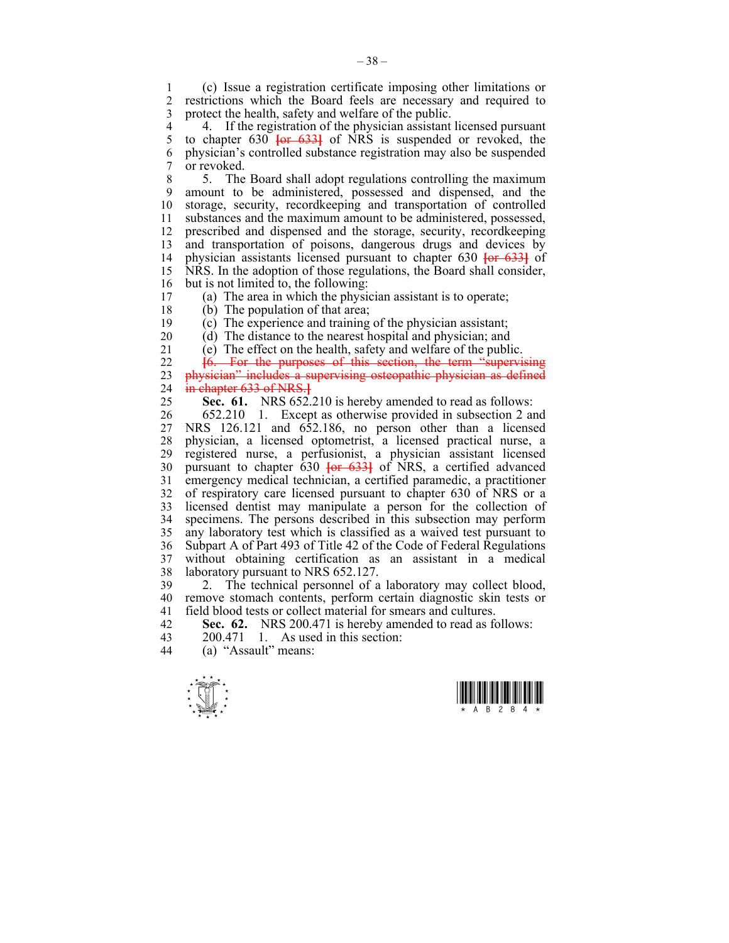1 (c) Issue a registration certificate imposing other limitations or 2 restrictions which the Board feels are necessary and required to 3 protect the health, safety and welfare of the public.

4 4. If the registration of the physician assistant licensed pursuant 5 to chapter 630  $\frac{1}{10}$  for  $\frac{6331}{100}$  of NRS is suspended or revoked, the 5 to chapter 630 **[**or 633**]** of NRS is suspended or revoked, the 6 physician's controlled substance registration may also be suspended 7 or revoked.

8 5. The Board shall adopt regulations controlling the maximum 9 amount to be administered, possessed and dispensed, and the 10 storage, security, recordkeeping and transportation of controlled 11 substances and the maximum amount to be administered, possessed, 12 prescribed and dispensed and the storage, security, recordkeeping 13 and transportation of poisons, dangerous drugs and devices by 14 physician assistants licensed pursuant to chapter 630 **[**or 633**]** of 15 NRS. In the adoption of those regulations, the Board shall consider, 16 but is not limited to, the following:<br>17 (a) The area in which the physic

 $\alpha$ ) The area in which the physician assistant is to operate;

18 (b) The population of that area;

19 (c) The experience and training of the physician assistant;

20 (d) The distance to the nearest hospital and physician; and

21 (e) The effect on the health, safety and welfare of the public.

22 **[**6. For the purposes of this section, the term "supervising 23 physician" includes a supervising osteopathic physician as defined 24 in chapter 633 of NRS.**]**

25 **Sec. 61.** NRS 652.210 is hereby amended to read as follows:

26 652.210 1. Except as otherwise provided in subsection 2 and 27 NRS 126.121 and 652.186, no person other than a licensed 28 physician, a licensed optometrist, a licensed practical nurse, a registered nurse, a perfusionist, a physician assistant licensed 30 pursuant to chapter 630 **[**or 633**]** of NRS, a certified advanced 31 emergency medical technician, a certified paramedic, a practitioner 32 of respiratory care licensed pursuant to chapter 630 of NRS or a 33 licensed dentist may manipulate a person for the collection of 34 specimens. The persons described in this subsection may perform 35 any laboratory test which is classified as a waived test pursuant to 36 Subpart A of Part 493 of Title 42 of the Code of Federal Regulations 37 without obtaining certification as an assistant in a medical 38 laboratory pursuant to NRS 652.127.

39 2. The technical personnel of a laboratory may collect blood, 40 remove stomach contents, perform certain diagnostic skin tests or 41 field blood tests or collect material for smears and cultures.

42 **Sec. 62.** NRS 200.471 is hereby amended to read as follows:<br>43 200.471 1 As used in this section:

43 200.471 1. As used in this section:<br>44 (a) "Assault" means:

(a) "Assault" means:



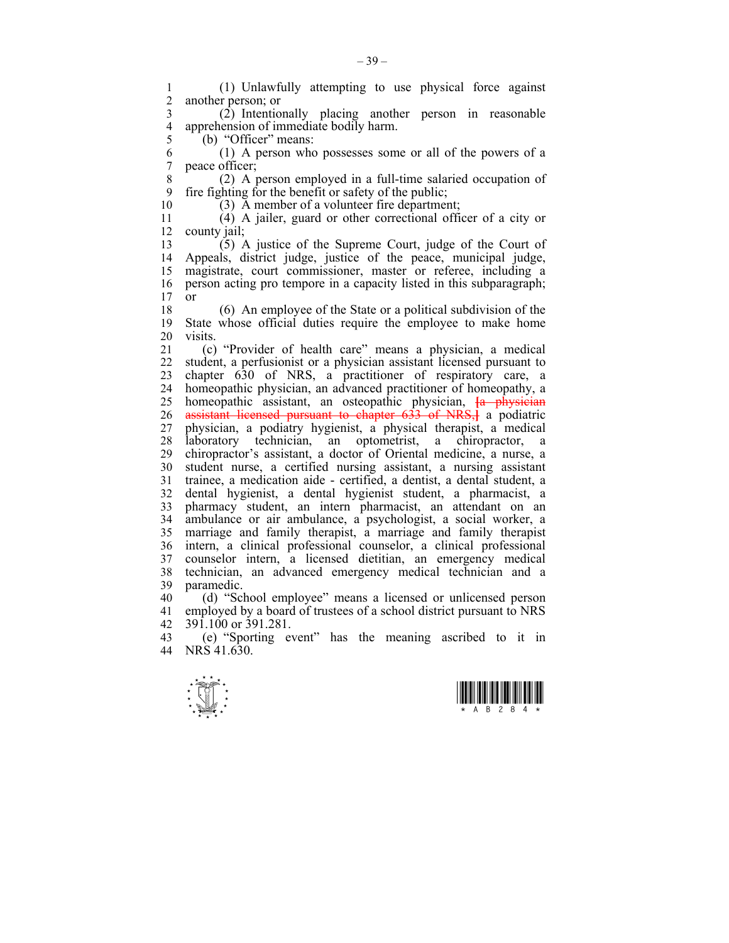1 (1) Unlawfully attempting to use physical force against another person; or

 $\overline{2}$  (2) Intentionally placing another person in reasonable<br>4 apprehension of immediate bodily harm 4 apprehension of immediate bodily harm.<br>5 (b) "Officer" means:

(b) "Officer" means:

 $6$  (1) A person who possesses some or all of the powers of a 7 peace officer: neace officer;

8 (2) A person employed in a full-time salaried occupation of 9 fire fighting for the benefit or safety of the public;<br>10 (3) A member of a volunteer fire denartmen

 $(3)$  A member of a volunteer fire department;

11 (4) A jailer, guard or other correctional officer of a city or 12 county jail;

13 (5) A justice of the Supreme Court, judge of the Court of 14 Appeals, district judge, justice of the peace, municipal judge, 15 magistrate, court commissioner, master or referee, including a 16 person acting pro tempore in a capacity listed in this subparagraph;  $17$  or

18 (6) An employee of the State or a political subdivision of the 19 State whose official duties require the employee to make home 20 visits.

21 (c) "Provider of health care" means a physician, a medical 22 student, a perfusionist or a physician assistant licensed pursuant to 23 chapter 630 of NRS, a practitioner of respiratory care, a 24 homeopathic physician, an advanced practitioner of homeopathy, a 25 homeopathic assistant, an osteopathic physician, **[**a physician 26 assistant licensed pursuant to chapter 633 of NRS,**]** a podiatric 27 physician, a podiatry hygienist, a physical therapist, a medical 28 laboratory technician, an optometrist, a chiropractor, a 29 chiropractor's assistant, a doctor of Oriental medicine, a nurse, a 30 student nurse, a certified nursing assistant, a nursing assistant 31 trainee, a medication aide - certified, a dentist, a dental student, a 32 dental hygienist, a dental hygienist student, a pharmacist, a 33 pharmacy student, an intern pharmacist, an attendant on an 34 ambulance or air ambulance, a psychologist, a social worker, a 35 marriage and family therapist, a marriage and family therapist 36 intern, a clinical professional counselor, a clinical professional 37 counselor intern, a licensed dietitian, an emergency medical 38 technician, an advanced emergency medical technician and a 39 paramedic.

40 (d) "School employee" means a licensed or unlicensed person 41 employed by a board of trustees of a school district pursuant to NRS 42 391.100 or 391.281.<br>43 (e) "Sporting eye

43 (e) "Sporting event" has the meaning ascribed to it in  $\Delta 44$  NRS 41.630 NRS 41.630



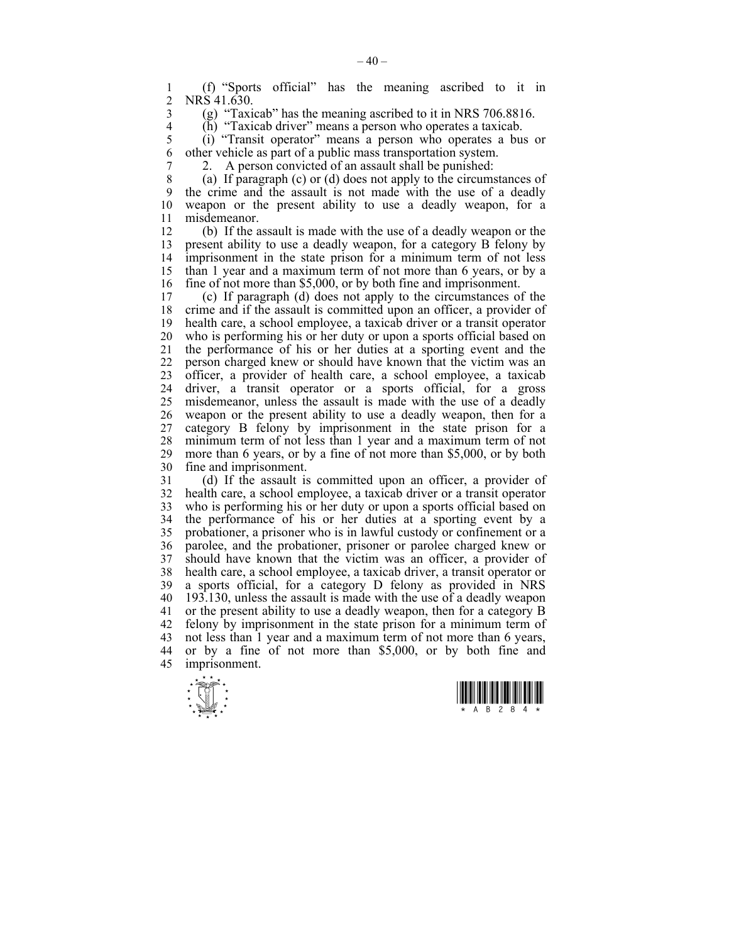1 (f) "Sports official" has the meaning ascribed to it in NRS 41.630

3 (g) "Taxicab" has the meaning ascribed to it in NRS 706.8816.<br>4 (h) "Taxicab driver" means a person who operates a taxicab.

 $\overrightarrow{h}$  (h) "Taxicab driver" means a person who operates a taxicab.<br>
(i) "Transit operator" means a person who operates a bu

5 (i) "Transit operator" means a person who operates a bus or 6 other vehicle as part of a public mass transportation system.

7 2. A person convicted of an assault shall be punished:

8 (a) If paragraph (c) or (d) does not apply to the circumstances of 9 the crime and the assault is not made with the use of a deadly 10 weapon or the present ability to use a deadly weapon, for a 11 misdemeanor.

12 (b) If the assault is made with the use of a deadly weapon or the 13 present ability to use a deadly weapon, for a category B felony by 14 imprisonment in the state prison for a minimum term of not less 15 than 1 year and a maximum term of not more than 6 years, or by a 16 fine of not more than \$5,000, or by both fine and imprisonment.

17 (c) If paragraph (d) does not apply to the circumstances of the 18 crime and if the assault is committed upon an officer, a provider of 19 health care, a school employee, a taxicab driver or a transit operator 20 who is performing his or her duty or upon a sports official based on 21 the performance of his or her duties at a sporting event and the 22 person charged knew or should have known that the victim was an 23 officer, a provider of health care, a school employee, a taxicab 24 driver, a transit operator or a sports official, for a gross 25 misdemeanor, unless the assault is made with the use of a deadly 26 weapon or the present ability to use a deadly weapon, then for a 27 category B felony by imprisonment in the state prison for a 28 minimum term of not less than 1 year and a maximum term of not 29 more than 6 years, or by a fine of not more than \$5,000, or by both 30 fine and imprisonment.

31 (d) If the assault is committed upon an officer, a provider of 32 health care, a school employee, a taxicab driver or a transit operator 33 who is performing his or her duty or upon a sports official based on 34 the performance of his or her duties at a sporting event by a 35 probationer, a prisoner who is in lawful custody or confinement or a 36 parolee, and the probationer, prisoner or parolee charged knew or 37 should have known that the victim was an officer, a provider of 38 health care, a school employee, a taxicab driver, a transit operator or 39 a sports official, for a category D felony as provided in NRS 40 193.130, unless the assault is made with the use of a deadly weapon 41 or the present ability to use a deadly weapon, then for a category B 42 felony by imprisonment in the state prison for a minimum term of 43 not less than 1 year and a maximum term of not more than 6 years, 44 or by a fine of not more than \$5,000, or by both fine and 45 imprisonment.



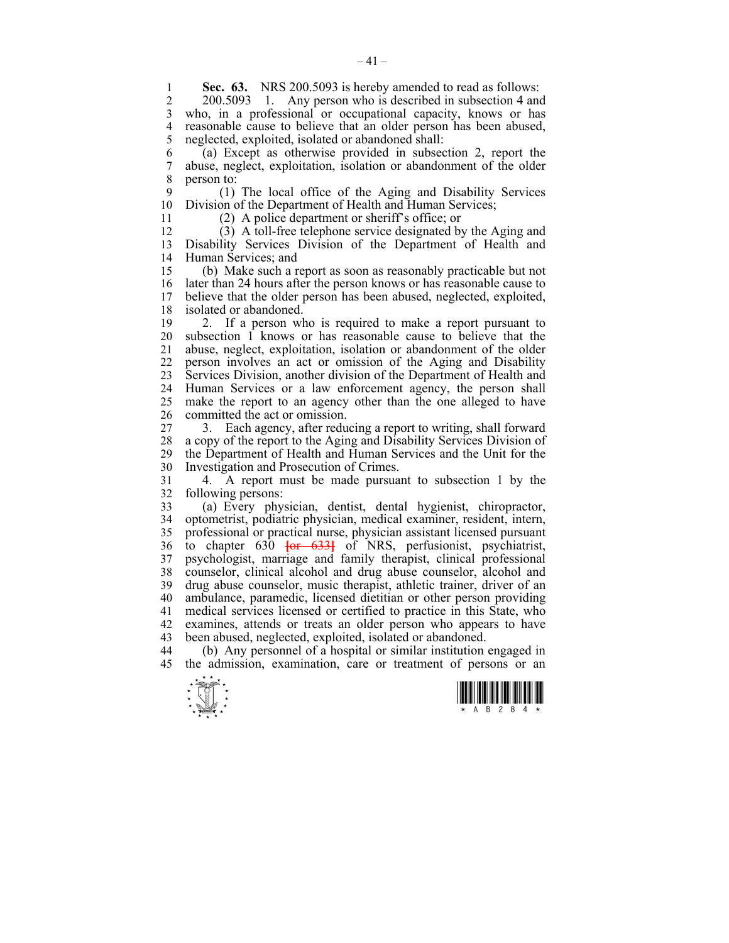**Sec. 63.** NRS 200.5093 is hereby amended to read as follows:<br>2 200.5093 1. Any person who is described in subsection 4 and Any person who is described in subsection 4 and 3 who, in a professional or occupational capacity, knows or has 4 reasonable cause to believe that an older person has been abused,<br>5 neglected, exploited, isolated or abandoned shall: neglected, exploited, isolated or abandoned shall:

6 (a) Except as otherwise provided in subsection 2, report the 7 abuse, neglect, exploitation, isolation or abandonment of the older 8 person to:

9 (1) The local office of the Aging and Disability Services 10 Division of the Department of Health and Human Services;

11 (2) A police department or sheriff's office; or

12 (3) A toll-free telephone service designated by the Aging and 13 Disability Services Division of the Department of Health and 14 Human Services; and

15 (b) Make such a report as soon as reasonably practicable but not 16 later than 24 hours after the person knows or has reasonable cause to 17 believe that the older person has been abused, neglected, exploited, 18 isolated or abandoned.

19 2. If a person who is required to make a report pursuant to 20 subsection 1 knows or has reasonable cause to believe that the 21 abuse, neglect, exploitation, isolation or abandonment of the older 22 person involves an act or omission of the Aging and Disability 23 Services Division, another division of the Department of Health and 24 Human Services or a law enforcement agency, the person shall 25 make the report to an agency other than the one alleged to have 26 committed the act or omission.

27 3. Each agency, after reducing a report to writing, shall forward 28 a copy of the report to the Aging and Disability Services Division of the Department of Health and Human Services and the Unit for the 29 the Department of Health and Human Services and the Unit for the 30 Investigation and Prosecution of Crimes.

31 4. A report must be made pursuant to subsection 1 by the 32 following persons:

33 (a) Every physician, dentist, dental hygienist, chiropractor, 34 optometrist, podiatric physician, medical examiner, resident, intern, 35 professional or practical nurse, physician assistant licensed pursuant 36 to chapter 630 **[**or 633**]** of NRS, perfusionist, psychiatrist, 37 psychologist, marriage and family therapist, clinical professional 38 counselor, clinical alcohol and drug abuse counselor, alcohol and 39 drug abuse counselor, music therapist, athletic trainer, driver of an 40 ambulance, paramedic, licensed dietitian or other person providing 41 medical services licensed or certified to practice in this State, who 42 examines, attends or treats an older person who appears to have 43 been abused, neglected, exploited, isolated or abandoned.

44 (b) Any personnel of a hospital or similar institution engaged in 45 the admission, examination, care or treatment of persons or an



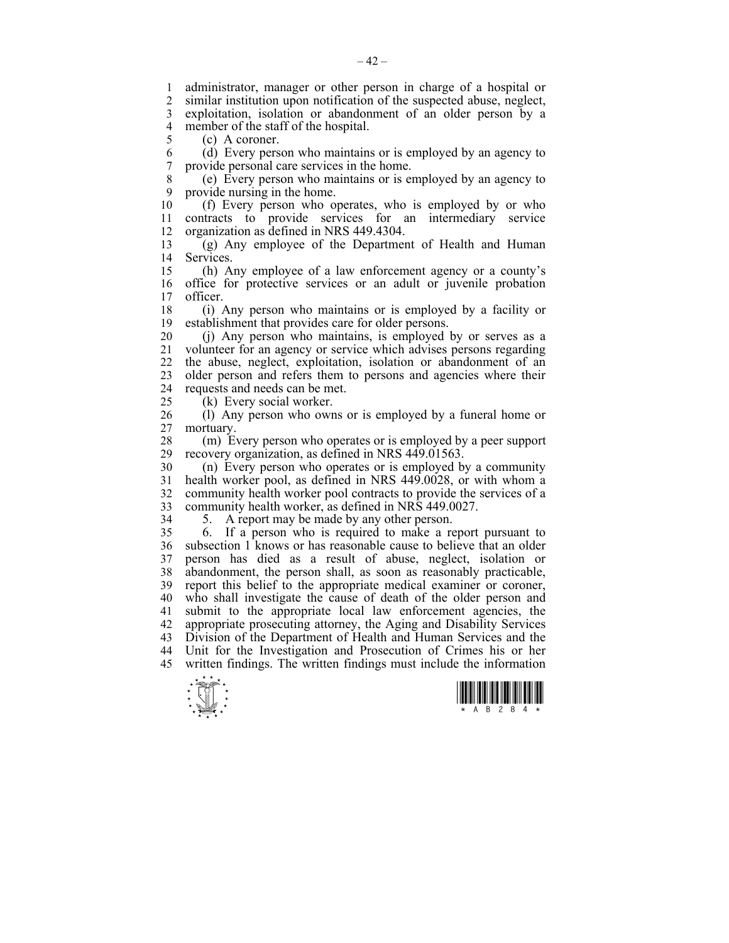1 administrator, manager or other person in charge of a hospital or 2 similar institution upon notification of the suspected abuse neglect similar institution upon notification of the suspected abuse, neglect, 3 exploitation, isolation or abandonment of an older person by a 4 member of the staff of the hospital.<br>5 (c) A coroner

 $(c)$  A coroner.

6 (d) Every person who maintains or is employed by an agency to 7 provide personal care services in the home.

8 (e) Every person who maintains or is employed by an agency to 9 provide nursing in the home.<br>10 (f) Every person who of

10 (f) Every person who operates, who is employed by or who 11 contracts to provide services for an intermediary service 12 organization as defined in NRS 449.4304.

13 (g) Any employee of the Department of Health and Human 14 Services.

15 (h) Any employee of a law enforcement agency or a county's 16 office for protective services or an adult or juvenile probation 17 officer officer

18 (i) Any person who maintains or is employed by a facility or 19 establishment that provides care for older persons.

20 (j) Any person who maintains, is employed by or serves as a 21 volunteer for an agency or service which advises persons regarding 22 the abuse, neglect, exploitation, isolation or abandonment of an 23 older person and refers them to persons and agencies where their 24 requests and needs can be met.

25 (k) Every social worker.

26 (l) Any person who owns or is employed by a funeral home or 27 mortuary.

28 (m) Every person who operates or is employed by a peer support recovery organization, as defined in NRS 449.01563. recovery organization, as defined in NRS 449.01563.

30 (n) Every person who operates or is employed by a community 31 health worker pool, as defined in NRS 449.0028, or with whom a 32 community health worker pool contracts to provide the services of a 33 community health worker, as defined in NRS 449.0027.

34 5. A report may be made by any other person.

35 6. If a person who is required to make a report pursuant to 36 subsection 1 knows or has reasonable cause to believe that an older 37 person has died as a result of abuse, neglect, isolation or 38 abandonment, the person shall, as soon as reasonably practicable, 39 report this belief to the appropriate medical examiner or coroner, 40 who shall investigate the cause of death of the older person and 41 submit to the appropriate local law enforcement agencies, the 42 appropriate prosecuting attorney, the Aging and Disability Services 43 Division of the Department of Health and Human Services and the 44 Unit for the Investigation and Prosecution of Crimes his or her 45 written findings. The written findings must include the information



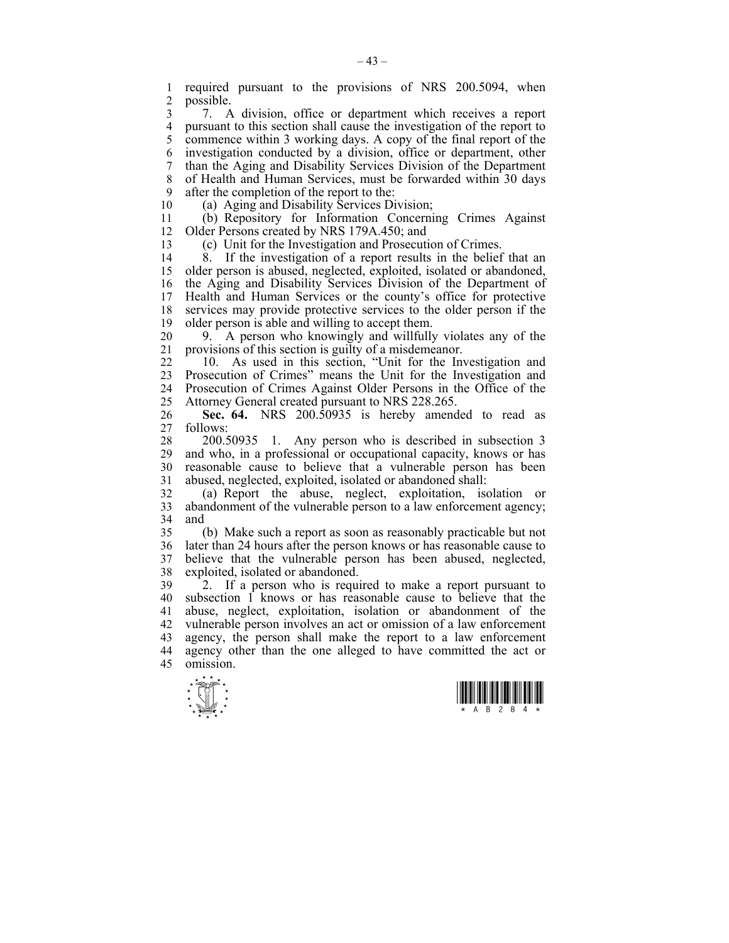1 required pursuant to the provisions of NRS 200.5094, when 2 possible.

3 7. A division, office or department which receives a report 4 pursuant to this section shall cause the investigation of the report to 5 commence within 3 working days. A copy of the final report of the 6 investigation conducted by a division, office or department, other 7 than the Aging and Disability Services Division of the Department 8 of Health and Human Services, must be forwarded within 30 days 9 after the completion of the report to the:

10 (a) Aging and Disability Services Division;

11 (b) Repository for Information Concerning Crimes Against 12 Older Persons created by NRS 179A.450; and

13 (c) Unit for the Investigation and Prosecution of Crimes.

14 8. If the investigation of a report results in the belief that an 15 older person is abused, neglected, exploited, isolated or abandoned, 16 the Aging and Disability Services Division of the Department of 17 Health and Human Services or the county's office for protective 18 services may provide protective services to the older person if the 19 older person is able and willing to accept them.

20 9. A person who knowingly and willfully violates any of the 21 provisions of this section is guilty of a misdemeanor.

22 10. As used in this section, "Unit for the Investigation and 23 Prosecution of Crimes" means the Unit for the Investigation and 24 Prosecution of Crimes Against Older Persons in the Office of the 25 Attorney General created pursuant to NRS 228.265.

26 **Sec. 64.** NRS 200.50935 is hereby amended to read as 27 follows:

28 200.50935 1. Any person who is described in subsection 3 29 and who, in a professional or occupational capacity, knows or has 30 reasonable cause to believe that a vulnerable person has been 31 abused, neglected, exploited, isolated or abandoned shall:

32 (a) Report the abuse, neglect, exploitation, isolation or 33 abandonment of the vulnerable person to a law enforcement agency; 34 and

35 (b) Make such a report as soon as reasonably practicable but not 36 later than 24 hours after the person knows or has reasonable cause to 37 believe that the vulnerable person has been abused, neglected, 38 exploited, isolated or abandoned.

39 2. If a person who is required to make a report pursuant to 40 subsection 1 knows or has reasonable cause to believe that the 41 abuse, neglect, exploitation, isolation or abandonment of the 42 vulnerable person involves an act or omission of a law enforcement 43 agency, the person shall make the report to a law enforcement 44 agency other than the one alleged to have committed the act or 45 omission.



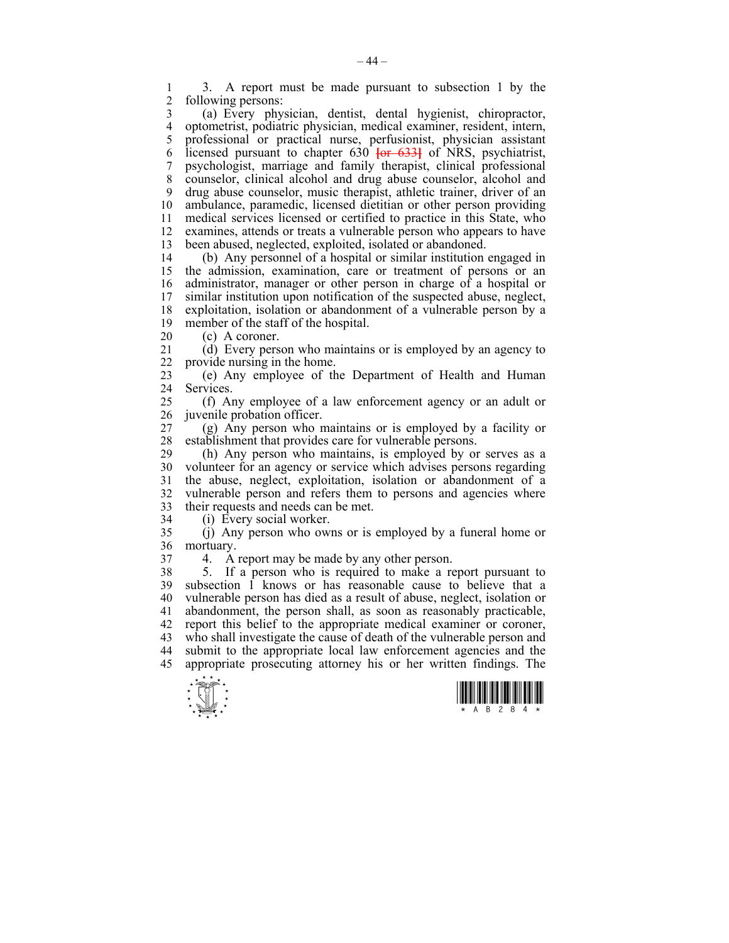1 3. A report must be made pursuant to subsection 1 by the following persons:

3 (a) Every physician, dentist, dental hygienist, chiropractor, 4 optometrist, podiatric physician, medical examiner, resident, intern, 5 professional or practical nurse, perfusionist, physician assistant 6 licensed pursuant to chapter 630 **[**or 633**]** of NRS, psychiatrist, 7 psychologist, marriage and family therapist, clinical professional 8 counselor, clinical alcohol and drug abuse counselor, alcohol and 9 drug abuse counselor, music therapist, athletic trainer, driver of an 10 ambulance, paramedic, licensed dietitian or other person providing 11 medical services licensed or certified to practice in this State, who 12 examines, attends or treats a vulnerable person who appears to have 13 been abused, neglected, exploited, isolated or abandoned.

14 (b) Any personnel of a hospital or similar institution engaged in 15 the admission, examination, care or treatment of persons or an 16 administrator, manager or other person in charge of a hospital or 17 similar institution upon notification of the suspected abuse, neglect, 18 exploitation, isolation or abandonment of a vulnerable person by a 19 member of the staff of the hospital.

20 (c) A coroner.

21 (d) Every person who maintains or is employed by an agency to 22 provide nursing in the home.

23 (e) Any employee of the Department of Health and Human 24 Services.

25 (f) Any employee of a law enforcement agency or an adult or 26 juvenile probation officer.

27 (g) Any person who maintains or is employed by a facility or 28 establishment that provides care for vulnerable persons.

29 (h) Any person who maintains, is employed by or serves as a 30 volunteer for an agency or service which advises persons regarding 31 the abuse, neglect, exploitation, isolation or abandonment of a 32 vulnerable person and refers them to persons and agencies where 33 their requests and needs can be met.

34 (i) Every social worker.

35 (j) Any person who owns or is employed by a funeral home or 36 mortuary.

37 4. A report may be made by any other person.

38 5. If a person who is required to make a report pursuant to 39 subsection 1 knows or has reasonable cause to believe that a 40 vulnerable person has died as a result of abuse, neglect, isolation or 41 abandonment, the person shall, as soon as reasonably practicable, 42 report this belief to the appropriate medical examiner or coroner, 43 who shall investigate the cause of death of the vulnerable person and 44 submit to the appropriate local law enforcement agencies and the 45 appropriate prosecuting attorney his or her written findings. The



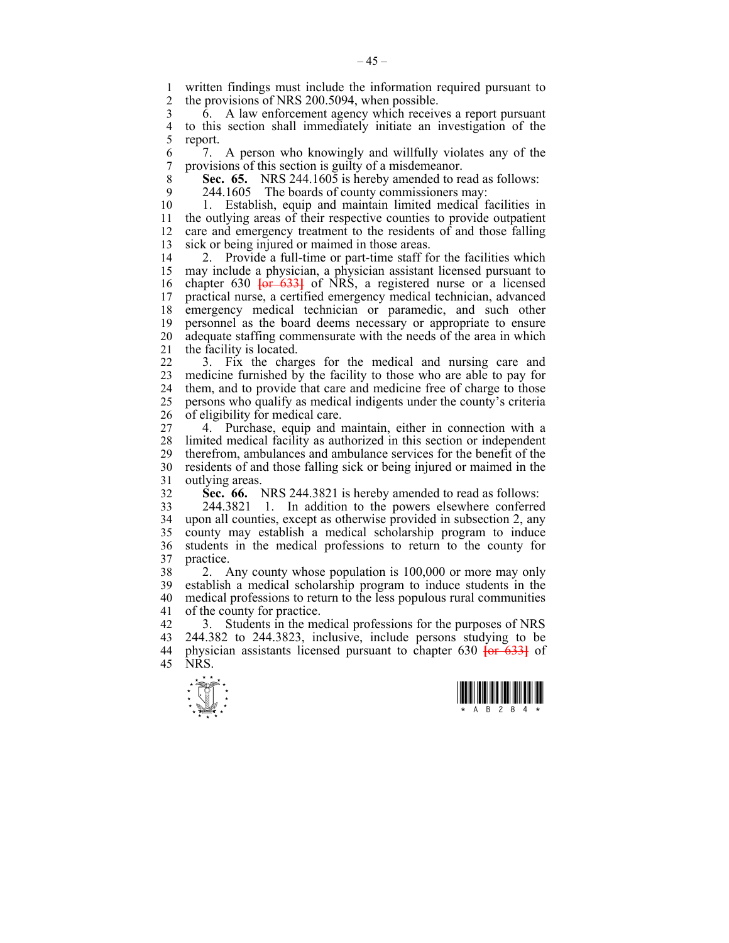1 written findings must include the information required pursuant to<br>2 the provisions of NRS 200 5094 when possible the provisions of NRS 200.5094, when possible.

3 6. A law enforcement agency which receives a report pursuant 4 to this section shall immediately initiate an investigation of the report.

6 7. A person who knowingly and willfully violates any of the 7 provisions of this section is guilty of a misdemeanor.

8 **Sec. 65.** NRS 244.1605 is hereby amended to read as follows:

9 244.1605 The boards of county commissioners may:

10 1. Establish, equip and maintain limited medical facilities in 11 the outlying areas of their respective counties to provide outpatient 12 care and emergency treatment to the residents of and those falling 13 sick or being injured or maimed in those areas.

14 2. Provide a full-time or part-time staff for the facilities which 15 may include a physician, a physician assistant licensed pursuant to 16 chapter 630 **[**or 633**]** of NRS, a registered nurse or a licensed 17 practical nurse, a certified emergency medical technician, advanced 18 emergency medical technician or paramedic, and such other 19 personnel as the board deems necessary or appropriate to ensure 20 adequate staffing commensurate with the needs of the area in which 21 the facility is located.

22 3. Fix the charges for the medical and nursing care and 23 medicine furnished by the facility to those who are able to pay for 24 them, and to provide that care and medicine free of charge to those 25 persons who qualify as medical indigents under the county's criteria 26 of eligibility for medical care.

27 4. Purchase, equip and maintain, either in connection with a 28 limited medical facility as authorized in this section or independent 29 therefrom, ambulances and ambulance services for the benefit of the 30 residents of and those falling sick or being injured or maimed in the 31 outlying areas.

32 **Sec. 66.** NRS 244.3821 is hereby amended to read as follows:

33 244.3821 1. In addition to the powers elsewhere conferred 34 upon all counties, except as otherwise provided in subsection 2, any 35 county may establish a medical scholarship program to induce 36 students in the medical professions to return to the county for 37 practice.

38 2. Any county whose population is 100,000 or more may only 39 establish a medical scholarship program to induce students in the 40 medical professions to return to the less populous rural communities 41 of the county for practice.

42 3. Students in the medical professions for the purposes of NRS 43 244.382 to 244.3823, inclusive, include persons studying to be 44 physician assistants licensed pursuant to chapter 630 **[**or 633**]** of 45 NRS.



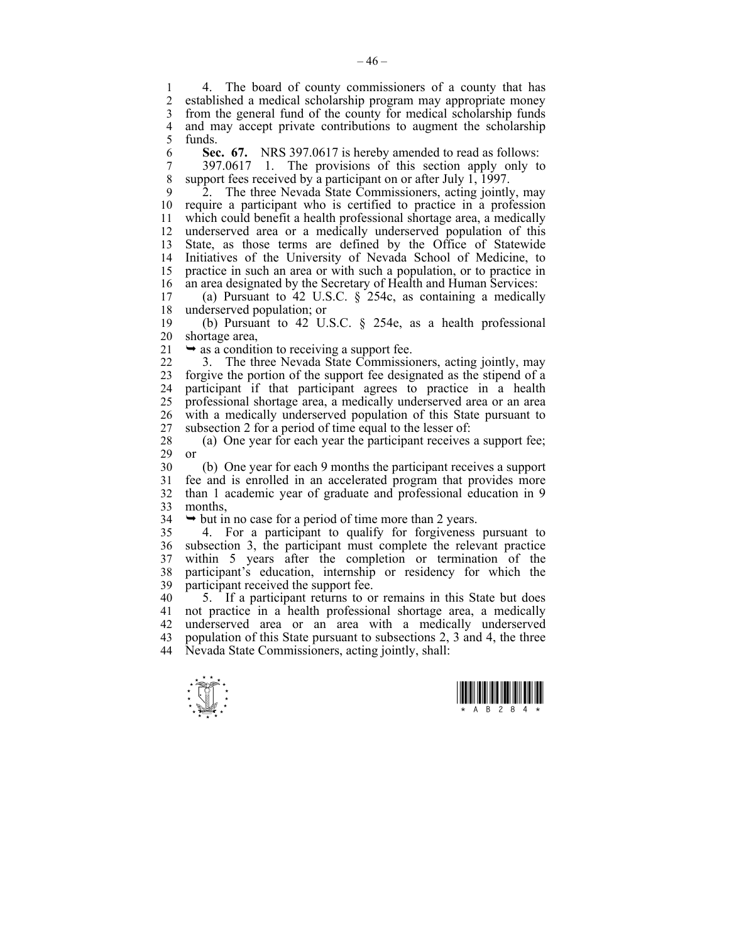1 4. The board of county commissioners of a county that has<br>2 established a medical scholarship program may appropriate money established a medical scholarship program may appropriate money 3 from the general fund of the county for medical scholarship funds 4 and may accept private contributions to augment the scholarship<br>5 funds. 5 funds.

6 **Sec. 67.** NRS 397.0617 is hereby amended to read as follows:

7 397.0617 1. The provisions of this section apply only to<br>8 support fees received by a participant on or after July 1 1997 support fees received by a participant on or after July 1, 1997.

9 2. The three Nevada State Commissioners, acting jointly, may 10 require a participant who is certified to practice in a profession 11 which could benefit a health professional shortage area, a medically 12 underserved area or a medically underserved population of this 13 State, as those terms are defined by the Office of Statewide 14 Initiatives of the University of Nevada School of Medicine, to 15 practice in such an area or with such a population, or to practice in 16 an area designated by the Secretary of Health and Human Services:<br>17 (a) Pursuant to 42 U S C  $\,$  8 254c as containing a medically

(a) Pursuant to 42 U.S.C.  $\S$  254c, as containing a medically 18 underserved population; or

19 (b) Pursuant to 42 U.S.C. § 254e, as a health professional 20 shortage area,

 $21 \rightarrow$  as a condition to receiving a support fee.

22 3. The three Nevada State Commissioners, acting jointly, may 23 forgive the portion of the support fee designated as the stipend of a 24 participant if that participant agrees to practice in a health 25 professional shortage area, a medically underserved area or an area 26 with a medically underserved population of this State pursuant to 27 subsection 2 for a period of time equal to the lesser of:

28 (a) One year for each year the participant receives a support fee; 29 or

30 (b) One year for each 9 months the participant receives a support 31 fee and is enrolled in an accelerated program that provides more 32 than 1 academic year of graduate and professional education in 9 33 months,

 $34 \rightarrow$  but in no case for a period of time more than 2 years.

35 4. For a participant to qualify for forgiveness pursuant to 36 subsection 3, the participant must complete the relevant practice 37 within 5 years after the completion or termination of the 38 participant's education, internship or residency for which the 39 participant received the support fee.

40 5. If a participant returns to or remains in this State but does 41 not practice in a health professional shortage area, a medically 42 underserved area or an area with a medically underserved 43 population of this State pursuant to subsections 2, 3 and 4, the three 44 Nevada State Commissioners, acting jointly, shall:



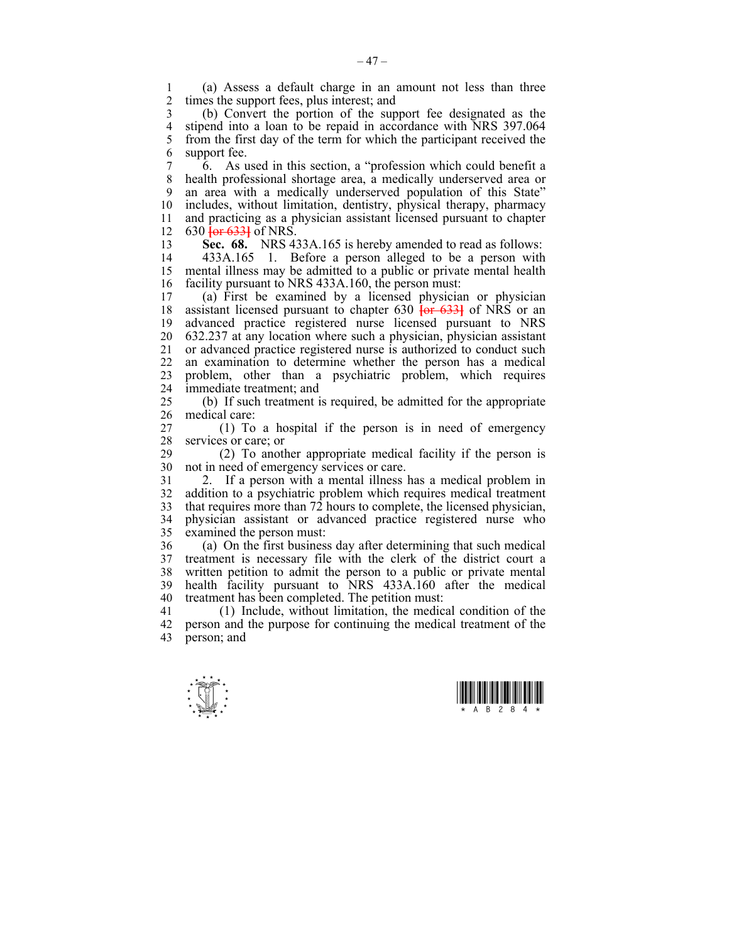1 (a) Assess a default charge in an amount not less than three times the support fees, plus interest; and

3 (b) Convert the portion of the support fee designated as the 4 stipend into a loan to be repaid in accordance with NRS 397.064<br>5 from the first day of the term for which the participant received the 5 from the first day of the term for which the participant received the 6 support fee.

7 6. As used in this section, a "profession which could benefit a 8 health professional shortage area, a medically underserved area or 9 an area with a medically underserved population of this State" 10 includes, without limitation, dentistry, physical therapy, pharmacy 11 and practicing as a physician assistant licensed pursuant to chapter 12 630 **[**or 633**]** of NRS.

13 **Sec. 68.** NRS 433A.165 is hereby amended to read as follows:

14 433A.165 1. Before a person alleged to be a person with 15 mental illness may be admitted to a public or private mental health 16 facility pursuant to NRS 433A.160, the person must:

17 (a) First be examined by a licensed physician or physician 18 assistant licensed pursuant to chapter 630 **[**or 633**]** of NRS or an 19 advanced practice registered nurse licensed pursuant to NRS 20 632.237 at any location where such a physician, physician assistant 21 or advanced practice registered nurse is authorized to conduct such 22 an examination to determine whether the person has a medical 23 problem, other than a psychiatric problem, which requires 24 immediate treatment; and

25 (b) If such treatment is required, be admitted for the appropriate 26 medical care:

27 (1) To a hospital if the person is in need of emergency 28 services or care; or<br>29 (2) To anot

29 (2) To another appropriate medical facility if the person is 30 not in need of emergency services or care.

31 2. If a person with a mental illness has a medical problem in 32 addition to a psychiatric problem which requires medical treatment 33 that requires more than 72 hours to complete, the licensed physician, 34 physician assistant or advanced practice registered nurse who 35 examined the person must:

36 (a) On the first business day after determining that such medical 37 treatment is necessary file with the clerk of the district court a 38 written petition to admit the person to a public or private mental 39 health facility pursuant to NRS 433A.160 after the medical 40 treatment has been completed. The petition must:

41 (1) Include, without limitation, the medical condition of the 42 person and the purpose for continuing the medical treatment of the 43 person; and



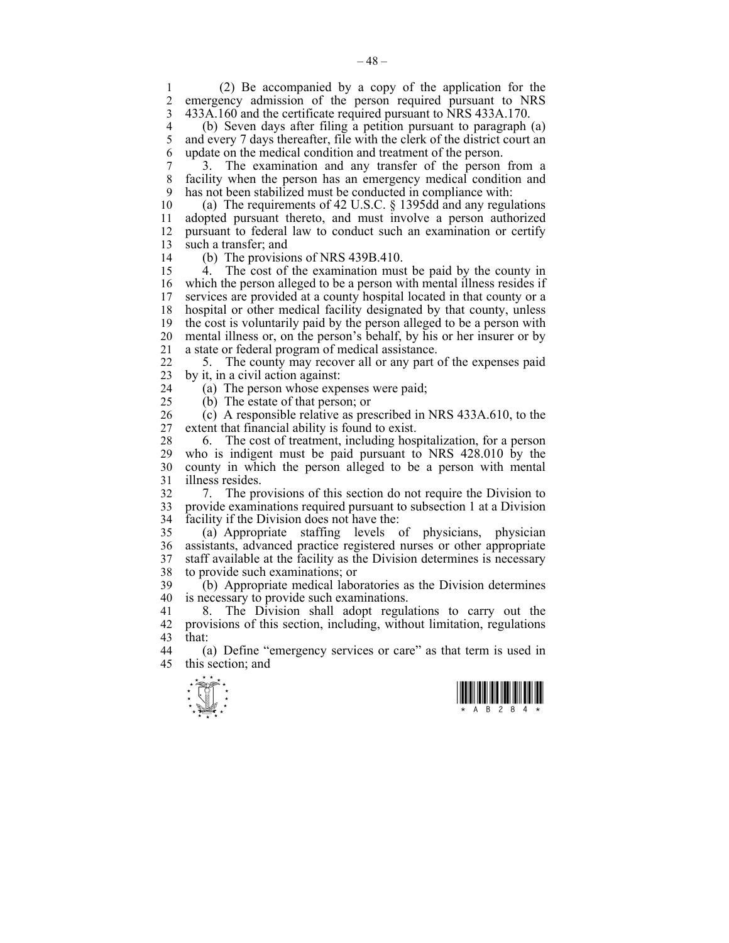1 (2) Be accompanied by a copy of the application for the emergency admission of the person required pursuant to NRS 3 433A.160 and the certificate required pursuant to NRS 433A.170.

4 (b) Seven days after filing a petition pursuant to paragraph (a)  $\frac{5}{2}$  and every 7 days thereafter. file with the clerk of the district court an and every 7 days thereafter, file with the clerk of the district court an 6 update on the medical condition and treatment of the person.

7 3. The examination and any transfer of the person from a 8 facility when the person has an emergency medical condition and 9 has not been stabilized must be conducted in compliance with:

10 (a) The requirements of 42 U.S.C. § 1395dd and any regulations 11 adopted pursuant thereto, and must involve a person authorized 12 pursuant to federal law to conduct such an examination or certify 13 such a transfer; and

14 (b) The provisions of NRS 439B.410.

15 4. The cost of the examination must be paid by the county in 16 which the person alleged to be a person with mental illness resides if 17 services are provided at a county hospital located in that county or a 18 hospital or other medical facility designated by that county, unless 19 the cost is voluntarily paid by the person alleged to be a person with 20 mental illness or, on the person's behalf, by his or her insurer or by 21 a state or federal program of medical assistance.

22 5. The county may recover all or any part of the expenses paid 23 by it, in a civil action against:

24 (a) The person whose expenses were paid; 25 (b) The estate of that person; or

26 (c) A responsible relative as prescribed in NRS 433A.610, to the 27 extent that financial ability is found to exist.

28 6. The cost of treatment, including hospitalization, for a person 29 who is indigent must be paid pursuant to NRS 428.010 by the 30 county in which the person alleged to be a person with mental 31 illness resides.

32 7. The provisions of this section do not require the Division to 33 provide examinations required pursuant to subsection 1 at a Division 34 facility if the Division does not have the:

35 (a) Appropriate staffing levels of physicians, physician 36 assistants, advanced practice registered nurses or other appropriate 37 staff available at the facility as the Division determines is necessary 38 to provide such examinations; or

39 (b) Appropriate medical laboratories as the Division determines 40 is necessary to provide such examinations.

41 8. The Division shall adopt regulations to carry out the 42 provisions of this section, including, without limitation, regulations 43 that:

44 (a) Define "emergency services or care" as that term is used in 45 this section; and



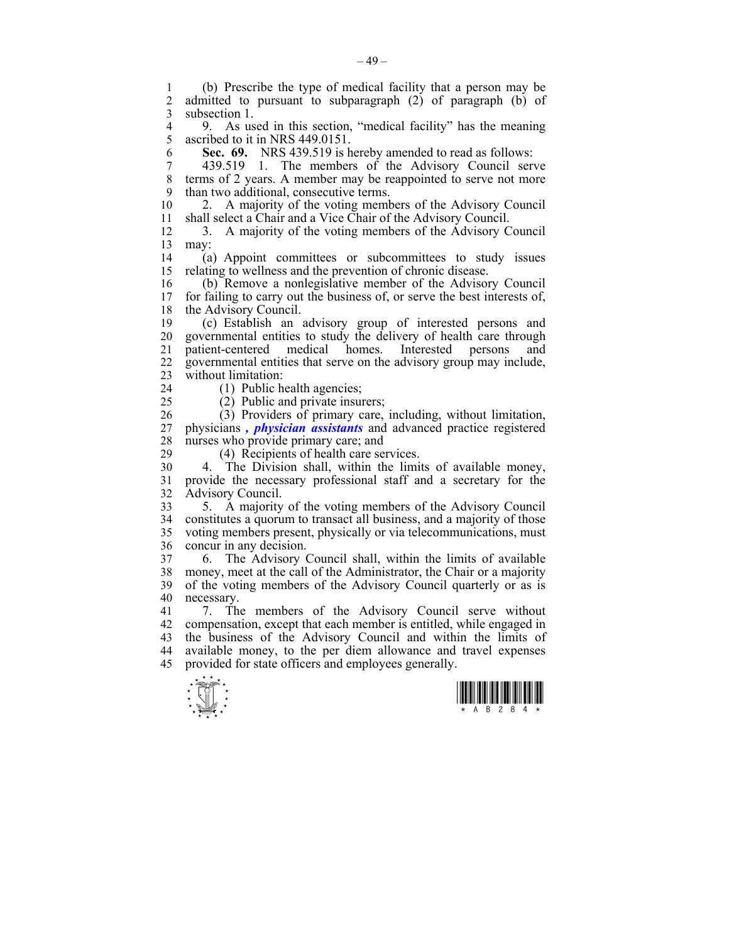1 (b) Prescribe the type of medical facility that a person may be admitted to pursuant to subparagraph  $(2)$  of paragraph  $(b)$  of 3 subsection 1.

4 9. As used in this section, "medical facility" has the meaning<br>5 ascribed to it in NRS 449 0151 ascribed to it in NRS 449.0151.

6 **Sec. 69.** NRS 439.519 is hereby amended to read as follows:

7 439.519 1. The members of the Advisory Council serve 8 terms of 2 years. A member may be reappointed to serve not more 9 than two additional, consecutive terms.

10 2. A majority of the voting members of the Advisory Council 11 shall select a Chair and a Vice Chair of the Advisory Council.

12 3. A majority of the voting members of the Advisory Council 13 may:

14 (a) Appoint committees or subcommittees to study issues 15 relating to wellness and the prevention of chronic disease.

16 (b) Remove a nonlegislative member of the Advisory Council for failing to carry out the business of, or serve the best interests of, 18 the Advisory Council.

19 (c) Establish an advisory group of interested persons and 20 governmental entities to study the delivery of health care through 21 patient-centered medical homes. Interested persons and 22 governmental entities that serve on the advisory group may include, 23 without limitation:

24 (1) Public health agencies;

25 (2) Public and private insurers;

26 (3) Providers of primary care, including, without limitation, 27 physicians *, physician assistants* and advanced practice registered 28 nurses who provide primary care; and

29 (4) Recipients of health care services.

30 4. The Division shall, within the limits of available money, 31 provide the necessary professional staff and a secretary for the 32 Advisory Council.

33 5. A majority of the voting members of the Advisory Council 34 constitutes a quorum to transact all business, and a majority of those 35 voting members present, physically or via telecommunications, must 36 concur in any decision.

37 6. The Advisory Council shall, within the limits of available 38 money, meet at the call of the Administrator, the Chair or a majority 39 of the voting members of the Advisory Council quarterly or as is 40 necessary.

41 7. The members of the Advisory Council serve without 42 compensation, except that each member is entitled, while engaged in 43 the business of the Advisory Council and within the limits of 44 available money, to the per diem allowance and travel expenses 45 provided for state officers and employees generally.



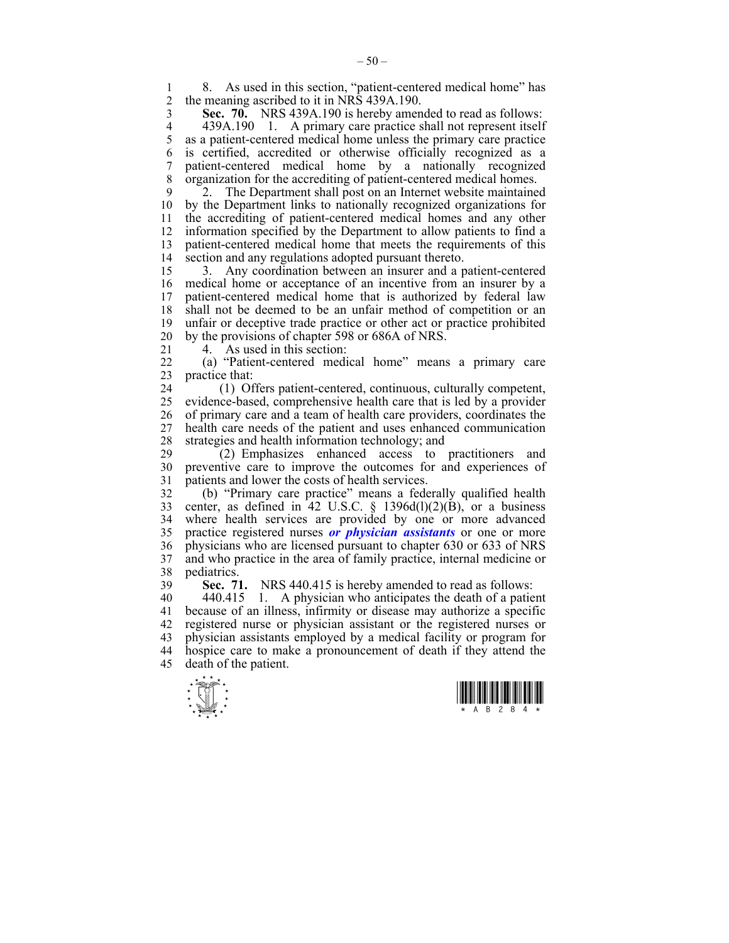1 8. As used in this section, "patient-centered medical home" has 2 the meaning ascribed to it in NRS 439A 190 2 the meaning ascribed to it in NRS 439A.190.

3 **Sec. 70.** NRS 439A.190 is hereby amended to read as follows:

4 439A.190 1. A primary care practice shall not represent itself<br>5 as a patient-centered medical home unless the primary care practice as a patient-centered medical home unless the primary care practice 6 is certified, accredited or otherwise officially recognized as a 7 patient-centered medical home by a nationally recognized 8 organization for the accrediting of patient-centered medical homes.

9 2. The Department shall post on an Internet website maintained 10 by the Department links to nationally recognized organizations for 11 the accrediting of patient-centered medical homes and any other 12 information specified by the Department to allow patients to find a 13 patient-centered medical home that meets the requirements of this 14 section and any regulations adopted pursuant thereto.

15 3. Any coordination between an insurer and a patient-centered 16 medical home or acceptance of an incentive from an insurer by a 17 patient-centered medical home that is authorized by federal law 18 shall not be deemed to be an unfair method of competition or an 19 unfair or deceptive trade practice or other act or practice prohibited 20 by the provisions of chapter 598 or 686A of NRS.

21 4. As used in this section:

22 (a) "Patient-centered medical home" means a primary care 23 practice that:

24 (1) Offers patient-centered, continuous, culturally competent, 25 evidence-based, comprehensive health care that is led by a provider 26 of primary care and a team of health care providers, coordinates the 27 health care needs of the patient and uses enhanced communication 28 strategies and health information technology; and<br>29 (2) Emphasizes enhanced access to

29 (2) Emphasizes enhanced access to practitioners and 30 preventive care to improve the outcomes for and experiences of 31 patients and lower the costs of health services.

32 (b) "Primary care practice" means a federally qualified health 33 center, as defined in  $42$  U.S.C. § 1396d(1)(2)(B), or a business 34 where health services are provided by one or more advanced 35 practice registered nurses *or physician assistants* or one or more 36 physicians who are licensed pursuant to chapter 630 or 633 of NRS 37 and who practice in the area of family practice, internal medicine or 38 pediatrics.

39 **Sec. 71.** NRS 440.415 is hereby amended to read as follows:

40 440.415 1. A physician who anticipates the death of a patient 41 because of an illness, infirmity or disease may authorize a specific 42 registered nurse or physician assistant or the registered nurses or 43 physician assistants employed by a medical facility or program for 44 hospice care to make a pronouncement of death if they attend the 45 death of the patient.



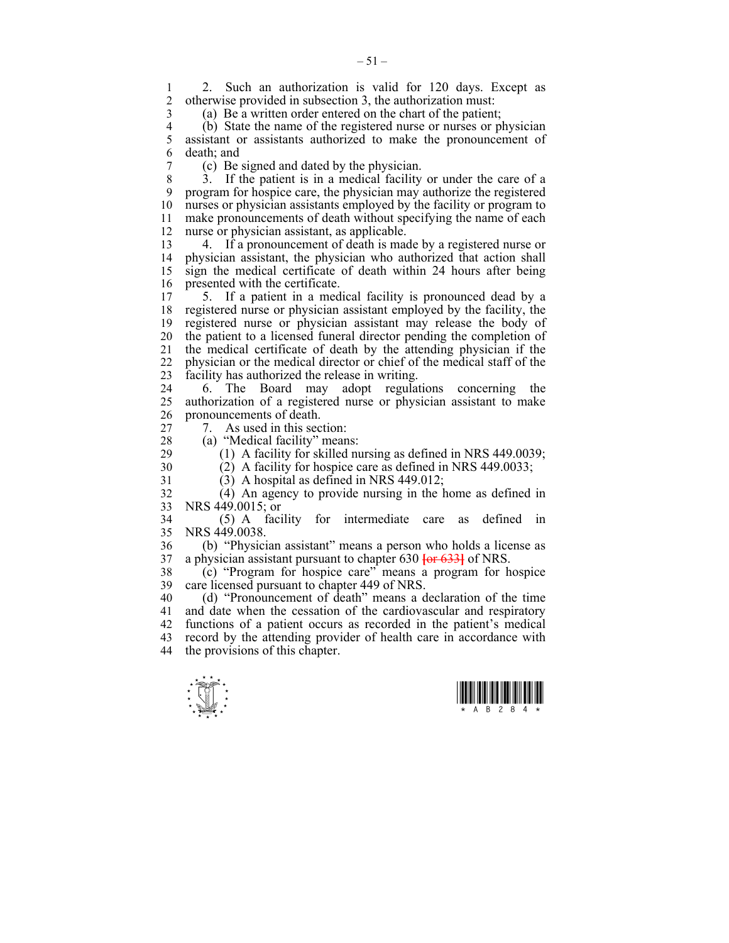1 2. Such an authorization is valid for 120 days. Except as 2 otherwise provided in subsection 3 the authorization must 2 otherwise provided in subsection 3, the authorization must:

3 (a) Be a written order entered on the chart of the patient;

4 (b) State the name of the registered nurse or nurses or physician<br>5 assistant or assistants authorized to make the pronouncement of assistant or assistants authorized to make the pronouncement of 6 death; and

7 (c) Be signed and dated by the physician.

8 3. If the patient is in a medical facility or under the care of a 9 program for hospice care, the physician may authorize the registered 10 nurses or physician assistants employed by the facility or program to 11 make pronouncements of death without specifying the name of each 12 nurse or physician assistant, as applicable.

13 4. If a pronouncement of death is made by a registered nurse or 14 physician assistant, the physician who authorized that action shall 15 sign the medical certificate of death within 24 hours after being 16 presented with the certificate.

17 5. If a patient in a medical facility is pronounced dead by a 18 registered nurse or physician assistant employed by the facility, the 19 registered nurse or physician assistant may release the body of 20 the patient to a licensed funeral director pending the completion of 21 the medical certificate of death by the attending physician if the 22 physician or the medical director or chief of the medical staff of the 23 facility has authorized the release in writing.

24 6. The Board may adopt regulations concerning the 25 authorization of a registered nurse or physician assistant to make 26 pronouncements of death.

27 7. As used in this section:

28 (a) "Medical facility" means:

29 (1) A facility for skilled nursing as defined in NRS 449.0039; 30 (2) A facility for hospice care as defined in NRS 449.0033;

31 (3) A hospital as defined in NRS 449.012;

32 (4) An agency to provide nursing in the home as defined in 33 NRS 449.0015; or

34 (5) A facility for intermediate care as defined in 35 NRS 449.0038.

36 (b) "Physician assistant" means a person who holds a license as 37 a physician assistant pursuant to chapter 630 **[**or 633**]** of NRS.

38 (c) "Program for hospice care" means a program for hospice 39 care licensed pursuant to chapter 449 of NRS.

40 (d) "Pronouncement of death" means a declaration of the time 41 and date when the cessation of the cardiovascular and respiratory 42 functions of a patient occurs as recorded in the patient's medical 43 record by the attending provider of health care in accordance with 44 the provisions of this chapter.



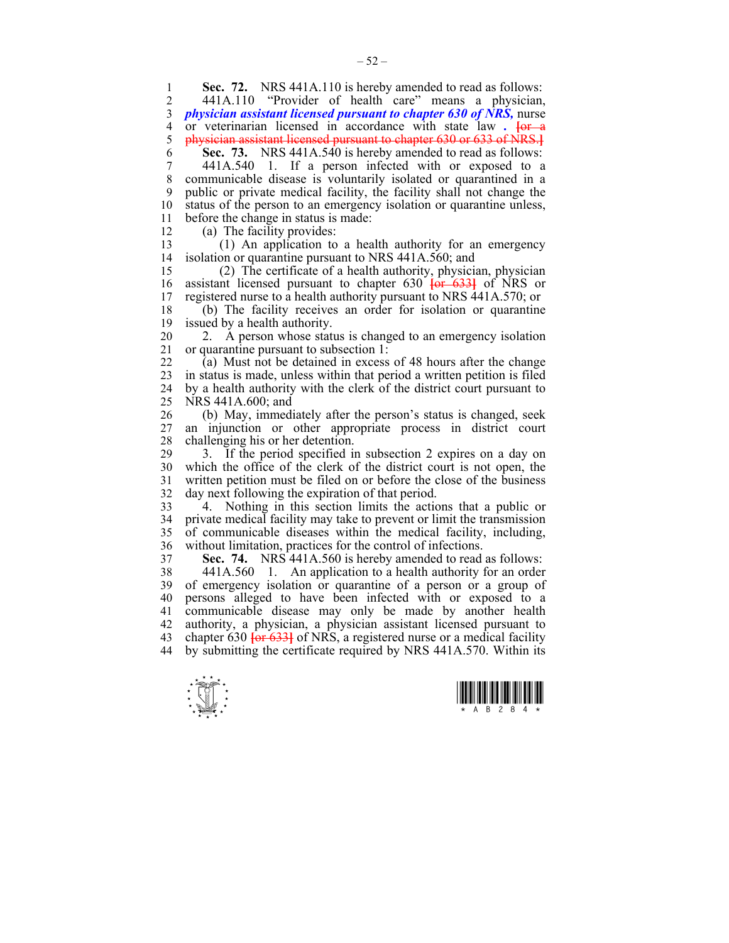1 **Sec. 72.** NRS 441A.110 is hereby amended to read as follows:<br>2 441A 110 "Provider of health care" means a physician

2 441A.110 "Provider of health care" means a physician, 3 *physician assistant licensed pursuant to chapter 630 of NRS,* nurse 4 or veterinarian licensed in accordance with state law . <del>[or a</del> 5 physician assistant licensed pursuant to chapter 630 or 633 of NRS.] 5 physician assistant licensed pursuant to chapter 630 or 633 of NRS.**]**

6 **Sec. 73.** NRS 441A.540 is hereby amended to read as follows:

7 441A.540 1. If a person infected with or exposed to a 8 communicable disease is voluntarily isolated or quarantined in a 9 public or private medical facility, the facility shall not change the 10 status of the person to an emergency isolation or quarantine unless, 11 before the change in status is made:

12 (a) The facility provides:

13 (1) An application to a health authority for an emergency 14 isolation or quarantine pursuant to NRS 441A.560; and

15 (2) The certificate of a health authority, physician, physician 16 assistant licensed pursuant to chapter 630 **[or 633]** of NRS or registered nurse to a health authority pursuant to NRS 441A.570; or 17 registered nurse to a health authority pursuant to NRS 441A.570; or

18 (b) The facility receives an order for isolation or quarantine 19 issued by a health authority.

20 2. A person whose status is changed to an emergency isolation 21 or quarantine pursuant to subsection 1:

22 (a) Must not be detained in excess of 48 hours after the change 23 in status is made, unless within that period a written petition is filed 24 by a health authority with the clerk of the district court pursuant to 25 NRS 441A.600; and

26 (b) May, immediately after the person's status is changed, seek 27 an injunction or other appropriate process in district court 28 challenging his or her detention.

29 3. If the period specified in subsection 2 expires on a day on 30 which the office of the clerk of the district court is not open, the 31 written petition must be filed on or before the close of the business 32 day next following the expiration of that period.

33 4. Nothing in this section limits the actions that a public or 34 private medical facility may take to prevent or limit the transmission 35 of communicable diseases within the medical facility, including, 36 without limitation, practices for the control of infections.

37 **Sec. 74.** NRS 441A.560 is hereby amended to read as follows:

38 441A.560 1. An application to a health authority for an order 39 of emergency isolation or quarantine of a person or a group of 40 persons alleged to have been infected with or exposed to a 41 communicable disease may only be made by another health 42 authority, a physician, a physician assistant licensed pursuant to 43 chapter 630 **[**or 633**]** of NRS, a registered nurse or a medical facility 44 by submitting the certificate required by NRS 441A.570. Within its



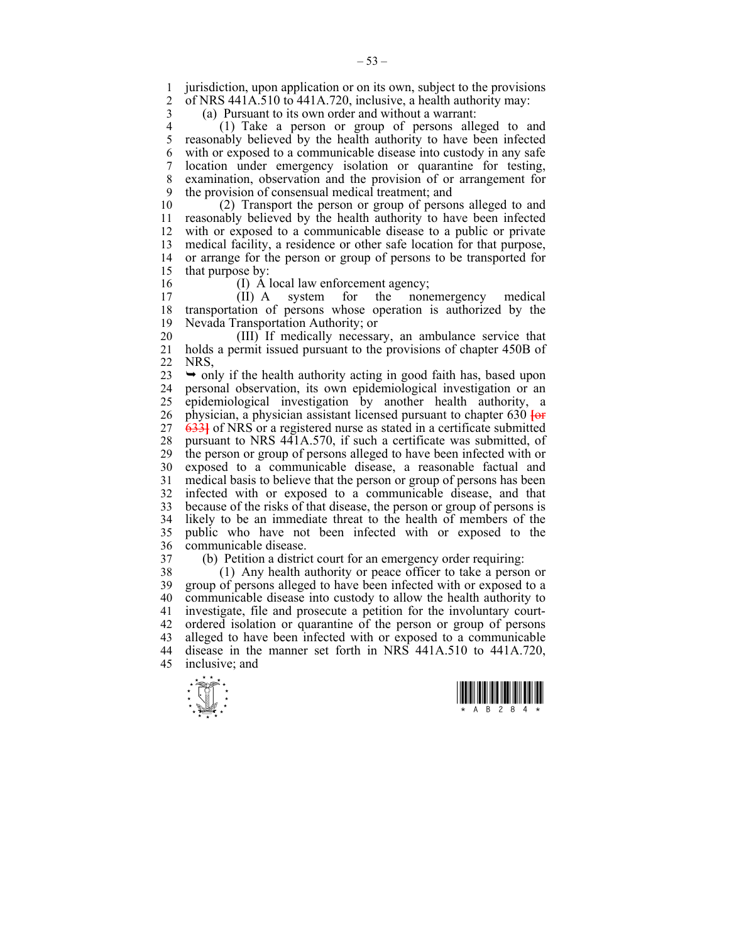1 jurisdiction, upon application or on its own, subject to the provisions<br>2 of NRS 441A 510 to 441A 720 inclusive a health authority may of NRS  $441A.510 \overline{6}441A.720$ , inclusive, a health authority may:

3 (a) Pursuant to its own order and without a warrant:

4 (1) Take a person or group of persons alleged to and 5 reasonably believed by the health authority to have been infected 6 with or exposed to a communicable disease into custody in any safe 7 location under emergency isolation or quarantine for testing, 8 examination, observation and the provision of or arrangement for 9 the provision of consensual medical treatment; and

10 (2) Transport the person or group of persons alleged to and 11 reasonably believed by the health authority to have been infected 12 with or exposed to a communicable disease to a public or private 13 medical facility, a residence or other safe location for that purpose, 14 or arrange for the person or group of persons to be transported for 15 that purpose by:

- 
- 

16 (I) A local law enforcement agency;<br>17 (II) A system for the none 17 (II) A system for the nonemergency medical 18 transportation of persons whose operation is authorized by the 19 Nevada Transportation Authority; or

20 (III) If medically necessary, an ambulance service that 21 holds a permit issued pursuant to the provisions of chapter 450B of 22 NRS,

 $23 \rightarrow$  only if the health authority acting in good faith has, based upon 24 personal observation, its own epidemiological investigation or an 25 epidemiological investigation by another health authority, a 26 physician, a physician assistant licensed pursuant to chapter 630 **[**or 27 633**]** of NRS or a registered nurse as stated in a certificate submitted 28 pursuant to NRS 441A.570, if such a certificate was submitted, of 29 the person or group of persons alleged to have been infected with or 30 exposed to a communicable disease, a reasonable factual and 31 medical basis to believe that the person or group of persons has been 32 infected with or exposed to a communicable disease, and that 33 because of the risks of that disease, the person or group of persons is 34 likely to be an immediate threat to the health of members of the 35 public who have not been infected with or exposed to the 36 communicable disease.

37 (b) Petition a district court for an emergency order requiring:

38 (1) Any health authority or peace officer to take a person or 39 group of persons alleged to have been infected with or exposed to a 40 communicable disease into custody to allow the health authority to 41 investigate, file and prosecute a petition for the involuntary court-42 ordered isolation or quarantine of the person or group of persons 43 alleged to have been infected with or exposed to a communicable 44 disease in the manner set forth in NRS 441A.510 to 441A.720, 45 inclusive; and



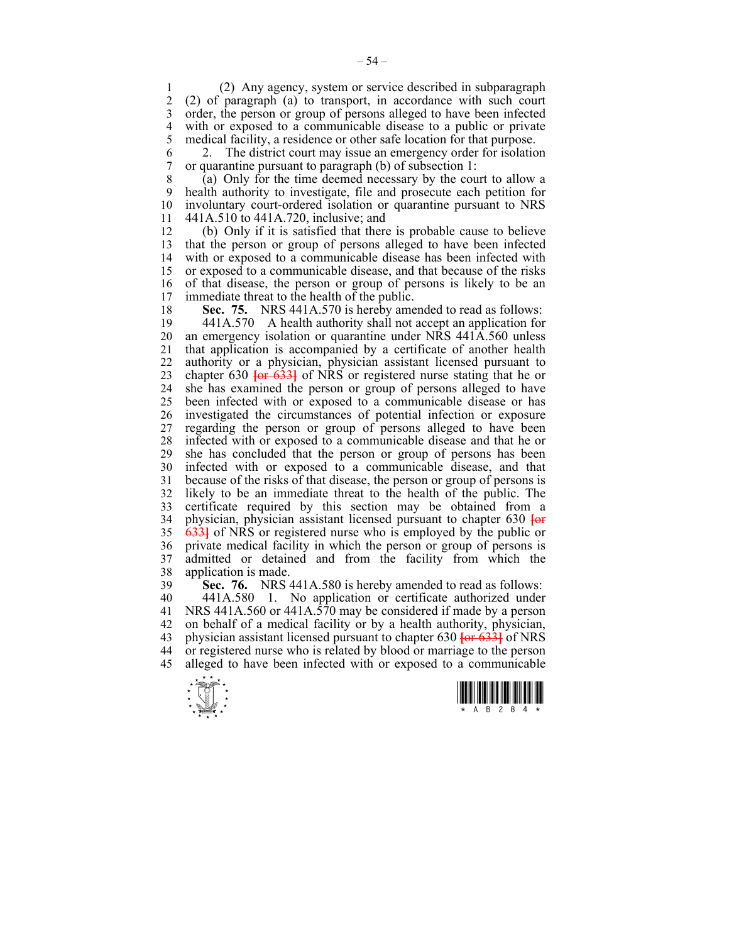1 (2) Any agency, system or service described in subparagraph 2 (2) of paragraph (a) to transport, in accordance with such court 3 order, the person or group of persons alleged to have been infected 4 with or exposed to a communicable disease to a public or private<br>5 medical facility, a residence or other safe location for that purpose. 5 medical facility, a residence or other safe location for that purpose.

6 2. The district court may issue an emergency order for isolation 7 or quarantine pursuant to paragraph (b) of subsection 1:

8 (a) Only for the time deemed necessary by the court to allow a 9 health authority to investigate, file and prosecute each petition for 10 involuntary court-ordered isolation or quarantine pursuant to NRS 11 441A.510 to 441A.720, inclusive; and

12 (b) Only if it is satisfied that there is probable cause to believe 13 that the person or group of persons alleged to have been infected 14 with or exposed to a communicable disease has been infected with 15 or exposed to a communicable disease, and that because of the risks 16 of that disease, the person or group of persons is likely to be an 17 immediate threat to the health of the public. immediate threat to the health of the public.

18 **Sec. 75.** NRS 441A.570 is hereby amended to read as follows:

19 441A.570 A health authority shall not accept an application for 20 an emergency isolation or quarantine under NRS 441A.560 unless 21 that application is accompanied by a certificate of another health 22 authority or a physician, physician assistant licensed pursuant to 23 chapter 630 **[**or 633**]** of NRS or registered nurse stating that he or 24 she has examined the person or group of persons alleged to have 25 been infected with or exposed to a communicable disease or has 26 investigated the circumstances of potential infection or exposure 27 regarding the person or group of persons alleged to have been 28 infected with or exposed to a communicable disease and that he or 29 she has concluded that the person or group of persons has been 30 infected with or exposed to a communicable disease, and that 31 because of the risks of that disease, the person or group of persons is 32 likely to be an immediate threat to the health of the public. The 33 certificate required by this section may be obtained from a 34 physician, physician assistant licensed pursuant to chapter 630 **[**or 35 633**]** of NRS or registered nurse who is employed by the public or 36 private medical facility in which the person or group of persons is 37 admitted or detained and from the facility from which the 38 application is made.

39 **Sec. 76.** NRS 441A.580 is hereby amended to read as follows: 40 441A.580 1. No application or certificate authorized under 41 NRS 441A.560 or 441A.570 may be considered if made by a person 42 on behalf of a medical facility or by a health authority, physician, 43 physician assistant licensed pursuant to chapter 630 **[**or 633**]** of NRS 44 or registered nurse who is related by blood or marriage to the person 45 alleged to have been infected with or exposed to a communicable



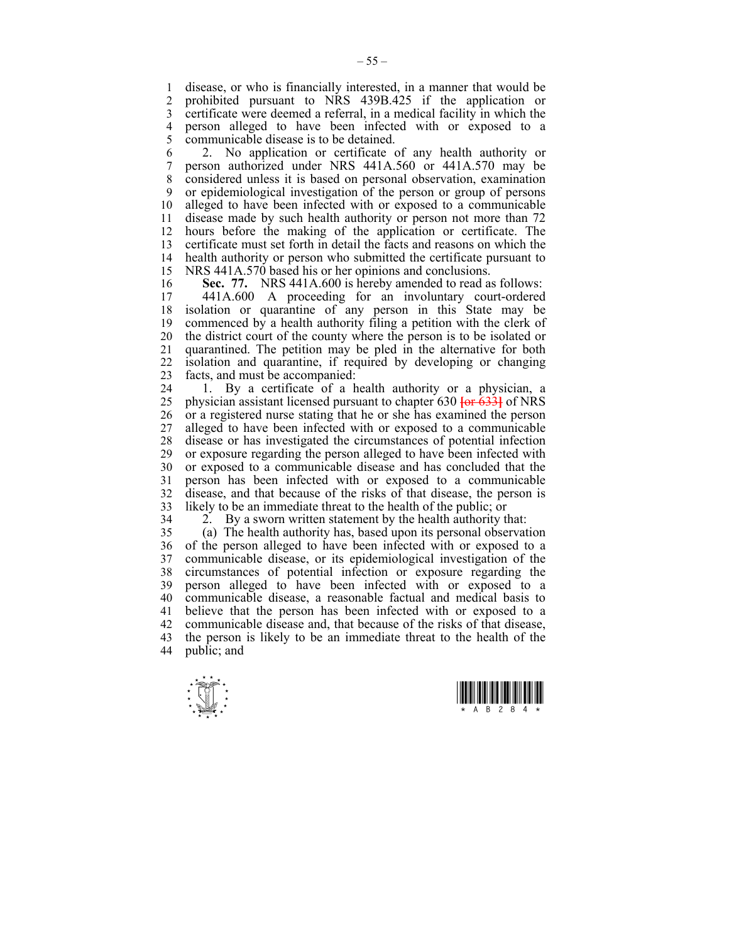1 disease, or who is financially interested, in a manner that would be<br>2 prohibited pursuant to NRS 439B 425 if the application or 2 prohibited pursuant to NRS 439B.425 if the application or 3 certificate were deemed a referral, in a medical facility in which the 4 person alleged to have been infected with or exposed to a 5 communicable disease is to be detained.

6 2. No application or certificate of any health authority or 7 person authorized under NRS 441A.560 or 441A.570 may be 8 considered unless it is based on personal observation, examination 9 or epidemiological investigation of the person or group of persons 10 alleged to have been infected with or exposed to a communicable 11 disease made by such health authority or person not more than 72 12 hours before the making of the application or certificate. The 13 certificate must set forth in detail the facts and reasons on which the 14 health authority or person who submitted the certificate pursuant to health authority or person who submitted the certificate pursuant to 15 NRS 441A.570 based his or her opinions and conclusions.

16 **Sec. 77.** NRS 441A.600 is hereby amended to read as follows:<br>17 441A 600 A proceeding for an involuntary court-ordered

441A.600 A proceeding for an involuntary court-ordered 18 isolation or quarantine of any person in this State may be 19 commenced by a health authority filing a petition with the clerk of 20 the district court of the county where the person is to be isolated or 21 quarantined. The petition may be pled in the alternative for both 22 isolation and quarantine, if required by developing or changing 23 facts, and must be accompanied:

24 1. By a certificate of a health authority or a physician, a 25 physician assistant licensed pursuant to chapter 630 **[**or 633**]** of NRS 26 or a registered nurse stating that he or she has examined the person 27 alleged to have been infected with or exposed to a communicable 28 disease or has investigated the circumstances of potential infection 29 or exposure regarding the person alleged to have been infected with 30 or exposed to a communicable disease and has concluded that the 31 person has been infected with or exposed to a communicable 32 disease, and that because of the risks of that disease, the person is 33 likely to be an immediate threat to the health of the public; or

34 2. By a sworn written statement by the health authority that:

35 (a) The health authority has, based upon its personal observation 36 of the person alleged to have been infected with or exposed to a 37 communicable disease, or its epidemiological investigation of the 38 circumstances of potential infection or exposure regarding the 39 person alleged to have been infected with or exposed to a 40 communicable disease, a reasonable factual and medical basis to 41 believe that the person has been infected with or exposed to a 42 communicable disease and, that because of the risks of that disease, 43 the person is likely to be an immediate threat to the health of the 44 public; and



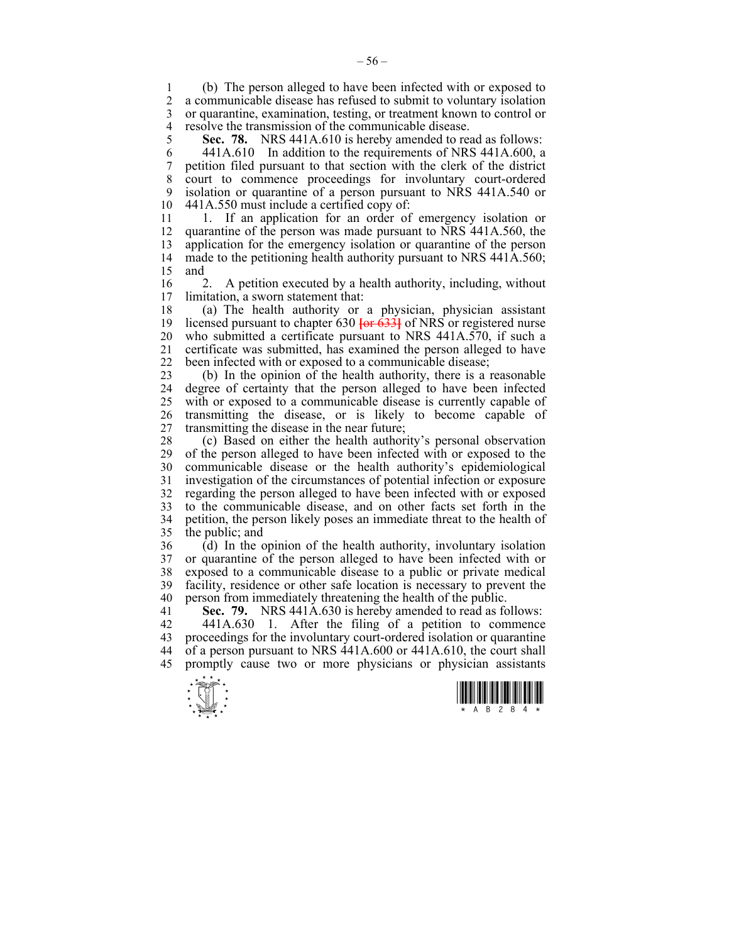1 (b) The person alleged to have been infected with or exposed to 2 a communicable disease has refused to submit to voluntary isolation 3 or quarantine, examination, testing, or treatment known to control or 4 resolve the transmission of the communicable disease.<br>5 **Sec. 78.** NRS 441A.610 is hereby amended to really

5 **Sec. 78.** NRS 441A.610 is hereby amended to read as follows: 6 441A.610 In addition to the requirements of NRS 441A.600, a 7 petition filed pursuant to that section with the clerk of the district 8 court to commence proceedings for involuntary court-ordered 9 isolation or quarantine of a person pursuant to NRS 441A.540 or 10 441A.550 must include a certified copy of:

11 1. If an application for an order of emergency isolation or 12 quarantine of the person was made pursuant to NRS 441A.560, the 13 application for the emergency isolation or quarantine of the person 14 made to the petitioning health authority pursuant to NRS 441A.560; 15 and

16 2. A petition executed by a health authority, including, without 17 limitation a sworn statement that limitation, a sworn statement that:

18 (a) The health authority or a physician, physician assistant 19 licensed pursuant to chapter 630 **[**or 633**]** of NRS or registered nurse 20 who submitted a certificate pursuant to NRS 441A.570, if such a 21 certificate was submitted, has examined the person alleged to have 22 been infected with or exposed to a communicable disease;

23 (b) In the opinion of the health authority, there is a reasonable 24 degree of certainty that the person alleged to have been infected 25 with or exposed to a communicable disease is currently capable of 26 transmitting the disease, or is likely to become capable of 27 transmitting the disease in the near future;

28 (c) Based on either the health authority's personal observation 29 of the person alleged to have been infected with or exposed to the 30 communicable disease or the health authority's epidemiological 31 investigation of the circumstances of potential infection or exposure 32 regarding the person alleged to have been infected with or exposed 33 to the communicable disease, and on other facts set forth in the 34 petition, the person likely poses an immediate threat to the health of 35 the public; and

36 (d) In the opinion of the health authority, involuntary isolation 37 or quarantine of the person alleged to have been infected with or exposed to a communicable disease to a public or private medical 39 facility, residence or other safe location is necessary to prevent the 40 person from immediately threatening the health of the public.

41 **Sec. 79.** NRS 441A.630 is hereby amended to read as follows:

42 441A.630 1. After the filing of a petition to commence 43 proceedings for the involuntary court-ordered isolation or quarantine 44 of a person pursuant to NRS 441A.600 or 441A.610, the court shall 45 promptly cause two or more physicians or physician assistants



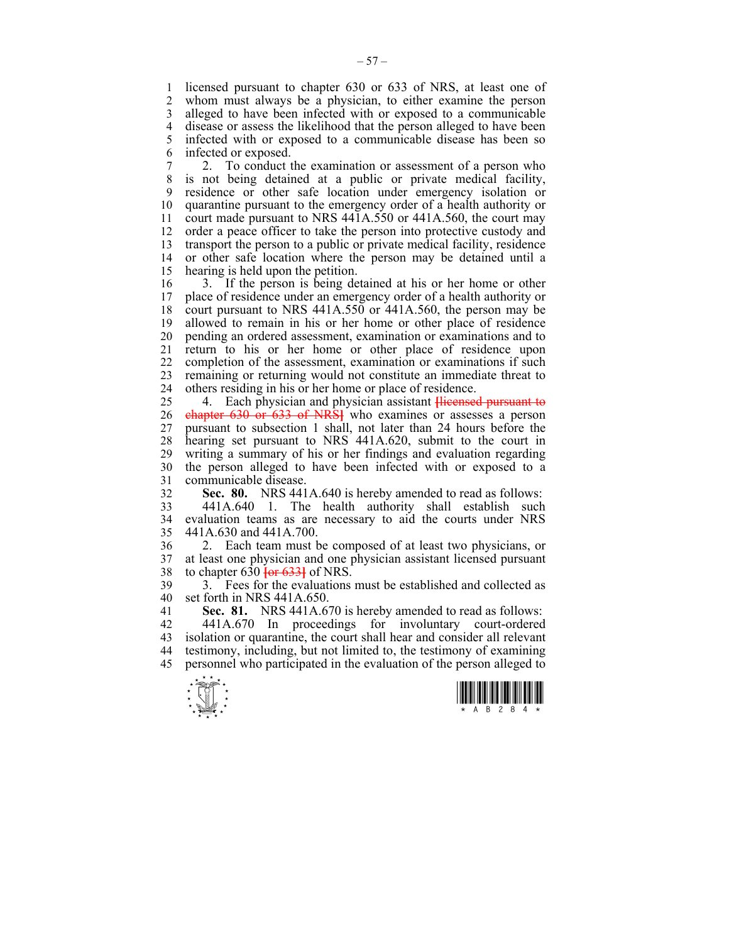1 licensed pursuant to chapter 630 or 633 of NRS, at least one of 2 whom must always be a physician to either examine the person whom must always be a physician, to either examine the person 3 alleged to have been infected with or exposed to a communicable 4 disease or assess the likelihood that the person alleged to have been<br>5 infected with or exposed to a communicable disease has been so 5 infected with or exposed to a communicable disease has been so 6 infected or exposed.

7 2. To conduct the examination or assessment of a person who 8 is not being detained at a public or private medical facility, 9 residence or other safe location under emergency isolation or 10 quarantine pursuant to the emergency order of a health authority or 11 court made pursuant to NRS 441A.550 or 441A.560, the court may 12 order a peace officer to take the person into protective custody and 13 transport the person to a public or private medical facility, residence 14 or other safe location where the person may be detained until a 15 hearing is held upon the petition.

16 3. If the person is being detained at his or her home or other 17 place of residence under an emergency order of a health authority or 18 court pursuant to NRS 441A.550 or 441A.560, the person may be 19 allowed to remain in his or her home or other place of residence 20 pending an ordered assessment, examination or examinations and to 21 return to his or her home or other place of residence upon 22 completion of the assessment, examination or examinations if such 23 remaining or returning would not constitute an immediate threat to 24 others residing in his or her home or place of residence.

25 4. Each physician and physician assistant **[**licensed pursuant to 26 chapter 630 or 633 of NRS**]** who examines or assesses a person 27 pursuant to subsection 1 shall, not later than 24 hours before the 28 hearing set pursuant to NRS 441A.620, submit to the court in 29 writing a summary of his or her findings and evaluation regarding 30 the person alleged to have been infected with or exposed to a 31 communicable disease.

32 **Sec. 80.** NRS 441A.640 is hereby amended to read as follows:

33 441A.640 1. The health authority shall establish such 34 evaluation teams as are necessary to aid the courts under NRS 35 441A.630 and 441A.700.

36 2. Each team must be composed of at least two physicians, or 37 at least one physician and one physician assistant licensed pursuant 38 to chapter 630 **[**or 633**]** of NRS.

39 3. Fees for the evaluations must be established and collected as 40 set forth in NRS 441A.650.

41 **Sec. 81.** NRS 441A.670 is hereby amended to read as follows:

42 441A.670 In proceedings for involuntary court-ordered 43 isolation or quarantine, the court shall hear and consider all relevant 44 testimony, including, but not limited to, the testimony of examining 45 personnel who participated in the evaluation of the person alleged to



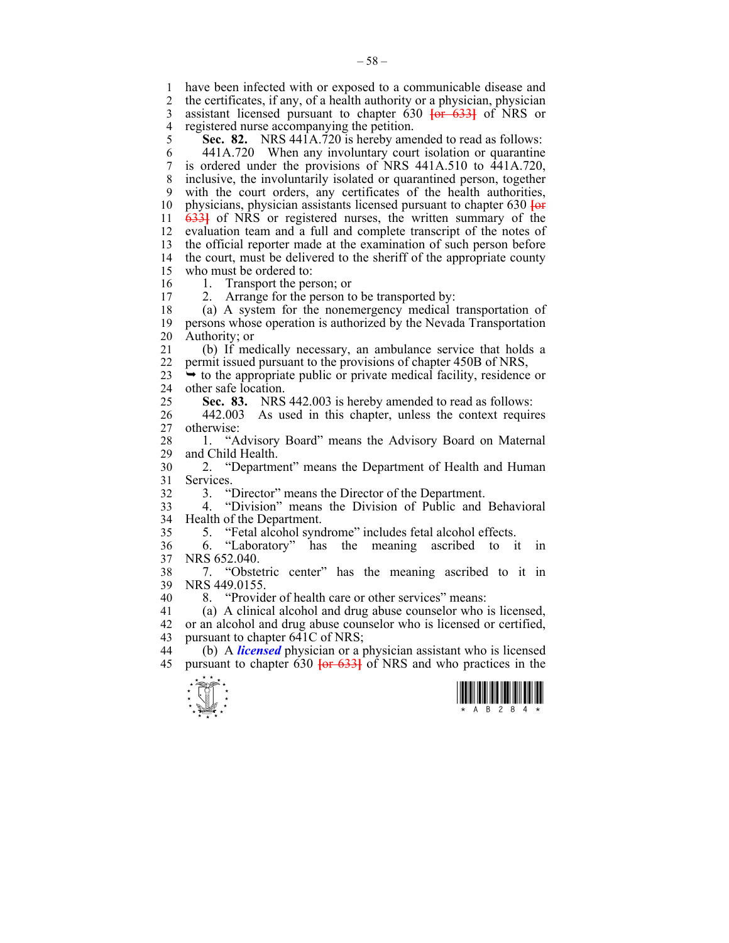1 have been infected with or exposed to a communicable disease and 2 the certificates, if any, of a health authority or a physician, physician 3 assistant licensed pursuant to chapter 630 **[**or 633**]** of NRS or

4 registered nurse accompanying the petition.<br>5 **Sec. 82.** NRS 441A.720 is hereby ame NRS 441A.720 is hereby amended to read as follows:

6 441A.720 When any involuntary court isolation or quarantine 7 is ordered under the provisions of NRS 441A.510 to 441A.720, 8 inclusive, the involuntarily isolated or quarantined person, together 9 with the court orders, any certificates of the health authorities, 10 physicians, physician assistants licensed pursuant to chapter 630 **[**or 11 633**]** of NRS or registered nurses, the written summary of the 12 evaluation team and a full and complete transcript of the notes of 13 the official reporter made at the examination of such person before 14 the court, must be delivered to the sheriff of the appropriate county 15 who must be ordered to:

16 1. Transport the person; or<br>17 2 Arrange for the person to

2. Arrange for the person to be transported by:

18 (a) A system for the nonemergency medical transportation of 19 persons whose operation is authorized by the Nevada Transportation 20 Authority; or

21 (b) If medically necessary, an ambulance service that holds a 22 permit issued pursuant to the provisions of chapter 450B of NRS,

23  $\rightarrow$  to the appropriate public or private medical facility, residence or 24 other safe location.

25 **Sec. 83.** NRS 442.003 is hereby amended to read as follows:

26 442.003 As used in this chapter, unless the context requires 27 otherwise:

28 1. "Advisory Board" means the Advisory Board on Maternal 29 and Child Health and Child Health.

30 2. "Department" means the Department of Health and Human 31 Services.

32 3. "Director" means the Director of the Department.

33 4. "Division" means the Division of Public and Behavioral 34 Health of the Department.

35 5. "Fetal alcohol syndrome" includes fetal alcohol effects.

36 6. "Laboratory" has the meaning ascribed to it in 37 NRS 652.040.

38 7. "Obstetric center" has the meaning ascribed to it in 39 NRS 449.0155.

40 8. "Provider of health care or other services" means:

41 (a) A clinical alcohol and drug abuse counselor who is licensed, 42 or an alcohol and drug abuse counselor who is licensed or certified, 43 pursuant to chapter 641C of NRS;

44 (b) A *licensed* physician or a physician assistant who is licensed 45 pursuant to chapter 630 **[**or 633**]** of NRS and who practices in the



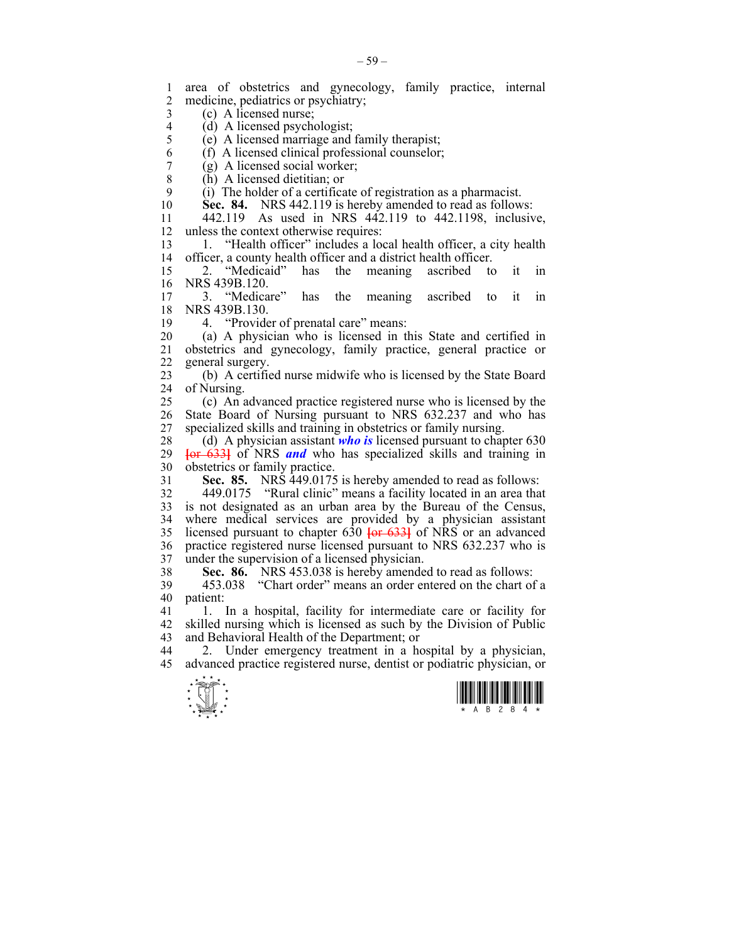$\frac{1}{\sqrt{2}}$ 1 area of obstetrics and gynecology, family practice, internal medicine, pediatrics or psychiatry; 3 (c) A licensed nurse; 4 (d) A licensed psychologist;<br>5 (e) A licensed marriage and  $(e)$  A licensed marriage and family therapist; 6 (f) A licensed clinical professional counselor;<br>  $\begin{pmatrix} 0 & A \end{pmatrix}$  licensed social worker: 7 (g) A licensed social worker;<br>8 (h) A licensed dietitian: or (h) A licensed dietitian; or 9 (i) The holder of a certificate of registration as a pharmacist. 10 **Sec. 84.** NRS 442.119 is hereby amended to read as follows: 11 442.119 As used in NRS 442.119 to 442.1198, inclusive, 12 unless the context otherwise requires: 13 1. "Health officer" includes a local health officer, a city health 14 officer, a county health officer and a district health officer. 15 2. "Medicaid" has the meaning ascribed to it in 16 NRS 439B.120.<br>17 3. "Medicare" has the meaning ascribed to it in 18 NRS 439B.130. 19 4. "Provider of prenatal care" means: 20 (a) A physician who is licensed in this State and certified in 21 obstetrics and gynecology, family practice, general practice or 22 general surgery. 23 (b) A certified nurse midwife who is licensed by the State Board 24 of Nursing. 25 (c) An advanced practice registered nurse who is licensed by the 26 State Board of Nursing pursuant to NRS 632.237 and who has 27 specialized skills and training in obstetrics or family nursing. 28 (d) A physician assistant *who is* licensed pursuant to chapter 630 29 **[**or 633**]** of NRS *and* who has specialized skills and training in 30 obstetrics or family practice. 31 **Sec. 85.** NRS 449.0175 is hereby amended to read as follows: 32 449.0175 "Rural clinic" means a facility located in an area that 33 is not designated as an urban area by the Bureau of the Census, 34 where medical services are provided by a physician assistant 35 licensed pursuant to chapter  $630 \text{ for } 6331$  of NRS or an advanced 35 licensed pursuant to chapter 630 **[**or 633**]** of NRS or an advanced 36 practice registered nurse licensed pursuant to NRS 632.237 who is 37 under the supervision of a licensed physician. 38 **Sec. 86.** NRS 453.038 is hereby amended to read as follows: 39 453.038 "Chart order" means an order entered on the chart of a 40 patient: 41 1. In a hospital, facility for intermediate care or facility for 42 skilled nursing which is licensed as such by the Division of Public 43 and Behavioral Health of the Department; or 44 2. Under emergency treatment in a hospital by a physician, 45 advanced practice registered nurse, dentist or podiatric physician, or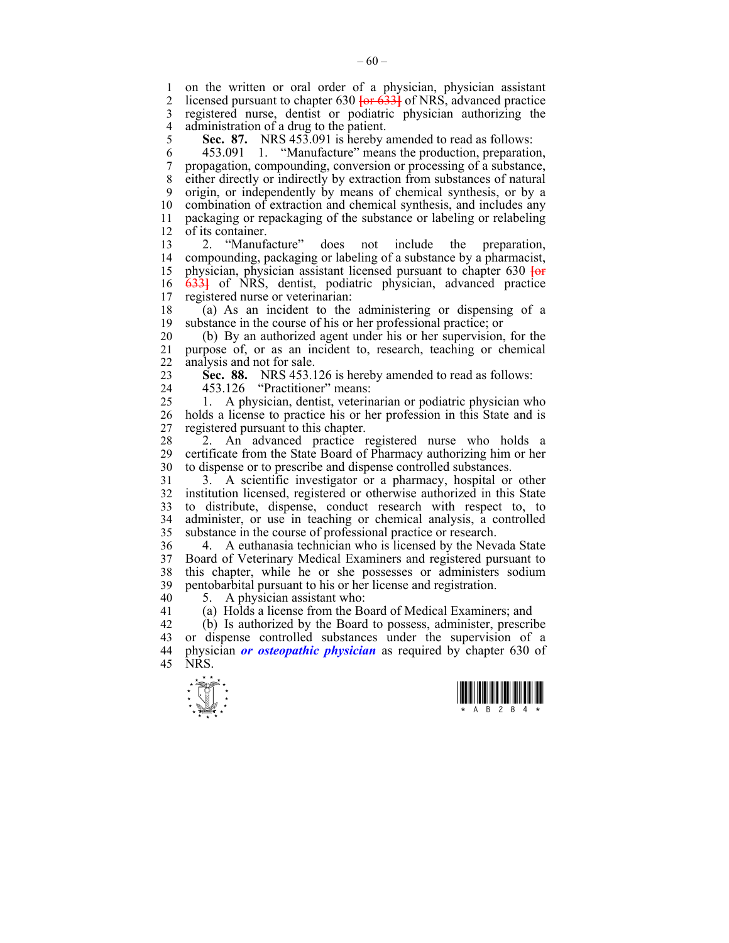1 on the written or oral order of a physician, physician assistant 2 licensed pursuant to chapter 630  $\frac{1}{100}$  6331 of NRS advanced practice licensed pursuant to chapter 630 **[or 633]** of NRS, advanced practice 3 registered nurse, dentist or podiatric physician authorizing the 4 administration of a drug to the patient.<br>5 **Sec. 87.** NRS 453.091 is hereby

5 **Sec. 87.** NRS 453.091 is hereby amended to read as follows:

6 453.091 1. "Manufacture" means the production, preparation, 7 propagation, compounding, conversion or processing of a substance, 8 either directly or indirectly by extraction from substances of natural 9 origin, or independently by means of chemical synthesis, or by a 10 combination of extraction and chemical synthesis, and includes any 11 packaging or repackaging of the substance or labeling or relabeling 12 of its container.

13 2. "Manufacture" does not include the preparation, 14 compounding, packaging or labeling of a substance by a pharmacist, 15 physician, physician assistant licensed pursuant to chapter 630 **[**or 16 633**]** of NRS, dentist, podiatric physician, advanced practice 17 registered nurse or veterinarian:

18 (a) As an incident to the administering or dispensing of a 19 substance in the course of his or her professional practice; or

20 (b) By an authorized agent under his or her supervision, for the 21 purpose of, or as an incident to, research, teaching or chemical 22 analysis and not for sale.

23 **Sec. 88.** NRS 453.126 is hereby amended to read as follows:

24 453.126 "Practitioner" means:

25 1. A physician, dentist, veterinarian or podiatric physician who 26 holds a license to practice his or her profession in this State and is 27 registered pursuant to this chapter.

28 2. An advanced practice registered nurse who holds a 29 certificate from the State Board of Pharmacy authorizing him or her 30 to dispense or to prescribe and dispense controlled substances.

31 3. A scientific investigator or a pharmacy, hospital or other 32 institution licensed, registered or otherwise authorized in this State 33 to distribute, dispense, conduct research with respect to, to 34 administer, or use in teaching or chemical analysis, a controlled 35 substance in the course of professional practice or research.

36 4. A euthanasia technician who is licensed by the Nevada State 37 Board of Veterinary Medical Examiners and registered pursuant to 38 this chapter, while he or she possesses or administers sodium 39 pentobarbital pursuant to his or her license and registration.

40 5. A physician assistant who:

41 (a) Holds a license from the Board of Medical Examiners; and

42 (b) Is authorized by the Board to possess, administer, prescribe 43 or dispense controlled substances under the supervision of a 44 physician *or osteopathic physician* as required by chapter 630 of 45 NRS.



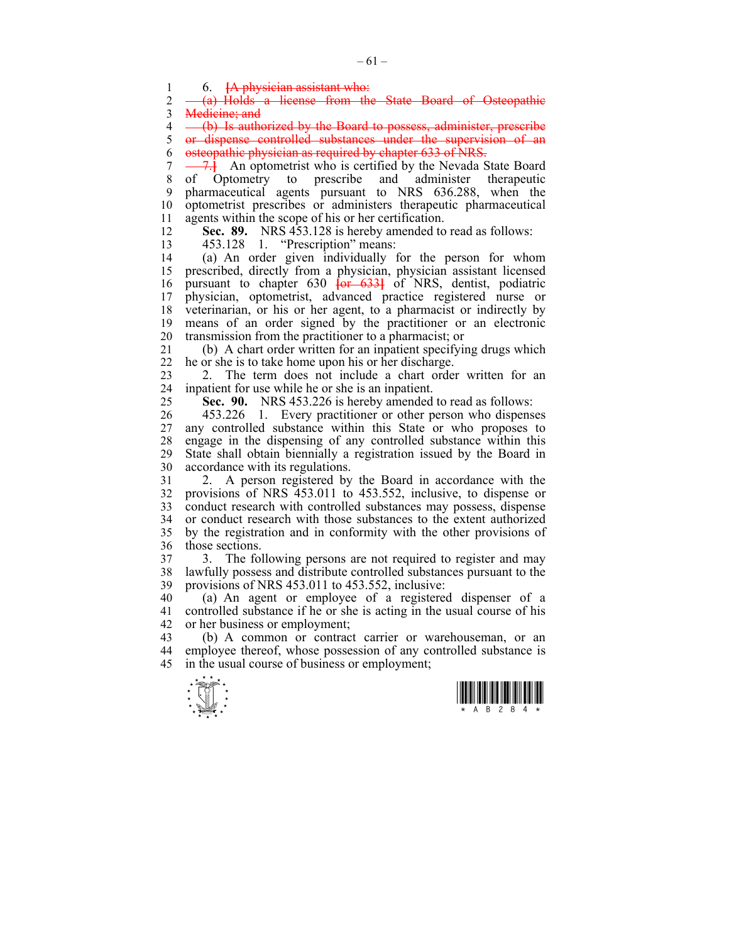1 6. <del>[A physician assistant who:</del><br>2 <del>(a) Holds a license from the</del>

(a) Holds a license from the State Board of Osteopathic 3 Medicine; and

4 (b) Is authorized by the Board to possess, administer, prescribe 5 or dispense controlled substances under the supervision of an 6 osteopathic physician as required by chapter 633 of NRS.

7 - 7.<sup>1</sup> An optometrist who is certified by the Nevada State Board 8 of Optometry to prescribe and administer therapeutic 9 pharmaceutical agents pursuant to NRS 636.288, when the 10 optometrist prescribes or administers therapeutic pharmaceutical 11 agents within the scope of his or her certification.

12 **Sec. 89.** NRS 453.128 is hereby amended to read as follows:

13 453.128 1. "Prescription" means:

14 (a) An order given individually for the person for whom 15 prescribed, directly from a physician, physician assistant licensed 16 pursuant to chapter 630 **[**or 633**]** of NRS, dentist, podiatric 17 physician, optometrist, advanced practice registered nurse or 18 veterinarian, or his or her agent, to a pharmacist or indirectly by 19 means of an order signed by the practitioner or an electronic 20 transmission from the practitioner to a pharmacist; or

21 (b) A chart order written for an inpatient specifying drugs which 22 he or she is to take home upon his or her discharge.

23 2. The term does not include a chart order written for an 24 inpatient for use while he or she is an inpatient.

25 **Sec. 90.** NRS 453.226 is hereby amended to read as follows:

26 453.226 1. Every practitioner or other person who dispenses 27 any controlled substance within this State or who proposes to 28 engage in the dispensing of any controlled substance within this 29 State shall obtain biennially a registration issued by the Board in 30 accordance with its regulations.

31 2. A person registered by the Board in accordance with the 32 provisions of NRS 453.011 to 453.552, inclusive, to dispense or 33 conduct research with controlled substances may possess, dispense 34 or conduct research with those substances to the extent authorized 35 by the registration and in conformity with the other provisions of 36 those sections.

37 3. The following persons are not required to register and may 38 lawfully possess and distribute controlled substances pursuant to the 39 provisions of NRS 453.011 to 453.552, inclusive:

40 (a) An agent or employee of a registered dispenser of a 41 controlled substance if he or she is acting in the usual course of his 42 or her business or employment;

43 (b) A common or contract carrier or warehouseman, or an 44 employee thereof, whose possession of any controlled substance is 45 in the usual course of business or employment;



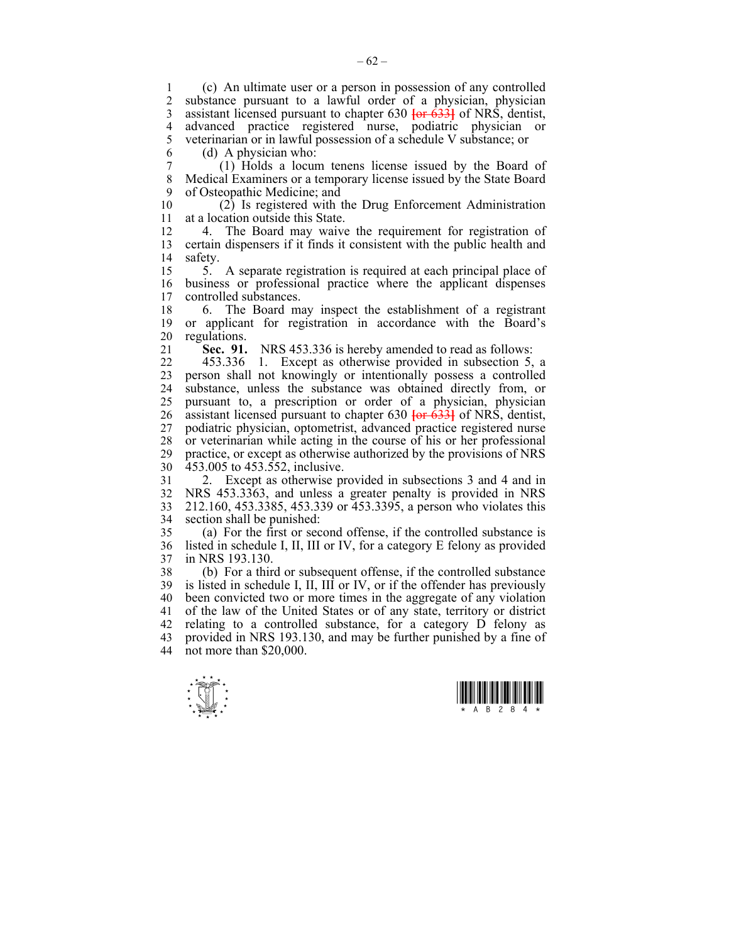1 (c) An ultimate user or a person in possession of any controlled substance pursuant to a lawful order of a physician, physician 3 assistant licensed pursuant to chapter 630 **[**or 633**]** of NRS, dentist, 4 advanced practice registered nurse, podiatric physician or 5 veterinarian or in lawful possession of a schedule V substance: or 5 veterinarian or in lawful possession of a schedule V substance; or

6 (d) A physician who: 7 (1) Holds a locum tenens license issued by the Board of 8 Medical Examiners or a temporary license issued by the State Board 9 of Osteopathic Medicine; and

10 (2) Is registered with the Drug Enforcement Administration 11 at a location outside this State.

12 4. The Board may waive the requirement for registration of 13 certain dispensers if it finds it consistent with the public health and 14 safety.

15 5. A separate registration is required at each principal place of 16 business or professional practice where the applicant dispenses controlled substances.

18 6. The Board may inspect the establishment of a registrant 19 or applicant for registration in accordance with the Board's 20 regulations.

21 **Sec. 91.** NRS 453.336 is hereby amended to read as follows:

22 453.336 1. Except as otherwise provided in subsection 5, a 23 person shall not knowingly or intentionally possess a controlled 24 substance, unless the substance was obtained directly from, or 25 pursuant to, a prescription or order of a physician, physician 26 assistant licensed pursuant to chapter 630 **[**or 633**]** of NRS, dentist, 27 podiatric physician, optometrist, advanced practice registered nurse 28 or veterinarian while acting in the course of his or her professional 29 practice, or except as otherwise authorized by the provisions of NRS 30 453.005 to 453.552, inclusive.

31 2. Except as otherwise provided in subsections 3 and 4 and in 32 NRS 453.3363, and unless a greater penalty is provided in NRS 33 212.160, 453.3385, 453.339 or 453.3395, a person who violates this 34 section shall be punished:

35 (a) For the first or second offense, if the controlled substance is 36 listed in schedule I, II, III or IV, for a category E felony as provided 37 in NRS 193.130.

38 (b) For a third or subsequent offense, if the controlled substance 39 is listed in schedule I, II, III or IV, or if the offender has previously 40 been convicted two or more times in the aggregate of any violation 41 of the law of the United States or of any state, territory or district 42 relating to a controlled substance, for a category D felony as 43 provided in NRS 193.130, and may be further punished by a fine of 44 not more than \$20,000.



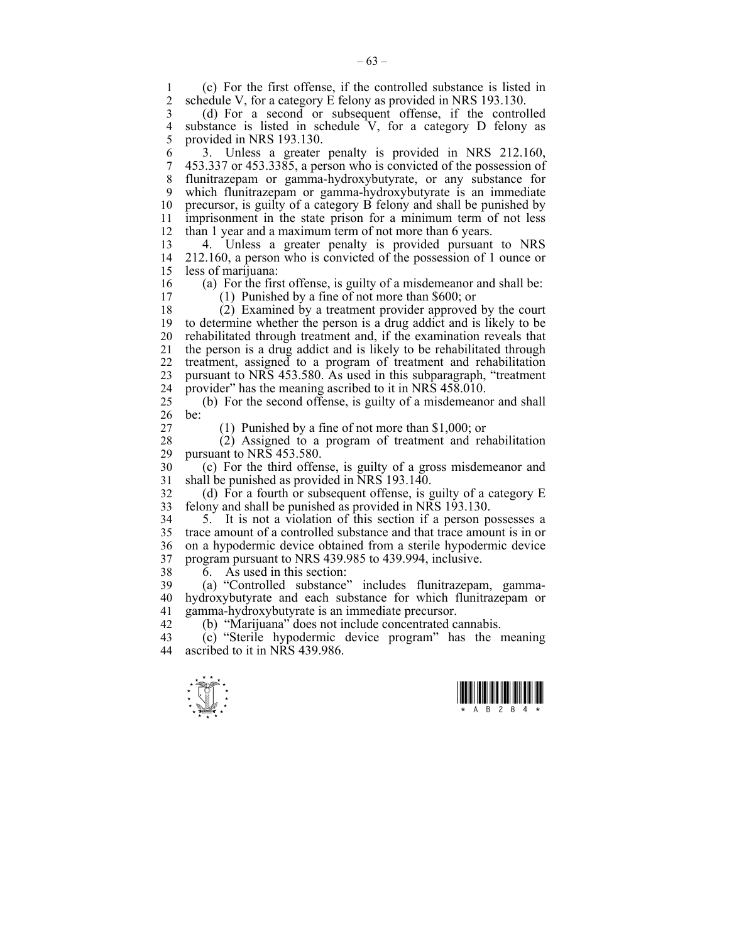1 (c) For the first offense, if the controlled substance is listed in 2 schedule V for a category E felony as provided in NRS 193 130 schedule V, for a category E felony as provided in NRS 193.130.

3 (d) For a second or subsequent offense, if the controlled 4 substance is listed in schedule  $V$ , for a category D felony as provided in NRS 193.130. provided in NRS 193.130.

6 3. Unless a greater penalty is provided in NRS 212.160, 7 453.337 or 453.3385, a person who is convicted of the possession of 8 flunitrazepam or gamma-hydroxybutyrate, or any substance for 9 which flunitrazepam or gamma-hydroxybutyrate is an immediate 10 precursor, is guilty of a category B felony and shall be punished by 11 imprisonment in the state prison for a minimum term of not less 12 than 1 year and a maximum term of not more than 6 years.

13 4. Unless a greater penalty is provided pursuant to NRS 14 212.160, a person who is convicted of the possession of 1 ounce or 15 less of marijuana:

16 (a) For the first offense, is guilty of a misdemeanor and shall be:<br>17 (1) Punished by a fine of not more than \$600 or

 $(1)$  Punished by a fine of not more than \$600; or

18 (2) Examined by a treatment provider approved by the court 19 to determine whether the person is a drug addict and is likely to be 20 rehabilitated through treatment and, if the examination reveals that 21 the person is a drug addict and is likely to be rehabilitated through 22 treatment, assigned to a program of treatment and rehabilitation 23 pursuant to NRS 453.580. As used in this subparagraph, "treatment 24 provider" has the meaning ascribed to it in NRS 458.010.

25 (b) For the second offense, is guilty of a misdemeanor and shall 26 be:

27 (1) Punished by a fine of not more than \$1,000; or

28 (2) Assigned to a program of treatment and rehabilitation pursuant to NRS 453.580.

30 (c) For the third offense, is guilty of a gross misdemeanor and 31 shall be punished as provided in NRS 193.140.

32 (d) For a fourth or subsequent offense, is guilty of a category E 33 felony and shall be punished as provided in NRS 193.130.

34 5. It is not a violation of this section if a person possesses a 35 trace amount of a controlled substance and that trace amount is in or 36 on a hypodermic device obtained from a sterile hypodermic device 37 program pursuant to NRS 439.985 to 439.994, inclusive.

38 6. As used in this section:

39 (a) "Controlled substance" includes flunitrazepam, gamma-40 hydroxybutyrate and each substance for which flunitrazepam or 41 gamma-hydroxybutyrate is an immediate precursor.

42 (b) "Marijuana" does not include concentrated cannabis.<br>43 (c) "Sterile hypodermic device program" has the

 $(c)$  "Sterile hypodermic device program" has the meaning 44 ascribed to it in NRS 439.986.



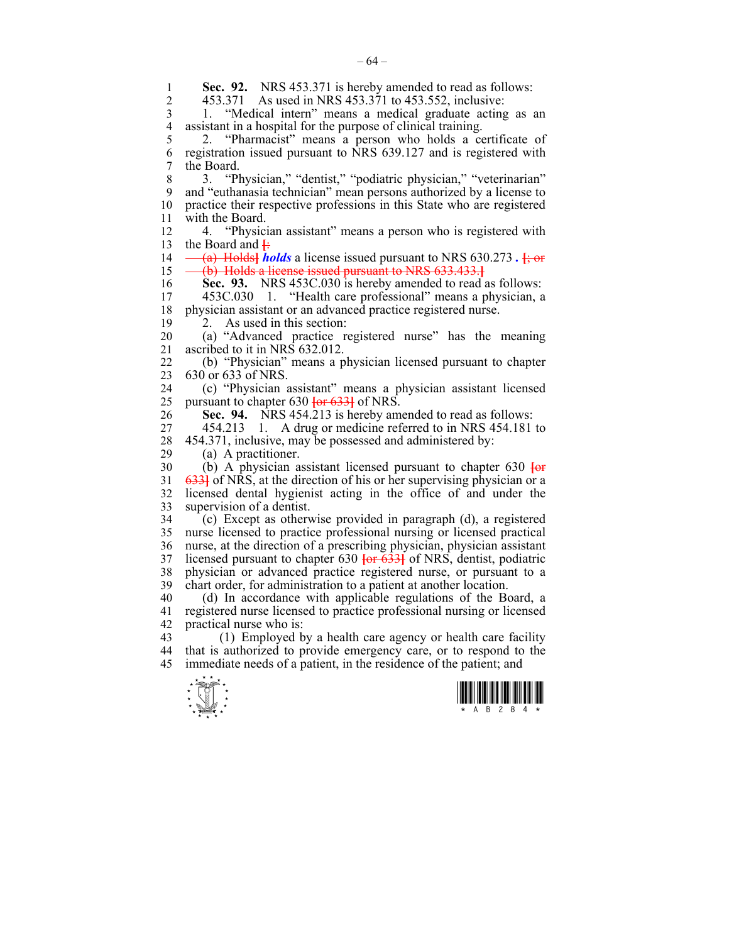| 1              | Sec. 92. NRS 453.371 is hereby amended to read as follows:                                |
|----------------|-------------------------------------------------------------------------------------------|
| $\overline{2}$ | 453.371 As used in NRS 453.371 to 453.552, inclusive:                                     |
| 3              | "Medical intern" means a medical graduate acting as an<br>1.                              |
| $\overline{4}$ | assistant in a hospital for the purpose of clinical training.                             |
| 5              | "Pharmacist" means a person who holds a certificate of<br>2.                              |
| 6              | registration issued pursuant to NRS 639.127 and is registered with                        |
| 7              | the Board.                                                                                |
| 8              | "Physician," "dentist," "podiatric physician," "veterinarian"<br>3.                       |
| 9              | and "euthanasia technician" mean persons authorized by a license to                       |
| 10             | practice their respective professions in this State who are registered                    |
| 11             | with the Board.                                                                           |
| 12             | 4. "Physician assistant" means a person who is registered with                            |
| 13             | the Board and $\ddagger$                                                                  |
| 14             | (a) Holds <i>holds</i> a license issued pursuant to NRS 630.273.                          |
| 15             | (b) Holds a license issued pursuant to NRS 633.433.                                       |
| 16             | Sec. 93. NRS 453C.030 is hereby amended to read as follows:                               |
| 17             | 453C.030 1. "Health care professional" means a physician, a                               |
| 18             | physician assistant or an advanced practice registered nurse.<br>As used in this section: |
| 19<br>20       | 2.<br>(a) "Advanced practice registered nurse" has the meaning                            |
| 21             | ascribed to it in NRS 632.012.                                                            |
| 22             | (b) "Physician" means a physician licensed pursuant to chapter                            |
| 23             | 630 or 633 of NRS.                                                                        |
| 24             | (c) "Physician assistant" means a physician assistant licensed                            |
| 25             | pursuant to chapter 630 <del>[or 633]</del> of NRS.                                       |
| 26             | Sec. 94. NRS 454.213 is hereby amended to read as follows:                                |
| 27             | 454.213 1. A drug or medicine referred to in NRS 454.181 to                               |
| 28             | 454.371, inclusive, may be possessed and administered by:                                 |
| 29             | (a) A practitioner.                                                                       |
| 30             | (b) A physician assistant licensed pursuant to chapter 630 $\frac{1}{\pi}$                |
| 31             | 6331 of NRS, at the direction of his or her supervising physician or a                    |
| 32             | licensed dental hygienist acting in the office of and under the                           |
| 33             | supervision of a dentist.                                                                 |
| 34             | (c) Except as otherwise provided in paragraph (d), a registered                           |
| 35             | nurse licensed to practice professional nursing or licensed practical                     |
| 36             | nurse, at the direction of a prescribing physician, physician assistant                   |
| 37             | licensed pursuant to chapter $630$ for $633$ of NRS, dentist, podiatric                   |
| 38             | physician or advanced practice registered nurse, or pursuant to a                         |
| 39             | chart order, for administration to a patient at another location.                         |
| 40             | (d) In accordance with applicable regulations of the Board, a                             |
| 41             | registered nurse licensed to practice professional nursing or licensed                    |
| 42             | practical nurse who is:                                                                   |
| 43             | (1) Employed by a health care agency or health care facility                              |
| 44             | that is authorized to provide emergency care, or to respond to the                        |
| 45             | immediate needs of a patient, in the residence of the patient; and                        |
|                |                                                                                           |
|                |                                                                                           |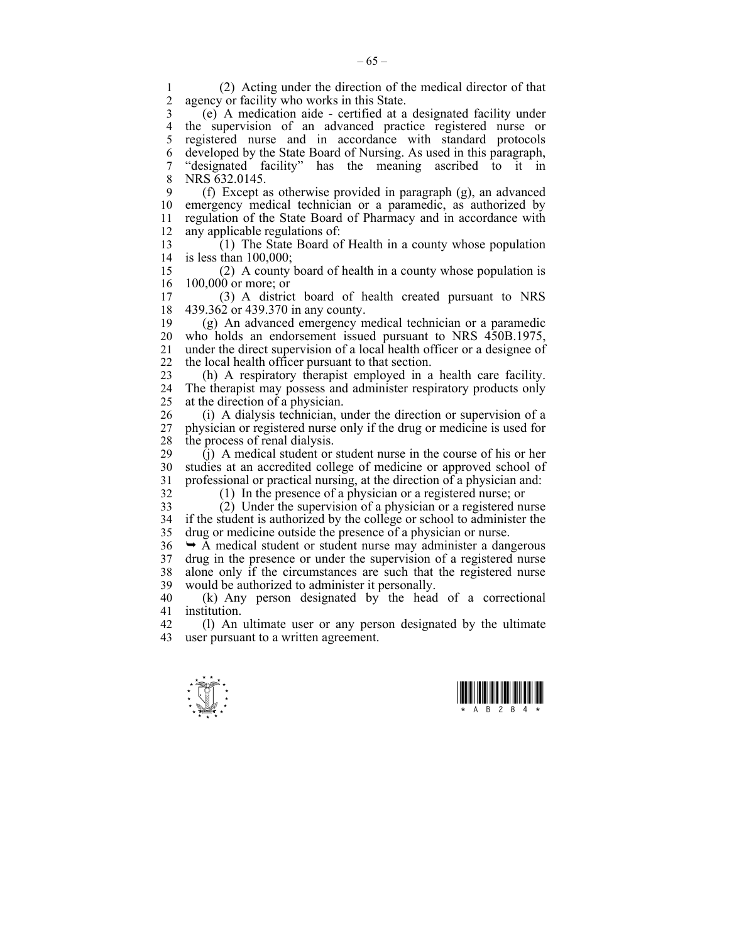1 (2) Acting under the direction of the medical director of that agency or facility who works in this State. 3 (e) A medication aide - certified at a designated facility under 4 the supervision of an advanced practice registered nurse or 5 registered nurse and in accordance with standard protocols

6 developed by the State Board of Nursing. As used in this paragraph, 7 "designated facility" has the meaning ascribed to it in 8 NRS 632.0145.

9 (f) Except as otherwise provided in paragraph (g), an advanced 10 emergency medical technician or a paramedic, as authorized by 11 regulation of the State Board of Pharmacy and in accordance with 12 any applicable regulations of:

 $13$  (1) The State Board of Health in a county whose population 14 is less than 100,000;

15 (2) A county board of health in a county whose population is 16 100,000 or more; or<br>17 (3) A distric

17 (3) A district board of health created pursuant to NRS 18 439.362 or 439.370 in any county.

19 (g) An advanced emergency medical technician or a paramedic 20 who holds an endorsement issued pursuant to NRS 450B.1975, 21 under the direct supervision of a local health officer or a designee of 22 the local health officer pursuant to that section.

23 (h) A respiratory therapist employed in a health care facility. 24 The therapist may possess and administer respiratory products only 25 at the direction of a physician.

26 (i) A dialysis technician, under the direction or supervision of a 27 physician or registered nurse only if the drug or medicine is used for 28 the process of renal dialysis.

29 (j) A medical student or student nurse in the course of his or her 30 studies at an accredited college of medicine or approved school of 31 professional or practical nursing, at the direction of a physician and:

32 (1) In the presence of a physician or a registered nurse; or

33 (2) Under the supervision of a physician or a registered nurse 34 if the student is authorized by the college or school to administer the 35 drug or medicine outside the presence of a physician or nurse.

 $36 \rightarrow A$  medical student or student nurse may administer a dangerous 37 drug in the presence or under the supervision of a registered nurse 38 alone only if the circumstances are such that the registered nurse 39 would be authorized to administer it personally.

40 (k) Any person designated by the head of a correctional 41 institution.

42 (l) An ultimate user or any person designated by the ultimate 43 user pursuant to a written agreement.

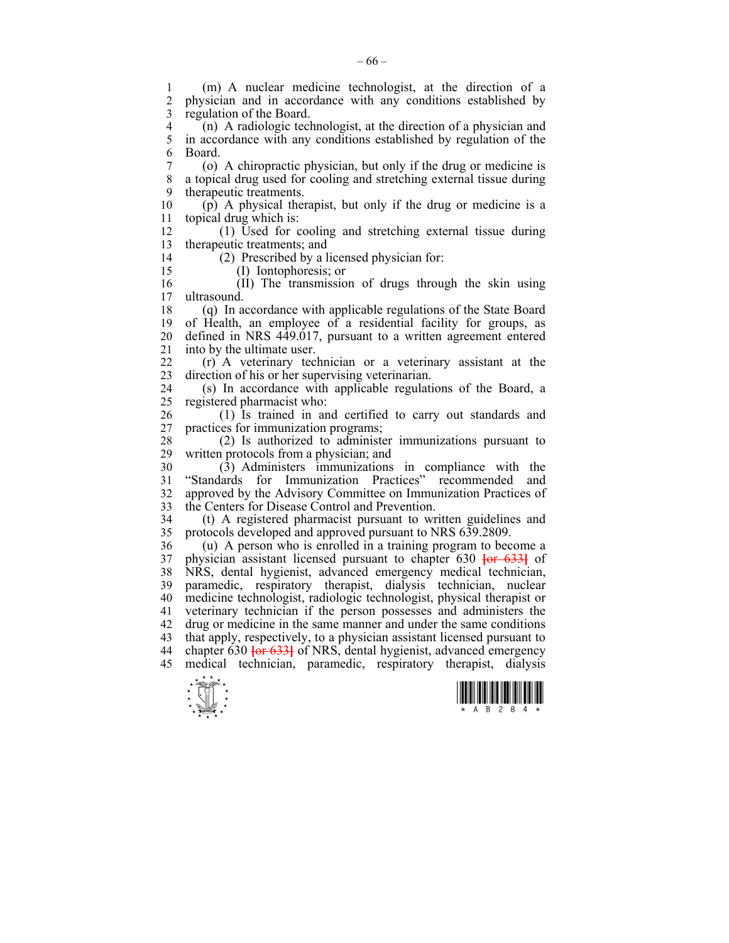$\frac{1}{\sqrt{2}}$ 1 (m) A nuclear medicine technologist, at the direction of a 2 physician and in accordance with any conditions established by 3 regulation of the Board. 4 (n) A radiologic technologist, at the direction of a physician and 5 in accordance with any conditions established by regulation of the 5 in accordance with any conditions established by regulation of the 6 Board. 7 (o) A chiropractic physician, but only if the drug or medicine is 8 a topical drug used for cooling and stretching external tissue during 9 therapeutic treatments. 10 (p) A physical therapist, but only if the drug or medicine is a 11 topical drug which is: 12 (1) Used for cooling and stretching external tissue during 13 therapeutic treatments; and 14 (2) Prescribed by a licensed physician for: 15 (I) Iontophoresis; or 16 (II) The transmission of drugs through the skin using  $17$  ultrasound ultrasound. 18 (q) In accordance with applicable regulations of the State Board 19 of Health, an employee of a residential facility for groups, as 20 defined in NRS 449.017, pursuant to a written agreement entered 21 into by the ultimate user. 22 (r) A veterinary technician or a veterinary assistant at the 23 direction of his or her supervising veterinarian. 24 (s) In accordance with applicable regulations of the Board, a 25 registered pharmacist who: 26 (1) Is trained in and certified to carry out standards and 27 practices for immunization programs;  $28$  (2) Is authorized to administer immunizations pursuant to  $29$  written protocols from a physician: and written protocols from a physician; and 30 (3) Administers immunizations in compliance with the 31 "Standards for Immunization Practices" recommended and 32 approved by the Advisory Committee on Immunization Practices of 33 the Centers for Disease Control and Prevention. 34 (t) A registered pharmacist pursuant to written guidelines and protocols developed and approved pursuant to NRS 639.2809 35 protocols developed and approved pursuant to NRS 639.2809. 36 (u) A person who is enrolled in a training program to become a 37 physician assistant licensed pursuant to chapter 630 **[**or 633**]** of 38 NRS, dental hygienist, advanced emergency medical technician, 39 paramedic, respiratory therapist, dialysis technician, nuclear 40 medicine technologist, radiologic technologist, physical therapist or 41 veterinary technician if the person possesses and administers the 42 drug or medicine in the same manner and under the same conditions 43 that apply, respectively, to a physician assistant licensed pursuant to 44 chapter 630 **[**or 633**]** of NRS, dental hygienist, advanced emergency 45 medical technician, paramedic, respiratory therapist, dialysis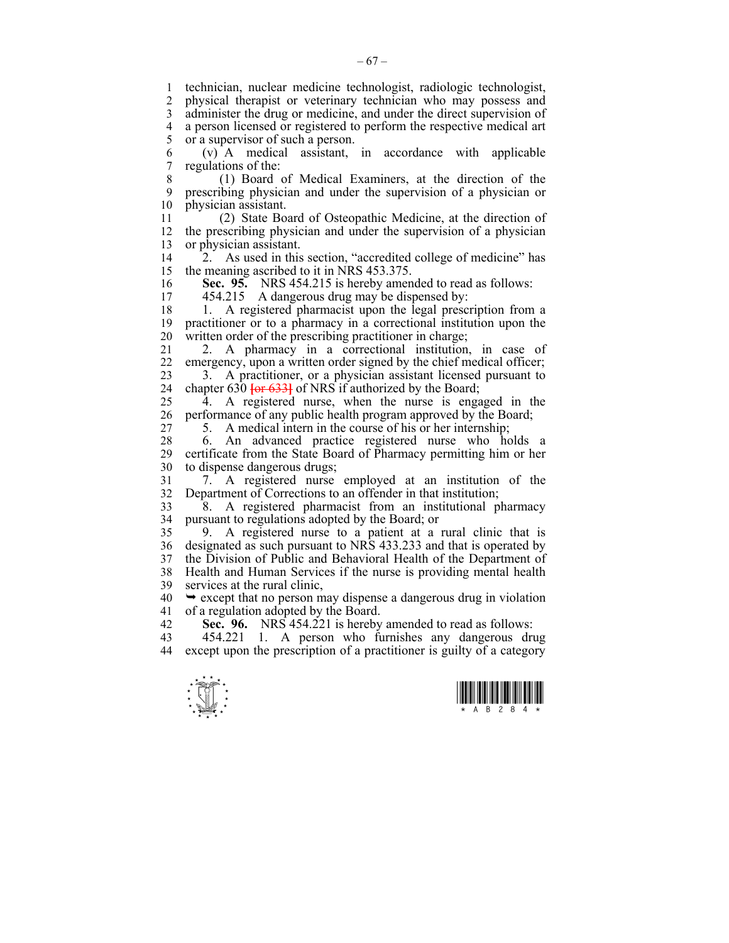1 technician, nuclear medicine technologist, radiologic technologist, 2 physical therapist or veterinary technician who may possess and 3 administer the drug or medicine, and under the direct supervision of 4 a person licensed or registered to perform the respective medical art 5 or a supervisor of such a person. 6 (v) A medical assistant, in accordance with applicable 7 regulations of the: 8 (1) Board of Medical Examiners, at the direction of the 9 prescribing physician and under the supervision of a physician or 10 physician assistant. 11 (2) State Board of Osteopathic Medicine, at the direction of 12 the prescribing physician and under the supervision of a physician 13 or physician assistant. 14 <sup>2</sup>. As used in this section, "accredited college of medicine" has 15 the meaning ascribed to it in NRS 453.375. 16 **Sec. 95.** NRS 454.215 is hereby amended to read as follows: 17 454.215 A dangerous drug may be dispensed by: 18 1. A registered pharmacist upon the legal prescription from a 19 practitioner or to a pharmacy in a correctional institution upon the 20 written order of the prescribing practitioner in charge; 21 2. A pharmacy in a correctional institution, in case of 22 emergency, upon a written order signed by the chief medical officer; 23 3. A practitioner, or a physician assistant licensed pursuant to 24 chapter 630 **[**or 633**]** of NRS if authorized by the Board; 25 4. A registered nurse, when the nurse is engaged in the 26 performance of any public health program approved by the Board; 27 5. A medical intern in the course of his or her internship; 28 6. An advanced practice registered nurse who holds a 29 certificate from the State Board of Pharmacy permitting him or her 30 to dispense dangerous drugs; 31 7. A registered nurse employed at an institution of the 32 Department of Corrections to an offender in that institution; 33 8. A registered pharmacist from an institutional pharmacy 34 pursuant to regulations adopted by the Board; or 35 9. A registered nurse to a patient at a rural clinic that is 36 designated as such pursuant to NRS 433.233 and that is operated by 37 the Division of Public and Behavioral Health of the Department of 38 Health and Human Services if the nurse is providing mental health 39 services at the rural clinic,  $40 \rightarrow$  except that no person may dispense a dangerous drug in violation 41 of a regulation adopted by the Board. 42 **Sec. 96.** NRS 454.221 is hereby amended to read as follows: 43 454.221 1. A person who furnishes any dangerous drug 44 except upon the prescription of a practitioner is guilty of a category



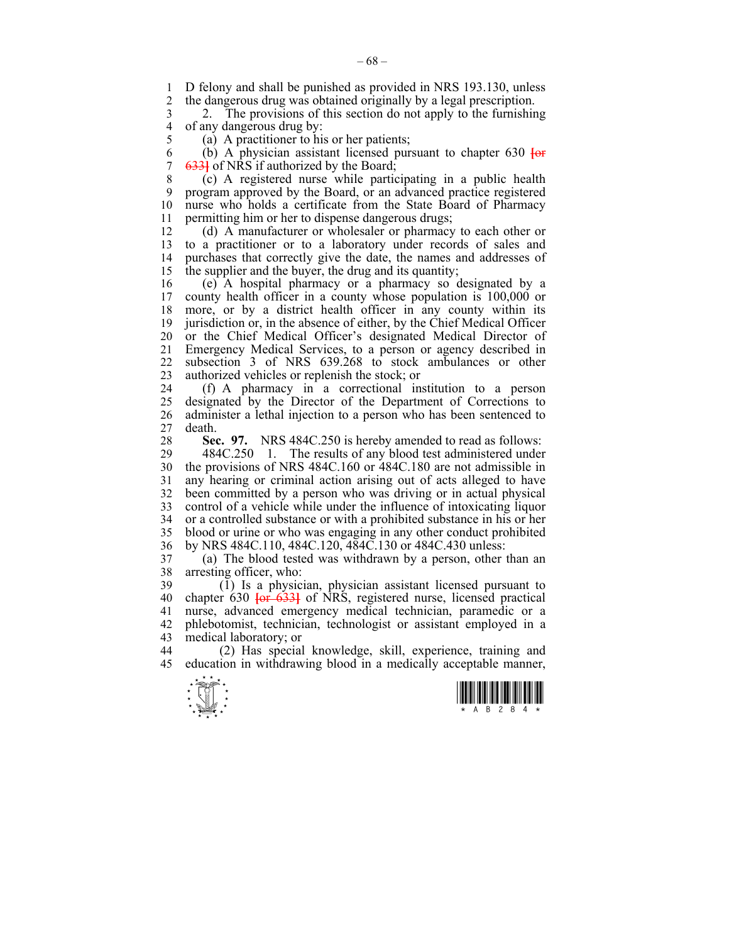1 D felony and shall be punished as provided in NRS 193.130, unless<br>2 the dangerous drug was obtained originally by a legal prescription 2 the dangerous drug was obtained originally by a legal prescription.

3 2. The provisions of this section do not apply to the furnishing 4 of any dangerous drug by:<br>5 (a) A practitioner to hi

(a) A practitioner to his or her patients;

6 (b) A physician assistant licensed pursuant to chapter 630 **[**or 7 633**]** of NRS if authorized by the Board;

8 (c) A registered nurse while participating in a public health 9 program approved by the Board, or an advanced practice registered 10 nurse who holds a certificate from the State Board of Pharmacy 11 permitting him or her to dispense dangerous drugs;

12 (d) A manufacturer or wholesaler or pharmacy to each other or 13 to a practitioner or to a laboratory under records of sales and 14 purchases that correctly give the date, the names and addresses of 15 the supplier and the buyer, the drug and its quantity;

16 (e) A hospital pharmacy or a pharmacy so designated by a 17 county health officer in a county whose population is 100,000 or 18 more, or by a district health officer in any county within its 19 jurisdiction or, in the absence of either, by the Chief Medical Officer 20 or the Chief Medical Officer's designated Medical Director of 21 Emergency Medical Services, to a person or agency described in 22 subsection 3 of NRS 639.268 to stock ambulances or other 23 authorized vehicles or replenish the stock; or

24 (f) A pharmacy in a correctional institution to a person 25 designated by the Director of the Department of Corrections to 26 administer a lethal injection to a person who has been sentenced to 27 death.

**Sec. 97.** NRS 484C.250 is hereby amended to read as follows:<br>29 484C.250 1. The results of any blood test administered under 29 484C.250 1. The results of any blood test administered under 30 the provisions of NRS 484C.160 or 484C.180 are not admissible in 31 any hearing or criminal action arising out of acts alleged to have 32 been committed by a person who was driving or in actual physical 33 control of a vehicle while under the influence of intoxicating liquor 34 or a controlled substance or with a prohibited substance in his or her 35 blood or urine or who was engaging in any other conduct prohibited 36 by NRS 484C.110, 484C.120, 484C.130 or 484C.430 unless:

37 (a) The blood tested was withdrawn by a person, other than an 38 arresting officer, who:

39 (1) Is a physician, physician assistant licensed pursuant to 40 chapter 630 **[**or 633**]** of NRS, registered nurse, licensed practical 41 nurse, advanced emergency medical technician, paramedic or a 42 phlebotomist, technician, technologist or assistant employed in a 43 medical laboratory; or

44 (2) Has special knowledge, skill, experience, training and 45 education in withdrawing blood in a medically acceptable manner,



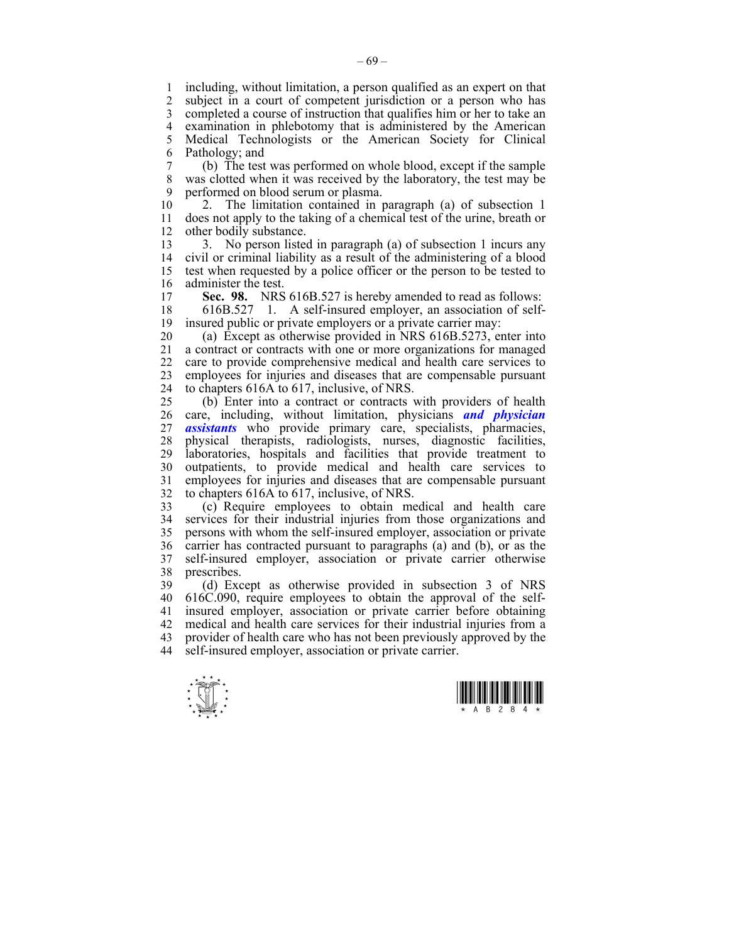1 including, without limitation, a person qualified as an expert on that 2 subject in a court of competent jurisdiction or a person who has subject in a court of competent jurisdiction or a person who has 3 completed a course of instruction that qualifies him or her to take an 4 examination in phlebotomy that is administered by the American 5 Medical Technologists or the American Society for Clinical 6 Pathology; and

7 (b) The test was performed on whole blood, except if the sample 8 was clotted when it was received by the laboratory, the test may be 9 performed on blood serum or plasma.

10 2. The limitation contained in paragraph (a) of subsection 1 11 does not apply to the taking of a chemical test of the urine, breath or 12 other bodily substance.

13 3. No person listed in paragraph (a) of subsection 1 incurs any 14 civil or criminal liability as a result of the administering of a blood 15 test when requested by a police officer or the person to be tested to 16 administer the test.<br>17 **Sec. 98.** NRS

Sec. 98. NRS 616B.527 is hereby amended to read as follows:

18 616B.527 1. A self-insured employer, an association of self-19 insured public or private employers or a private carrier may:

20 (a) Except as otherwise provided in NRS 616B.5273, enter into 21 a contract or contracts with one or more organizations for managed 22 care to provide comprehensive medical and health care services to 23 employees for injuries and diseases that are compensable pursuant 24 to chapters 616A to 617, inclusive, of NRS.

25 (b) Enter into a contract or contracts with providers of health 26 care, including, without limitation, physicians *and physician*  27 *assistants* who provide primary care, specialists, pharmacies, 28 physical therapists, radiologists, nurses, diagnostic facilities, 29 laboratories, hospitals and facilities that provide treatment to 30 outpatients, to provide medical and health care services to 31 employees for injuries and diseases that are compensable pursuant 32 to chapters 616A to 617, inclusive, of NRS.

33 (c) Require employees to obtain medical and health care 34 services for their industrial injuries from those organizations and 35 persons with whom the self-insured employer, association or private 36 carrier has contracted pursuant to paragraphs (a) and (b), or as the 37 self-insured employer, association or private carrier otherwise 38 prescribes.

39 (d) Except as otherwise provided in subsection 3 of NRS 40 616C.090, require employees to obtain the approval of the self-41 insured employer, association or private carrier before obtaining 42 medical and health care services for their industrial injuries from a 43 provider of health care who has not been previously approved by the 44 self-insured employer, association or private carrier.



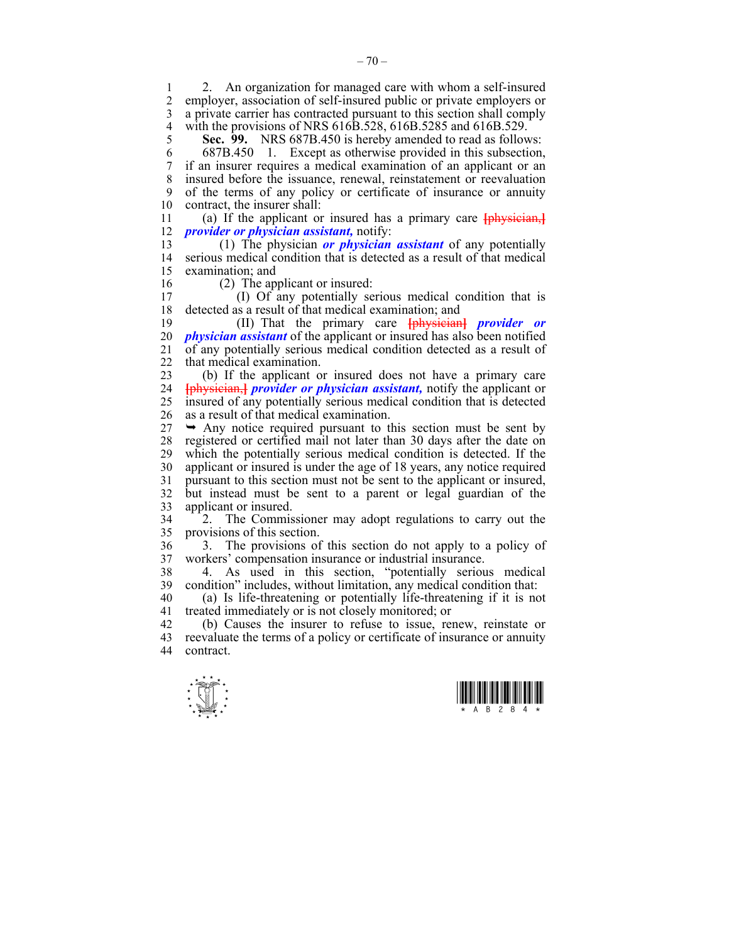1 2. An organization for managed care with whom a self-insured employer, association of self-insured public or private employers or 3 a private carrier has contracted pursuant to this section shall comply 4 with the provisions of NRS 616B.528, 616B.5285 and 616B.529.<br>5 Sec. 99. NRS 687B 450 is hereby amended to read as follow

5 **Sec. 99.** NRS 687B.450 is hereby amended to read as follows:

6 687B.450 1. Except as otherwise provided in this subsection, 7 if an insurer requires a medical examination of an applicant or an 8 insured before the issuance, renewal, reinstatement or reevaluation 9 of the terms of any policy or certificate of insurance or annuity 10 contract, the insurer shall:

11 (a) If the applicant or insured has a primary care **[**physician,**]** 12 *provider or physician assistant,* notify:

13 (1) The physician *or physician assistant* of any potentially 14 serious medical condition that is detected as a result of that medical 15 examination; and

16 (2) The applicant or insured:<br>17 (b) Of any potentially se 17 (I) Of any potentially serious medical condition that is 18 detected as a result of that medical examination; and

19 (II) That the primary care **[**physician**]** *provider or*  20 *physician assistant* of the applicant or insured has also been notified 21 of any potentially serious medical condition detected as a result of 22 that medical examination.

23 (b) If the applicant or insured does not have a primary care 24 **[**physician,**]** *provider or physician assistant,* notify the applicant or 25 insured of any potentially serious medical condition that is detected 26 as a result of that medical examination.

 $27 \rightarrow$  Any notice required pursuant to this section must be sent by 28 registered or certified mail not later than 30 days after the date on which the potentially serious medical condition is detected. If the which the potentially serious medical condition is detected. If the 30 applicant or insured is under the age of 18 years, any notice required 31 pursuant to this section must not be sent to the applicant or insured, 32 but instead must be sent to a parent or legal guardian of the 33 applicant or insured.

34 2. The Commissioner may adopt regulations to carry out the provisions of this section.

36 3. The provisions of this section do not apply to a policy of 37 workers' compensation insurance or industrial insurance.

38 4. As used in this section, "potentially serious medical 39 condition" includes, without limitation, any medical condition that:

40 (a) Is life-threatening or potentially life-threatening if it is not 41 treated immediately or is not closely monitored; or

42 (b) Causes the insurer to refuse to issue, renew, reinstate or reevaluate the terms of a policy or certificate of insurance or annuity reevaluate the terms of a policy or certificate of insurance or annuity 44 contract.



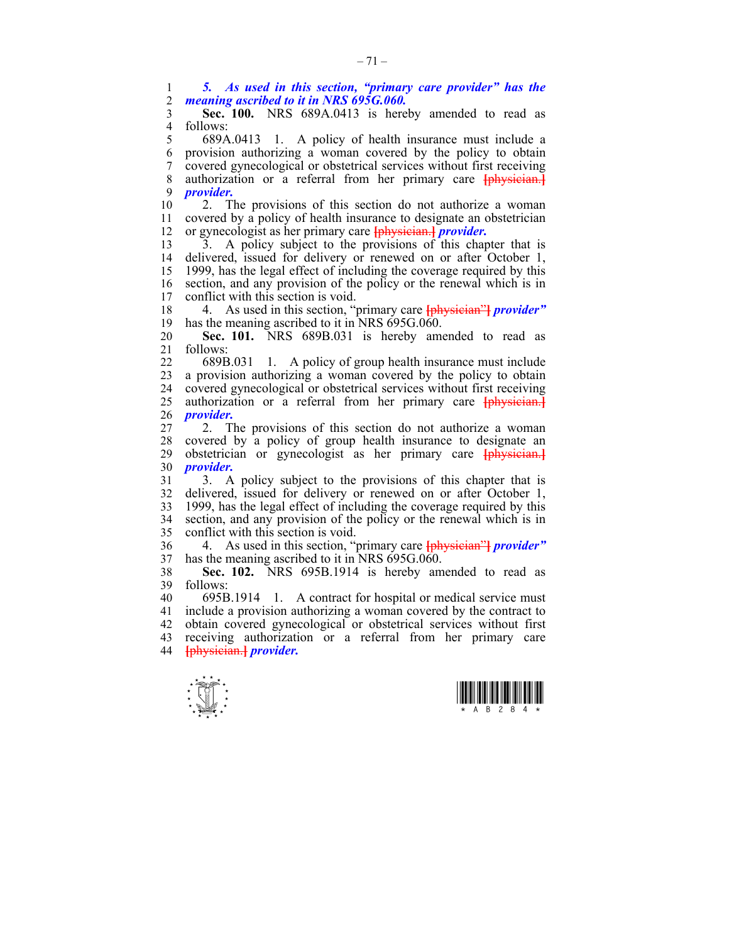1 *5. As used in this section, "primary care provider" has the*  2 *meaning ascribed to it in NRS 695G.060.* 

3 **Sec. 100.** NRS 689A.0413 is hereby amended to read as 4 follows:<br>5  $689A$ 

5 689A.0413 1. A policy of health insurance must include a 6 provision authorizing a woman covered by the policy to obtain 7 covered gynecological or obstetrical services without first receiving 8 authorization or a referral from her primary care **[**physician.**]** 9 *provider.*

10 2. The provisions of this section do not authorize a woman 11 covered by a policy of health insurance to designate an obstetrician 12 or gynecologist as her primary care **[**physician.**]** *provider.*

13 3. A policy subject to the provisions of this chapter that is<br>14 delivered, issued for delivery or renewed on or after October 1. delivered, issued for delivery or renewed on or after October 1, 15 1999, has the legal effect of including the coverage required by this 16 section, and any provision of the policy or the renewal which is in conflict with this section is void conflict with this section is void.

18 4. As used in this section, "primary care **[**physician"**]** *provider"*  19 has the meaning ascribed to it in NRS 695G.060.

20 **Sec. 101.** NRS 689B.031 is hereby amended to read as 21 follows:

22 689B.031 1. A policy of group health insurance must include 23 a provision authorizing a woman covered by the policy to obtain 24 covered gynecological or obstetrical services without first receiving 25 authorization or a referral from her primary care **[**physician.**]** 26 *provider.*

27 2. The provisions of this section do not authorize a woman 28 covered by a policy of group health insurance to designate an 29 obstetrician or gynecologist as her primary care **[**physician.**]** 30 *provider.*

31 3. A policy subject to the provisions of this chapter that is 32 delivered, issued for delivery or renewed on or after October 1, 33 1999, has the legal effect of including the coverage required by this 34 section, and any provision of the policy or the renewal which is in 35 conflict with this section is void.

36 4. As used in this section, "primary care **[**physician"**]** *provider"*  37 has the meaning ascribed to it in  $\overline{\text{NRS}}$  695G.060.

38 **Sec. 102.** NRS 695B.1914 is hereby amended to read as 39 follows:

40 695B.1914 1. A contract for hospital or medical service must 41 include a provision authorizing a woman covered by the contract to 42 obtain covered gynecological or obstetrical services without first 43 receiving authorization or a referral from her primary care 44 **[**physician.**]** *provider.*



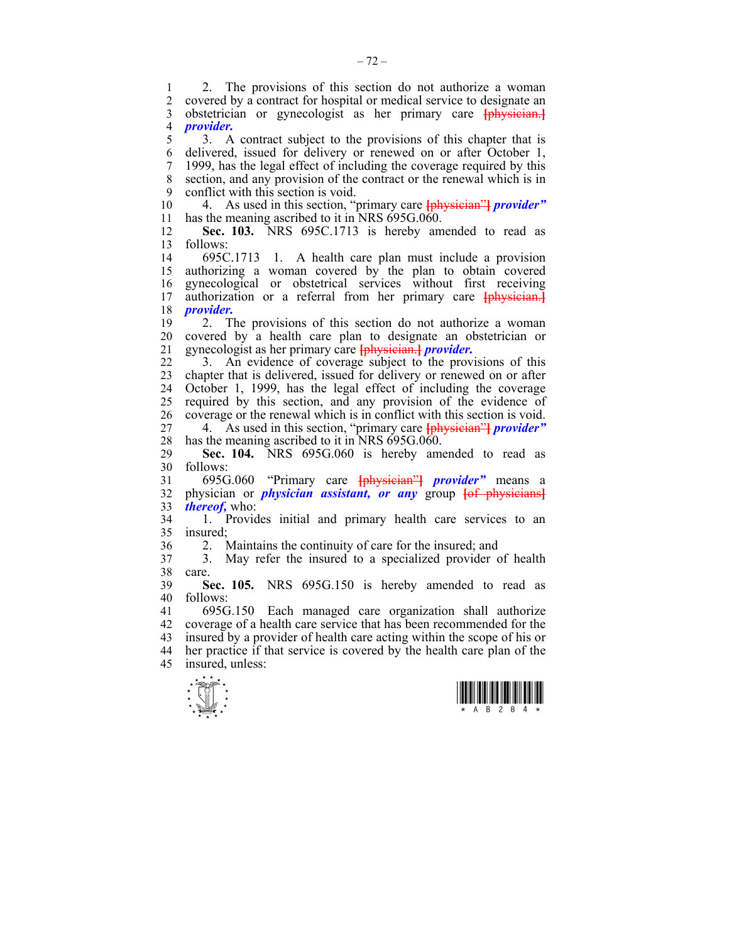1 2. The provisions of this section do not authorize a woman<br>2 covered by a contract for hospital or medical service to designate an 2 covered by a contract for hospital or medical service to designate an 3 obstetrician or gynecologist as her primary care **[**physician.**]** 4 *provider.*

5 3. A contract subject to the provisions of this chapter that is 6 delivered, issued for delivery or renewed on or after October 1, 7 1999, has the legal effect of including the coverage required by this 8 section, and any provision of the contract or the renewal which is in 9 conflict with this section is void.

10 4. As used in this section, "primary care **[**physician"**]** *provider"*  11 has the meaning ascribed to it in NRS  $695G.060$ .

12 **Sec. 103.** NRS 695C.1713 is hereby amended to read as 13 follows:

14 695C.1713 1. A health care plan must include a provision 15 authorizing a woman covered by the plan to obtain covered 16 gynecological or obstetrical services without first receiving<br>17 authorization or a referral from her primary care to the steam. authorization or a referral from her primary care **[**physician.] 18 *provider.*

19 2. The provisions of this section do not authorize a woman 20 covered by a health care plan to designate an obstetrician or 21 gynecologist as her primary care **[**physician.**]** *provider.*

22 3. An evidence of coverage subject to the provisions of this 23 chapter that is delivered, issued for delivery or renewed on or after 24 October 1, 1999, has the legal effect of including the coverage 25 required by this section, and any provision of the evidence of 26 coverage or the renewal which is in conflict with this section is void.

27 4. As used in this section, "primary care **[**physician"**]** *provider"*  28 has the meaning ascribed to it in NRS 695G.060.

29 **Sec. 104.** NRS 695G.060 is hereby amended to read as 30 follows:

31 695G.060 "Primary care **[**physician"**]** *provider"* means a 32 physician or *physician assistant, or any* group **[**of physicians**]** 33 *thereof,* who:

34 1. Provides initial and primary health care services to an 35 insured;

36 2. Maintains the continuity of care for the insured; and

37 3. May refer the insured to a specialized provider of health 38 care.

39 **Sec. 105.** NRS 695G.150 is hereby amended to read as 40 follows:

41 695G.150 Each managed care organization shall authorize 42 coverage of a health care service that has been recommended for the 43 insured by a provider of health care acting within the scope of his or 44 her practice if that service is covered by the health care plan of the 45 insured, unless:



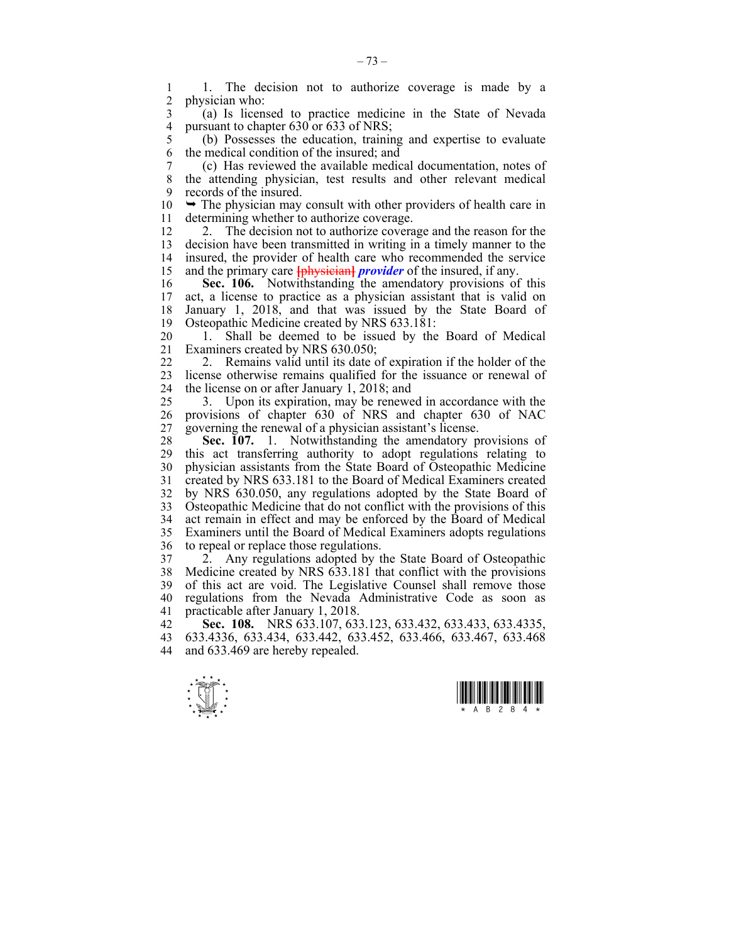1 1. The decision not to authorize coverage is made by a<br>2. physician who: physician who:

3 (a) Is licensed to practice medicine in the State of Nevada 4 pursuant to chapter  $630$  or  $633$  of NRS;<br>5 (b) Possesses the education, training

5 (b) Possesses the education, training and expertise to evaluate 6 the medical condition of the insured; and

7 (c) Has reviewed the available medical documentation, notes of 8 the attending physician, test results and other relevant medical 9 records of the insured.

 $10 \rightarrow$  The physician may consult with other providers of health care in 11 determining whether to authorize coverage.

12 2. The decision not to authorize coverage and the reason for the 13 decision have been transmitted in writing in a timely manner to the 14 insured, the provider of health care who recommended the service 15 and the primary care **[**physician**]** *provider* of the insured, if any.

16 **Sec. 106.** Notwithstanding the amendatory provisions of this 17 act, a license to practice as a physician assistant that is valid on 18 January 1, 2018, and that was issued by the State Board of 19 Osteopathic Medicine created by NRS 633.181:

20 1. Shall be deemed to be issued by the Board of Medical 21 Examiners created by NRS 630.050;

22 2. Remains valid until its date of expiration if the holder of the 23 license otherwise remains qualified for the issuance or renewal of 24 the license on or after January 1, 2018; and

25 3. Upon its expiration, may be renewed in accordance with the 26 provisions of chapter 630 of NRS and chapter 630 of NAC 27 governing the renewal of a physician assistant's license.

28 **Sec. 107.** 1. Notwithstanding the amendatory provisions of 29 this act transferring authority to adopt regulations relating to 30 physician assistants from the State Board of Osteopathic Medicine 31 created by NRS 633.181 to the Board of Medical Examiners created 32 by NRS 630.050, any regulations adopted by the State Board of 33 Osteopathic Medicine that do not conflict with the provisions of this 34 act remain in effect and may be enforced by the Board of Medical 35 Examiners until the Board of Medical Examiners adopts regulations 36 to repeal or replace those regulations.

37 2. Any regulations adopted by the State Board of Osteopathic 38 Medicine created by NRS 633.181 that conflict with the provisions 39 of this act are void. The Legislative Counsel shall remove those 40 regulations from the Nevada Administrative Code as soon as 41 practicable after January 1, 2018.

42 **Sec. 108.** NRS 633.107, 633.123, 633.432, 633.433, 633.4335, 43 633.4336, 633.434, 633.442, 633.452, 633.466, 633.467, 633.468 44 and 633.469 are hereby repealed.